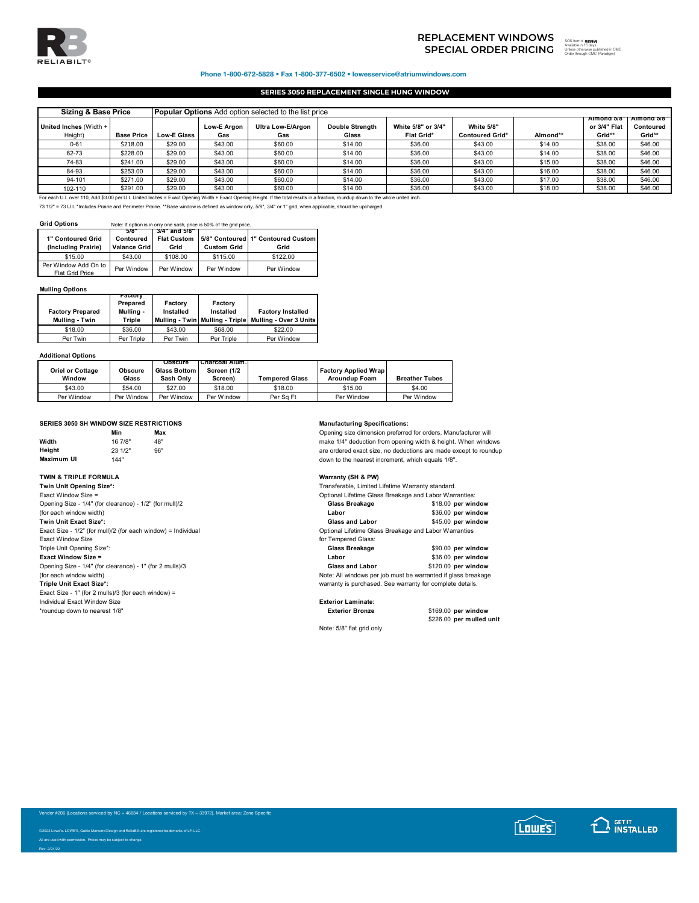

# **SPECIAL ORDER PRICING** SOS ITEM TO THE SUBSTITUTION OF THE SUBSTITUTION OF THE SUBSTITUTION OF THE SUBSTITUTION OF THE SUBSTITUTION OF THE SUBSTITUTION OF THE SUBSTITUTION OF THE SUBSTITUTION OF THE SUBSTITUTION OF THE SU **REPLACEMENT WINDOWS**

893858 ed in CMC Order through CMC (Paradigm)

Phone 1-800-672-5828 • Fax 1-800-377-6502 • lowesservice@atriumwindows.com

## **SERIES 3050 REPLACEMENT SINGLE HUNG WINDOW**

| <b>Sizing &amp; Base Price</b><br><b>Popular Options</b> Add option selected to the list price |                   |             |                    |                          |                                 |                                  |                                             |          |                                       |                                    |
|------------------------------------------------------------------------------------------------|-------------------|-------------|--------------------|--------------------------|---------------------------------|----------------------------------|---------------------------------------------|----------|---------------------------------------|------------------------------------|
| United Inches (Width +<br>Height)                                                              | <b>Base Price</b> | Low-E Glass | Low-E Argon<br>Gas | Ultra Low-E/Argon<br>Gas | <b>Double Strength</b><br>Glass | White 5/8" or 3/4"<br>Flat Grid* | <b>White 5/8"</b><br><b>Contoured Grid*</b> | Almond** | Almond 5/8"<br>or 3/4" Flat<br>Grid** | Almond 5/8"<br>Contoured<br>Grid** |
| $0 - 61$                                                                                       | \$218.00          | \$29.00     | \$43.00            | \$60.00                  | \$14.00                         | \$36.00                          | \$43.00                                     | \$14.00  | \$38.00                               | \$46.00                            |
| 62-73                                                                                          | \$228.00          | \$29.00     | \$43.00            | \$60.00                  | \$14.00                         | \$36.00                          | \$43.00                                     | \$14.00  | \$38.00                               | \$46.00                            |
| 74-83                                                                                          | \$241.00          | \$29.00     | \$43.00            | \$60.00                  | \$14.00                         | \$36.00                          | \$43.00                                     | \$15.00  | \$38.00                               | \$46.00                            |
| 84-93                                                                                          | \$253.00          | \$29.00     | \$43.00            | \$60.00                  | \$14.00                         | \$36.00                          | \$43.00                                     | \$16.00  | \$38.00                               | \$46.00                            |
| 94-101                                                                                         | \$271.00          | \$29.00     | \$43.00            | \$60.00                  | \$14.00                         | \$36.00                          | \$43.00                                     | \$17.00  | \$38.00                               | \$46.00                            |
| $102 - 110$                                                                                    | \$291.00          | \$29.00     | \$43.00            | \$60.00                  | \$14.00                         | \$36.00                          | \$43.00                                     | \$18.00  | \$38.00                               | \$46.00                            |

102-110 | \$291.00 | \$29.00 | \$43.00 | \$60.00 | \$14.00 | \$36.00 | \$36.00 | \$43.00 | \$18.00 | \$18.00 | \$36.00 |<br>For each U.I. over 110, Add \$3.00 per U.I. United Inches = Exact Opening Width + Exact Opening Height. If the to

73 1/2" = 73 U.I. \*Includes Prairie and Perimeter Prairie. \*\*Base window is defined as window only. 5/8", 3/4" or 1" grid, when applicable, should be upcharged.

### **Grid Options** Note: If option is in only one sash, price is 50% of the grid price.

| 1" Contoured Grid<br>(Including Prairie) | 5/8<br>Contoured<br>Valance Grid | 3/4" and 5/8"<br><b>Flat Custom</b><br>Grid | <b>Custom Grid</b> | 5/8" Contoured 1" Contoured Custom<br>Grid |
|------------------------------------------|----------------------------------|---------------------------------------------|--------------------|--------------------------------------------|
| \$15.00                                  | \$43.00                          | \$108.00                                    | \$115.00           | \$122.00                                   |
| Per Window Add On to<br>Flat Grid Price  | Per Window                       | Per Window                                  | Per Window         | Per Window                                 |

## **Mulling Options**

| <b>Factory Prepared</b><br>Mulling - Twin | ractory<br>Prepared<br>Mulling -<br>Triple | Factory<br>Installed | Factory<br>Installed | <b>Factory Installed</b><br>Mulling - Twin   Mulling - Triple   Mulling - Over 3 Units |
|-------------------------------------------|--------------------------------------------|----------------------|----------------------|----------------------------------------------------------------------------------------|
| \$18.00                                   | \$36.00                                    | \$43.00              | \$68.00              | \$22.00                                                                                |
| Per Twin                                  | Per Triple                                 | Per Twin             | Per Triple           | Per Window                                                                             |

### **Additional Options**

| <b>Oriel or Cottage</b> | <b>Obscure</b> | <b>Obscure</b><br><b>Glass Bottom</b> | Charcoal Alum.<br>Screen (1/2 |                       | <b>Factory Applied Wrap</b> |                       |
|-------------------------|----------------|---------------------------------------|-------------------------------|-----------------------|-----------------------------|-----------------------|
| Window                  | Glass          | Sash Only                             | Screen)                       | <b>Tempered Glass</b> | <b>Aroundup Foam</b>        | <b>Breather Tubes</b> |
| \$43.00                 | \$54.00        | \$27.00                               | \$18.00                       | \$18.00               | \$15.00                     | \$4.00                |
| Per Window              | Per Window     | Per Window                            | Per Window                    | Per Sa Ft             | Per Window                  | Per Window            |

## **SERIES 3050 SH WINDOW SIZE RESTRICTIONS Manufacturing Specifications:**

|                   | Min     | Max |
|-------------------|---------|-----|
| Width             | 16 7/8" | 48" |
| Height            | 23 1/2" | 96" |
| <b>Maximum UI</b> | 144"    |     |

### **TWIN & TRIPLE FORMULA Warranty (SH & PW)**

**Twin Unit Opening Size\*:** Exact Window Size = Optional Lifetime Glass Breakage and Labor Warranties: Opening Size - 1/4" (for clearance) - 1/2" (for mull)/2 (for each window width) **Twin Unit Exact Size\*: Glass and Laborate Sizet and Laborate Size - 1/2°** (for multive equal to the perception of December 45.00 **per matter** Exact Size - 1/2" (for mull)/2 (for each window) = Individual<br>Exact Window Size Triple Unit Opening Size\*: **Exact Window Size =** Opening Size - 1/4" (for clearance) - 1" (for 2 mulls)/3 **for each window** width) **Note** (for each window width)<br>Triple Unit Exact Size\*: Exact Size - 1" (for 2 mulls)/3 (for each window) = Individual Exact Window Size **Exterior Laminate:** \*roundup down to nearest 1/8" **Exterior Bronze** \$169.00 **per window**

**Min Max** Opening size dimension preferred for orders. Manufacturer will make 1/4" deduction from opening width & height. When windows are ordered exact size, no deductions are made except to roundup down to the nearest increment, which equals 1/8".

| Transferable. Limited Lifetime Warranty standard.      |                    |  |  |  |
|--------------------------------------------------------|--------------------|--|--|--|
| Optional Lifetime Glass Breakage and Labor Warranties: |                    |  |  |  |
| Glass Breakage                                         | \$18.00 per window |  |  |  |
| Labor                                                  | \$36.00 per window |  |  |  |
|                                                        |                    |  |  |  |

| <b>Glass and Labor</b>                                | \$45.00 per windo |
|-------------------------------------------------------|-------------------|
| Optional Lifetime Glass Breakage and Labor Warranties |                   |
| for Tempered Glass:                                   |                   |

| Glass Breakage                                               | \$90.00 per window  |
|--------------------------------------------------------------|---------------------|
| Labor                                                        | \$36.00 per window  |
| <b>Glass and Labor</b>                                       | \$120.00 per window |
| ote: All windows per job must be warranted if glass breakage |                     |

warranty is purchased. See warranty for complete details.

Note: 5/8" flat grid only

\$226.00 **per mulled unit**



or #206 (Locations serviced by NC = 46634 / Locations serviced by TX = 33972). Market area: Zone Specific



Rev. 2/24/22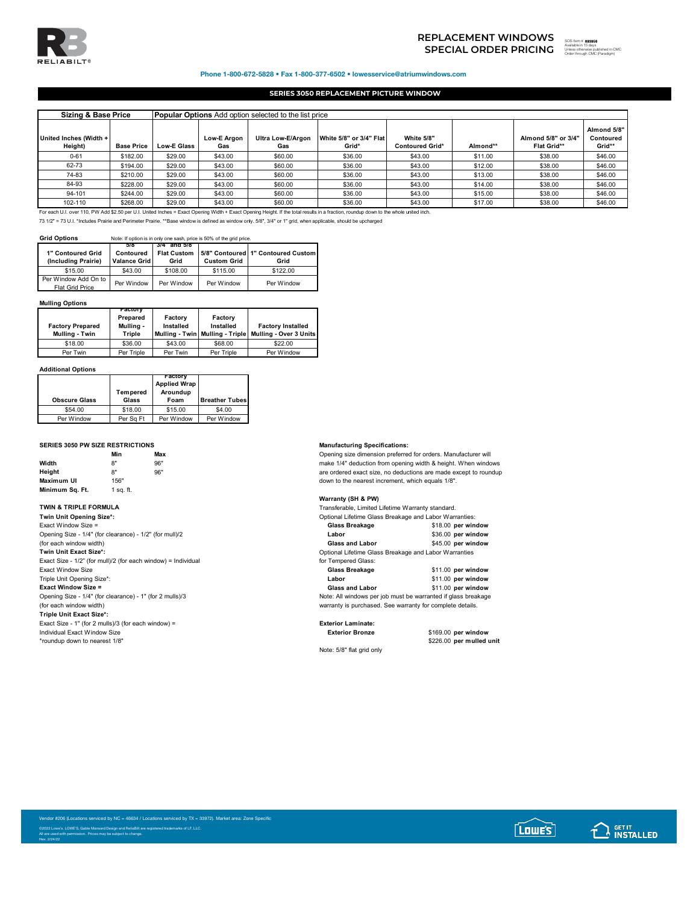

## **SPECIAL ORDER PRICING REPLACEMENT WINDOWS**<br>
SPECIAL ORDER PRICING **Wealth**ed in 15 days<br>
Source through CMC Preadigm)

## Phone 1-800-672-5828 • Fax 1-800-377-6502 • lowesservice@atriumwindows.com

## **SERIES 3050 REPLACEMENT PICTURE WINDOW**

| <b>Sizing &amp; Base Price</b>    |                                                                                                                                                                                       | <b>Popular Options</b> Add option selected to the list price |                    |                                 |                                  |                                      |          |                                           |                                    |
|-----------------------------------|---------------------------------------------------------------------------------------------------------------------------------------------------------------------------------------|--------------------------------------------------------------|--------------------|---------------------------------|----------------------------------|--------------------------------------|----------|-------------------------------------------|------------------------------------|
| United Inches (Width +<br>Height) | <b>Base Price</b>                                                                                                                                                                     | <b>Low-E Glass</b>                                           | Low-E Araon<br>Gas | <b>Ultra Low-E/Argon</b><br>Gas | White 5/8" or 3/4" Flat<br>Grid* | White 5/8"<br><b>Contoured Grid*</b> | Almond** | Almond 5/8" or 3/4"<br><b>Flat Grid**</b> | Almond 5/8"<br>Contoured<br>Grid** |
| $0 - 61$                          | \$182.00                                                                                                                                                                              | \$29.00                                                      | \$43.00            | \$60.00                         | \$36.00                          | \$43.00                              | \$11.00  | \$38.00                                   | \$46.00                            |
| 62-73                             | \$194.00                                                                                                                                                                              | \$29.00                                                      | \$43.00            | \$60.00                         | \$36.00                          | \$43.00                              | \$12.00  | \$38.00                                   | \$46.00                            |
| 74-83                             | \$210.00                                                                                                                                                                              | \$29.00                                                      | \$43.00            | \$60.00                         | \$36.00                          | \$43.00                              | \$13.00  | \$38.00                                   | \$46.00                            |
| 84-93                             | \$228.00                                                                                                                                                                              | \$29.00                                                      | \$43.00            | \$60.00                         | \$36.00                          | \$43.00                              | \$14.00  | \$38.00                                   | \$46.00                            |
| 94-101                            | \$244.00                                                                                                                                                                              | \$29.00                                                      | \$43.00            | \$60.00                         | \$36.00                          | \$43.00                              | \$15.00  | \$38.00                                   | \$46.00                            |
| 102-110                           | \$268.00                                                                                                                                                                              | \$29.00                                                      | \$43.00            | \$60.00                         | \$36.00                          | \$43.00                              | \$17.00  | \$38.00                                   | \$46.00                            |
|                                   | For each U.I. over 110, PW Add \$2.50 per U.I. United Inches = Exact Opening Width + Exact Opening Height. If the total results in a fraction, roundup down to the whole united inch. |                                                              |                    |                                 |                                  |                                      |          |                                           |                                    |

73 1/2" = 73 U.I. \*Includes Prairie and Perimeter Prairie. \*\*Base window is defined as window only. 5/8", 3/4" or 1" grid, when applicable, should be upcharged

**Grid Options** Note: If option is in only one sash, price is 50% of the grid price.

| 1" Contoured Grid<br>(Including Prairie) | 5/8<br>Contoured<br>Valance Grid | 3/4 and 5/8<br><b>Flat Custom</b><br>Grid | <b>Custom Grid</b> | 5/8" Contoured   1" Contoured Custom<br>Grid |
|------------------------------------------|----------------------------------|-------------------------------------------|--------------------|----------------------------------------------|
| \$15.00                                  | \$43.00                          | \$108.00                                  | \$115.00           | \$122.00                                     |
| Per Window Add On to<br>Flat Grid Price  | Per Window                       | Per Window                                | Per Window         | Per Window                                   |

## **Mulling Options**

| <b>Factory Prepared</b><br>Mulling - Twin | ractory<br>Prepared<br>Mulling -<br>Triple | Factory<br>Installed | Factory<br>Installed | <b>Factory Installed</b><br>Mulling - Twin   Mulling - Triple   Mulling - Over 3 Units |
|-------------------------------------------|--------------------------------------------|----------------------|----------------------|----------------------------------------------------------------------------------------|
| \$18.00                                   | \$36.00                                    | \$43.00              | \$68.00              | \$22.00                                                                                |
| Per Twin                                  | Per Triple                                 | Per Twin             | Per Triple           | Per Window                                                                             |

### **Additional Options**

| <b>Obscure Glass</b> | Tempered<br>Glass | ractory<br><b>Applied Wrap</b><br>Aroundup<br>Foam | <b>Breather Tubes</b> |
|----------------------|-------------------|----------------------------------------------------|-----------------------|
| \$54.00              | \$18.00           | \$15.00                                            | \$4.00                |
| Per Window           | Per Sa Ft         | Per Window                                         | Per Window            |

### **SERIES 3050 PW SIZE RESTRICTIONS Manufacturing Specifications:**

|                   | Min       | Max |
|-------------------|-----------|-----|
| Width             | 8"        | 96" |
| Height            | 8"        | 96" |
| <b>Maximum UI</b> | 156"      |     |
| Minimum Sq. Ft.   | 1 sq. ft. |     |

| <u>Upiluliai Liigiliig Giass Digaraug allu Labui Wallaliligs.</u> |                    |
|-------------------------------------------------------------------|--------------------|
| Glass Breakage                                                    | \$18.00 per window |
| Labor                                                             | \$36.00 per window |
| <b>Glass and Labor</b>                                            | \$45.00 per window |
| Optional Lifetime Glass Breakage and Labor Warranties             |                    |
| for Tempered Glass:                                               |                    |
| Glass Breakage                                                    | \$11.00 per window |
| Labor                                                             | \$11.00 per window |
| <b>Glass and Labor</b>                                            | \$11.00 per window |
| Note: All windows per job must be warranted if glass breakage     |                    |
| warranty is purchased. See warranty for complete details.         |                    |
|                                                                   |                    |
|                                                                   |                    |

**Triple Unit Exact Size\*:** Exact Size - 1" (for 2 mulls)/3 (for each window) = **Exterior Laminate:** Individual Exact Window Size **Exterior Bronze** \$169.00 **per window** \*roundup down to nearest 1/8"

Opening size dimension preferred for orders. Manufacturer will make 1/4" deduction from opening width & height. When windows are ordered exact size, no deductions are made except to roundup down to the nearest increment, which equals 1/8".

## **Warranty (SH & PW)**

**TWIN & TRIPLE FORMULA**<br>**Twin Unit Opening Size\*:** Optional Lifetime Games Breakage and Labor Warranties: Optional Lifetime Glass Breakage and Labor Warranties:

| <b>I WILL OTHE OPEINING OILE.</b>                       | Optional Lifetime Olass Dicakage and Labor Warranties. |                    |
|---------------------------------------------------------|--------------------------------------------------------|--------------------|
| Exact Window Size =                                     | Glass Breakage                                         | \$18.00 per window |
| Opening Size - 1/4" (for clearance) - 1/2" (for mull)/2 | Labor                                                  | \$36.00 per window |
| (for each window width)                                 | <b>Glass and Labor</b>                                 | \$45.00 per window |
| Twin Unit Exact Size*:                                  | Optional Lifetime Glass Breakage and Labor Warranties  |                    |

| $\sim$ $\sim$ $\sim$ $\sim$ |  |
|-----------------------------|--|
| for Tempered Glass:         |  |
|                             |  |

| EACUL VVIIIUUW JIZE                                      | <b>Glass Dicandue</b>                                         | <b>JULIOU DEL WILLOW</b> |
|----------------------------------------------------------|---------------------------------------------------------------|--------------------------|
| Triple Unit Opening Size*:                               | Labor                                                         | \$11.00 per window       |
| <b>Exact Window Size =</b>                               | <b>Glass and Labor</b>                                        | \$11.00 per window       |
| Opening Size - 1/4" (for clearance) - 1" (for 2 mulls)/3 | Note: All windows per job must be warranted if glass breakage |                          |
| (for each window width)                                  | warranty is purchased. See warranty for complete details.     |                          |

Note: 5/8" flat grid only

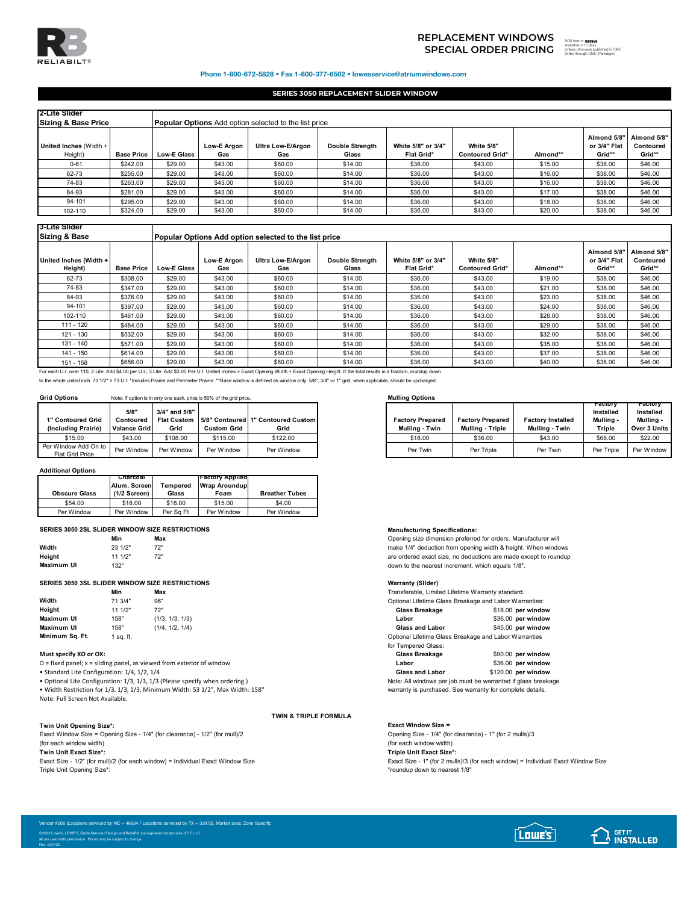

# **SPECIAL ORDER PRICING** <sup>the discussion is days</sup> **REPLACEMENT WINDOWS**

893858

Order through CMC (Paradigm)

ed in CMC

SOS Item #

## Phone 1-800-672-5828 • Fax 1-800-377-6502 • lowesservice@atriumwindows.com

## **SERIES 3050 REPLACEMENT SLIDER WINDOW**

| 2-Lite Slider<br><b>Sizing &amp; Base Price</b> |                   |                    |                           | <b>Popular Options</b> Add option selected to the list price |                                 |                                  |                                      |          |                                       |                                    |
|-------------------------------------------------|-------------------|--------------------|---------------------------|--------------------------------------------------------------|---------------------------------|----------------------------------|--------------------------------------|----------|---------------------------------------|------------------------------------|
| United Inches (Width +<br>Height)               | <b>Base Price</b> | <b>Low-E Glass</b> | <b>Low-E Argon</b><br>Gas | Ultra Low-E/Argon<br>Gas                                     | <b>Double Strenath</b><br>Glass | White 5/8" or 3/4"<br>Flat Grid* | White 5/8"<br><b>Contoured Grid*</b> | Almond** | Almond 5/8"<br>or 3/4" Flat<br>Grid** | Almond 5/8"<br>Contoured<br>Grid** |
| $0 - 61$                                        | \$242.00          | \$29.00            | \$43.00                   | \$60.00                                                      | \$14.00                         | \$36.00                          | \$43.00                              | \$15.00  | \$38.00                               | \$46.00                            |
| 62-73                                           | \$255.00          | \$29.00            | \$43.00                   | \$60.00                                                      | \$14.00                         | \$36.00                          | \$43.00                              | \$16.00  | \$38.00                               | \$46.00                            |
| 74-83                                           | \$263.00          | \$29.00            | \$43.00                   | \$60.00                                                      | \$14.00                         | \$36.00                          | \$43.00                              | \$16.00  | \$38.00                               | \$46.00                            |
| 84-93                                           | \$281.00          | \$29.00            | \$43.00                   | \$60.00                                                      | \$14.00                         | \$36.00                          | \$43.00                              | \$17.00  | \$38.00                               | \$46.00                            |
| 94-101                                          | \$295.00          | \$29.00            | \$43.00                   | \$60.00                                                      | \$14.00                         | \$36.00                          | \$43.00                              | \$18.00  | \$38.00                               | \$46.00                            |
| 102-110                                         | \$324.00          | \$29.00            | \$43.00                   | \$60.00                                                      | \$14.00                         | \$36.00                          | \$43.00                              | \$20.00  | \$38.00                               | \$46.00                            |

## **3-Lite Slider**

| <b>Sizing &amp; Base</b>          |                   |                    |                    | Popular Options Add option selected to the list price |                                 |                                         |                                      |          |                                       |                                    |
|-----------------------------------|-------------------|--------------------|--------------------|-------------------------------------------------------|---------------------------------|-----------------------------------------|--------------------------------------|----------|---------------------------------------|------------------------------------|
| United Inches (Width +<br>Height) | <b>Base Price</b> | <b>Low-E Glass</b> | Low-E Argon<br>Gas | Ultra Low-E/Argon<br>Gas                              | <b>Double Strength</b><br>Glass | White 5/8" or 3/4"<br><b>Flat Grid*</b> | White 5/8"<br><b>Contoured Grid*</b> | Almond** | Almond 5/8"<br>or 3/4" Flat<br>Grid** | Almond 5/8"<br>Contoured<br>Grid** |
| 62-73                             | \$308.00          | \$29.00            | \$43.00            | \$60.00                                               | \$14.00                         | \$36.00                                 | \$43.00                              | \$19.00  | \$38.00                               | \$46.00                            |
| 74-83                             | \$347.00          | \$29.00            | \$43.00            | \$60.00                                               | \$14.00                         | \$36.00                                 | \$43.00                              | \$21.00  | \$38.00                               | \$46.00                            |
| 84-93                             | \$376.00          | \$29.00            | \$43.00            | \$60.00                                               | \$14.00                         | \$36.00                                 | \$43.00                              | \$23.00  | \$38.00                               | \$46.00                            |
| 94-101                            | \$397.00          | \$29.00            | \$43.00            | \$60.00                                               | \$14.00                         | \$36.00                                 | \$43.00                              | \$24.00  | \$38.00                               | \$46.00                            |
| 102-110                           | \$461.00          | \$29.00            | \$43.00            | \$60.00                                               | \$14.00                         | \$36.00                                 | \$43.00                              | \$28.00  | \$38.00                               | \$46.00                            |
| 111 - 120                         | \$484.00          | \$29.00            | \$43.00            | \$60.00                                               | \$14.00                         | \$36.00                                 | \$43.00                              | \$29.00  | \$38.00                               | \$46.00                            |
| 121 - 130                         | \$532.00          | \$29.00            | \$43.00            | \$60.00                                               | \$14.00                         | \$36.00                                 | \$43.00                              | \$32.00  | \$38.00                               | \$46.00                            |
| 131 - 140                         | \$571.00          | \$29.00            | \$43.00            | \$60.00                                               | \$14.00                         | \$36.00                                 | \$43.00                              | \$35.00  | \$38.00                               | \$46.00                            |
| 141 - 150                         | \$614.00          | \$29.00            | \$43.00            | \$60.00                                               | \$14.00                         | \$36.00                                 | \$43.00                              | \$37.00  | \$38.00                               | \$46.00                            |
| 151 - 158                         | \$656.00          | \$29.00            | \$43.00            | \$60.00                                               | \$14.00                         | \$36.00                                 | \$43.00                              | \$40.00  | \$38.00                               | \$46.00                            |

151 - 158 \$656.00 \$29.00 \$43.00 \$60.00 \$14.00 \$36.00 \$43.00 \$40.00 \$38.00 \$46.00 For each U.I. over 110, 2 Lite: Add \$4.00 per U.I.; 3 Lite: Add \$3.00 Per U.I. United Inches = Exact Opening Width + Exact Opening Height. If the total results in a fraction, roundup down

to the whole united inch. 73 1/2" = 73 U.I. \*Includes Prairie and Perimeter Prairie. \*\*Base window is defined as window only. 5/8", 3/4" or 1" grid, when applicable, should be upcharged.

## **Grid Options** Note: If option is in only one sash, price is 50% of the grid price. **Mulling Options Mulling Options**

 $\mathbf{I}$ 

| 1" Contoured Grid<br>(Including Prairie)       | 5/8"<br>Contoured<br><b>Valance Grid</b> | 3/4" and 5/8"<br><b>Flat Custom</b><br>Grid | <b>Custom Grid</b> | 5/8" Contoured 1" Contoured Custom<br>Grid |
|------------------------------------------------|------------------------------------------|---------------------------------------------|--------------------|--------------------------------------------|
| \$15.00                                        | \$43.00                                  | \$108.00                                    | \$115.00           | \$122.00                                   |
| Per Window Add On to<br><b>Flat Grid Price</b> | Per Window                               | Per Window                                  | Per Window         | Per Window                                 |

### **Additional Options**

|                      | Charcoal<br>Alum. Screen | Tempered  | <b>Tractory Applied</b><br><b>Wrap Aroundup</b> |                       |
|----------------------|--------------------------|-----------|-------------------------------------------------|-----------------------|
| <b>Obscure Glass</b> | $(1/2$ Screen)           | Glass     | Foam                                            | <b>Breather Tubes</b> |
| \$54.00              | \$18.00                  | \$18.00   | \$15.00                                         | \$4.00                |
| Per Window           | Per Window               | Per Sa Ft | Per Window                                      | Per Window            |

## **SERIES 3050 2SL SLIDER WINDOW SIZE RESTRICTIONS Manufacturing Specifications:**

|            | Min     | Max |
|------------|---------|-----|
| Width      | 23 1/2" | 72" |
| Height     | 111/2"  | 72" |
| Maximum UI | 132"    |     |

### **SERIES 3050 3SL SLIDER WINDOW SIZE RESTRICTIONS Warranty (Slider)**

|                                       | Min     | Max             |
|---------------------------------------|---------|-----------------|
| Width                                 | 71 3/4" | 96"             |
| Height                                | 111/2"  | 72"             |
| <b>Maximum UI</b>                     | 158"    | (1/3, 1/3, 1/3) |
| <b>Maximum UI</b>                     | 158"    | (1/4, 1/2, 1/4) |
| Minimum C <sub>n</sub> E <sub>t</sub> | $4 - 4$ |                 |

### **Must specify XO or OX:**

• Width Restriction for  $1/3$ ,  $1/3$ ,  $1/3$ , Minimum Width: 53  $1/2$ ", Max Width: 158" Note: Full Screen Not Available.

**Twin Unit Opening Size\*: Exact Window Size =** Exact Window Size = Opening Size -  $1/4$ " (for clearance) -  $1/2$ " (for mull)/2 (for each window width) (for each window width) (for each window width) (for each window width) (for each window width) (for each window width) (for each window width) (for each window width) (for each window width) (for each window width) (for e

**Twin Unit Exact Size\*: Triple Unit Exact Size\*:**

| <b>Contoured Grid</b><br>cluding Prairie)    | 5/8<br>Contoured<br><b>Valance Grid</b> | 3/4" and 5/8"<br>Grid | <b>Custom Grid</b> | Flat Custom 15/8" Contoured 11" Contoured Custom<br>Grid |
|----------------------------------------------|-----------------------------------------|-----------------------|--------------------|----------------------------------------------------------|
|                                              | \$43.00                                 | \$108.00              | \$115.00           | \$122.00                                                 |
| Window Add On to I<br><b>Flat Grid Price</b> | Per Window                              | Per Window            | Per Window         | Per Window                                               |

**Min Max** Opening size dimension preferred for orders. Manufacturer will make 1/4" deduction from opening width & height. When windows are ordered exact size, no deductions are made except to roundup down to the nearest increment, which equals 1/8".

|                                                                              | Min       | Max                                                                   | Transferable, Limited Lifetime Warranty standard.           |                     |  |
|------------------------------------------------------------------------------|-----------|-----------------------------------------------------------------------|-------------------------------------------------------------|---------------------|--|
| Width                                                                        | 71 3/4"   | 96"                                                                   | Optional Lifetime Glass Breakage and Labor Warranties:      |                     |  |
| Height                                                                       | 111/2"    | 72"                                                                   | Glass Breakage                                              | \$18.00 per window  |  |
| Maximum UI                                                                   | 158"      | (1/3, 1/3, 1/3)                                                       | Labor                                                       | \$36.00 per window  |  |
| Maximum UI                                                                   | 158"      | (1/4, 1/2, 1/4)                                                       | <b>Glass and Labor</b>                                      | \$45.00 per window  |  |
| Minimum Sa. Ft.                                                              | l sa. ft. |                                                                       | Optional Lifetime Glass Breakage and Labor Warranties       |                     |  |
|                                                                              |           |                                                                       | for Tempered Glass:                                         |                     |  |
| Must specify XO or OX:                                                       |           |                                                                       | Glass Breakage                                              | \$90.00 per window  |  |
|                                                                              |           | O = fixed panel; x = sliding panel, as viewed from exterior of window | Labor                                                       | \$36.00 per window  |  |
| • Standard Lite Configuration: 1/4, 1/2, 1/4                                 |           |                                                                       | <b>Glass and Labor</b>                                      | \$120.00 per window |  |
| • Optional Lite Configuration: 1/3, 1/3, 1/3 (Please specify when ordering.) |           |                                                                       | Note: All windows per job must be warranted if glass breaka |                     |  |

• Optional Lite Configuration: 1/3, 1/3, 1/3 (Please specify when ordering.)<br>• Width Restriction for 1/3, 1/3, 1/3, Minimum Width: 53 1/2", Max Width: 158" Note: All windows per job must be warranty for complete details.

**TWIN & TRIPLE FORMULA**

Exact Size - 1/2" (for mull)/2 (for each window) = Individual Exact Window Size exact Size - 1" (for 2 mulls)/3 (for each window) = Individual Exact Window Size Friele Unit Opening Size\*:<br>Triple Unit Opening Size\*: \*roundup down to nearest 1/8"

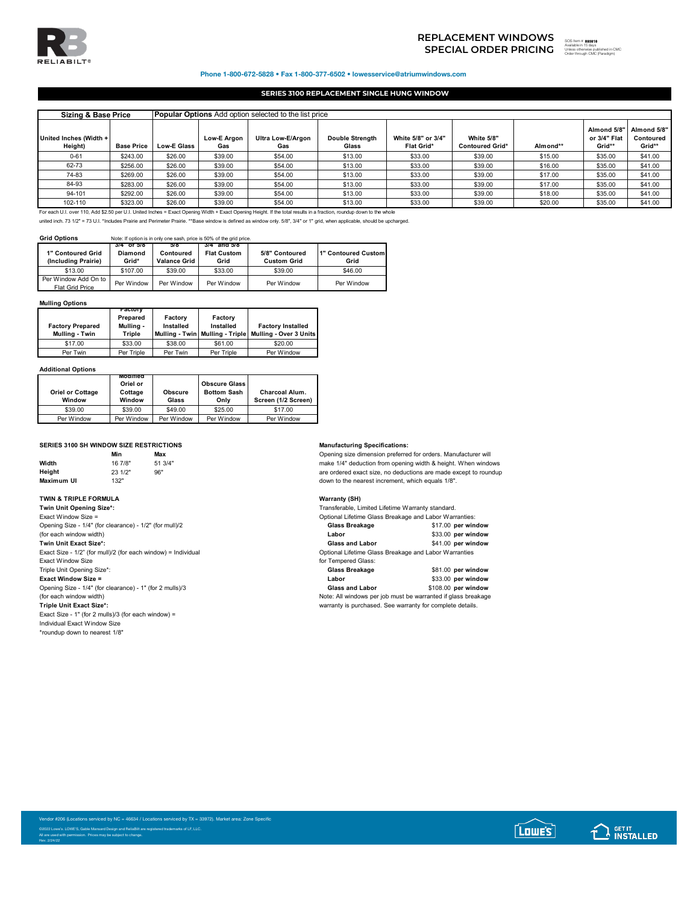

# **SPECIAL ORDER PRICING** SOS **Analde in 15 days**<br>
SPECIAL ORDER PRICING Character begins Character and the **Caracter of the Caracter and Conditional Disc REPLACEMENT WINDOWS**

o uays<br>wise published in CMC<br>h. CMC (Borediam)

Phone 1-800-672-5828 • Fax 1-800-377-6502 • lowesservice@atriumwindows.com

## **SERIES 3100 REPLACEMENT SINGLE HUNG WINDOW**

|                                   | <b>Popular Options</b> Add option selected to the list price<br><b>Sizing &amp; Base Price</b>                                                                        |                    |                           |                          |                                 |                                  |                                      |          |                                       |                                    |
|-----------------------------------|-----------------------------------------------------------------------------------------------------------------------------------------------------------------------|--------------------|---------------------------|--------------------------|---------------------------------|----------------------------------|--------------------------------------|----------|---------------------------------------|------------------------------------|
| United Inches (Width +<br>Height) | <b>Base Price</b>                                                                                                                                                     | <b>Low-E Glass</b> | <b>Low-E Argon</b><br>Gas | Ultra Low-E/Argon<br>Gas | <b>Double Strenath</b><br>Glass | White 5/8" or 3/4"<br>Flat Grid* | White 5/8"<br><b>Contoured Grid*</b> | Almond** | Almond 5/8"<br>or 3/4" Flat<br>Grid** | Almond 5/8"<br>Contoured<br>Grid** |
| $0 - 61$                          | \$243.00                                                                                                                                                              | \$26.00            | \$39.00                   | \$54.00                  | \$13.00                         | \$33.00                          | \$39.00                              | \$15.00  | \$35.00                               | \$41.00                            |
| 62-73                             | \$256.00                                                                                                                                                              | \$26.00            | \$39.00                   | \$54.00                  | \$13.00                         | \$33.00                          | \$39.00                              | \$16.00  | \$35.00                               | \$41.00                            |
| 74-83                             | \$269.00                                                                                                                                                              | \$26.00            | \$39.00                   | \$54.00                  | \$13.00                         | \$33.00                          | \$39.00                              | \$17.00  | \$35.00                               | \$41.00                            |
| 84-93                             | \$283.00                                                                                                                                                              | \$26.00            | \$39.00                   | \$54.00                  | \$13.00                         | \$33.00                          | \$39.00                              | \$17.00  | \$35.00                               | \$41.00                            |
| 94-101                            | \$292.00                                                                                                                                                              | \$26.00            | \$39.00                   | \$54.00                  | \$13.00                         | \$33.00                          | \$39.00                              | \$18.00  | \$35.00                               | \$41.00                            |
| 102-110                           | \$323.00                                                                                                                                                              | \$26.00            | \$39.00                   | \$54.00                  | \$13.00                         | \$33.00                          | \$39.00                              | \$20.00  | \$35.00                               | \$41.00                            |
|                                   | For each U.I. over 110, Add \$2.50 per U.I. United Inches = Exact Opening Width + Exact Opening Height. If the total results in a fraction, roundup down to the whole |                    |                           |                          |                                 |                                  |                                      |          |                                       |                                    |

united inch. 73 1/2" = 73 U.I. \*Includes Prairie and Perimeter Prairie. \*\*Base window is defined as window only. 5/8", 3/4" or 1" grid, when applicable, should be upcharged.

**Grid Options** Note: If option is in only one sash, price is 50% of the grid price.

| 1" Contoured Grid<br>(Including Prairie) | 3/4 OF 5/8<br>Diamond<br>Grid* | 578<br>Contoured<br><b>Valance Grid</b> | 3/4 and 5/8<br><b>Flat Custom</b><br>Grid | 5/8" Contoured<br><b>Custom Grid</b> | 1" Contoured Custom<br>Grid |
|------------------------------------------|--------------------------------|-----------------------------------------|-------------------------------------------|--------------------------------------|-----------------------------|
| \$13.00                                  | \$107.00                       | \$39.00                                 | \$33.00                                   | \$39.00                              | \$46.00                     |
| Per Window Add On to<br>Flat Grid Price  | Per Window                     | Per Window                              | Per Window                                | Per Window                           | Per Window                  |

## **Mulling Options**

| <b>Factory Prepared</b><br>Mulling - Twin | ractory<br>Prepared<br>Mulling -<br>Triple | Factory<br>Installed | Factory<br>Installed | <b>Factory Installed</b><br>Mulling - Twin   Mulling - Triple   Mulling - Over 3 Units |
|-------------------------------------------|--------------------------------------------|----------------------|----------------------|----------------------------------------------------------------------------------------|
| \$17.00                                   | \$33.00                                    | \$38.00              | \$61.00              | \$20.00                                                                                |
| Per Twin                                  | Per Triple                                 | Per Twin             | Per Triple           | Per Window                                                                             |

### **Additional Options**

| <b>Oriel or Cottage</b><br>Window | Moamea<br>Oriel or<br>Cottage<br>Window | <b>Obscure</b><br>Glass | <b>Obscure Glass</b><br><b>Bottom Sash</b><br>Only | <b>Charcoal Alum.</b><br>Screen (1/2 Screen) |  |
|-----------------------------------|-----------------------------------------|-------------------------|----------------------------------------------------|----------------------------------------------|--|
| \$39.00                           | \$39.00                                 | \$49.00                 | \$25.00                                            | \$17.00                                      |  |
| Per Window                        | Per Window                              | Per Window              | Per Window                                         | Per Window                                   |  |

### **SERIES 3100 SH WINDOW SIZE RESTRICTIONS Manufacturing Specifications:**

|            | Min     | Max     |
|------------|---------|---------|
| Width      | 16 7/8" | 51 3/4" |
| Height     | 23 1/2" | 96"     |
| Maximum UI | 132"    |         |
|            |         |         |

**TWIN & TRIPLE FORMULA Warranty (SH)**<br> **Twin Unit Opening Size<sup>+</sup>: Warranty (SH) Transferable, Link Controllering Size Twin Unit Opening Size\*:** Transferable, Limited Lifetime Warranty standard. Exact Window Size = Optional Lifetime Glass Breakage and Labor Warranties: Opening Size - 1/4" (for clearance) - 1/2" (for mull)/2 (for each window width) Exact Size - 1/2" (for mull)/2 (for each window) = Individual Optional Lifetime Glass Breakage and Labor Warranties Exact Window Size **Triple Unit Opening Size\*: Exact Window Size =** Opening Size - 1/4" (for clearance) - 1" (for 2 mulls)/3 (for each window width) (for each window width) Note: All windows per job must be warranted if glass breakage<br>
Triple Unit Exact Size\*:<br>
Warranty is purchased. See warranty for complete details. Exact Size - 1" (for 2 mulls)/3 (for each window) =

Individual Exact Window Size

\*roundup down to nearest 1/8"

Rev. 2/24/22

**Opening size dimension preferred for orders. Manufacturer will** make 1/4" deduction from opening width & height. When windows are ordered exact size, no deductions are made except to roundup down to the nearest increment, which equals 1/8".

| ⊏xact willigow olze –                                   | Optional Lifetime Glass Breakage and Labor Warranges. |                    |
|---------------------------------------------------------|-------------------------------------------------------|--------------------|
| Opening Size - 1/4" (for clearance) - 1/2" (for mull)/2 | Glass Breakage                                        | \$17.00 per window |
| (for each window width)                                 | Labor                                                 | \$33.00 per window |
| Twin Unit Exact Size*:                                  | <b>Glass and Labor</b>                                | \$41.00 per window |
|                                                         |                                                       |                    |

| for Tempered Glass: |  |  |
|---------------------|--|--|

| Glass Breakage                                               | \$81.00 per window  |
|--------------------------------------------------------------|---------------------|
| Labor                                                        | \$33.00 per window  |
| <b>Glass and Labor</b>                                       | \$108.00 per window |
| Note: All windows per job must be warranted if glass breakag |                     |
| warranty is purchased. See warranty for complete details.    |                     |

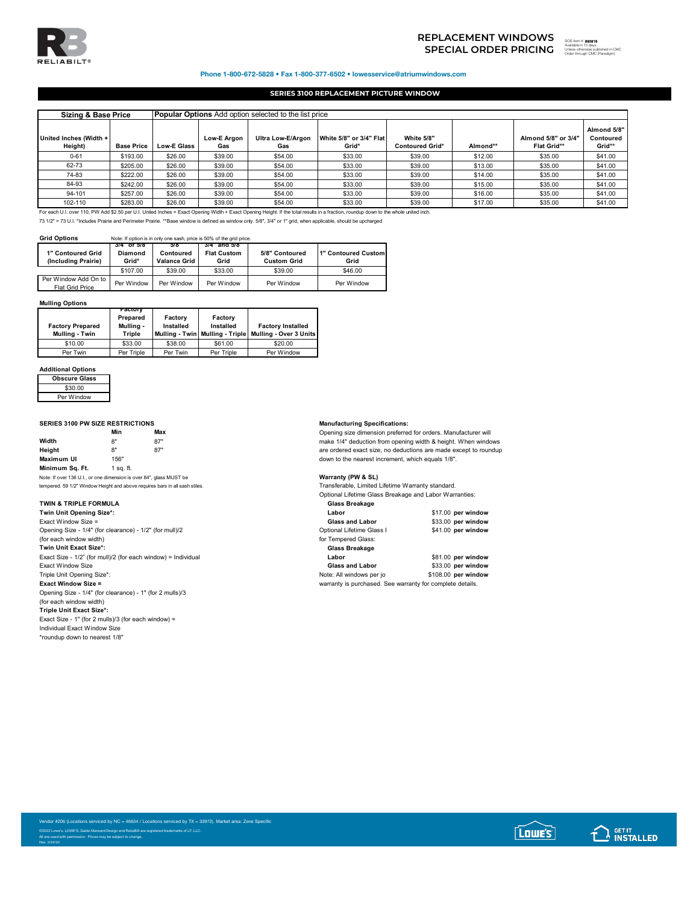

# **SPECIAL ORDER PRICING** <sup>the discussion is days</sup> **REPLACEMENT WINDOWS**

**893818** Unless otherwise published in CMC Order through CMC (Paradigm)

## Phone 1-800-672-5828 • Fax 1-800-377-6502 • lowesservice@atriumwindows.com

## **SERIES 3100 REPLACEMENT PICTURE WINDOW**

| <b>Popular Options</b> Add option selected to the list price<br><b>Sizing &amp; Base Price</b> |                   |                    |                    |                          |                                  |                                             |          |                                    |                                    |
|------------------------------------------------------------------------------------------------|-------------------|--------------------|--------------------|--------------------------|----------------------------------|---------------------------------------------|----------|------------------------------------|------------------------------------|
| United Inches (Width +<br>Height)                                                              | <b>Base Price</b> | <b>Low-E Glass</b> | Low-E Argon<br>Gas | Ultra Low-E/Argon<br>Gas | White 5/8" or 3/4" Flat<br>Grid* | <b>White 5/8"</b><br><b>Contoured Grid*</b> | Almond** | Almond 5/8" or 3/4"<br>Flat Grid** | Almond 5/8"<br>Contoured<br>Grid** |
| $0 - 61$                                                                                       | \$193.00          | \$26.00            | \$39.00            | \$54.00                  | \$33.00                          | \$39.00                                     | \$12.00  | \$35.00                            | \$41.00                            |
| 62-73                                                                                          | \$205.00          | \$26.00            | \$39.00            | \$54.00                  | \$33.00                          | \$39.00                                     | \$13.00  | \$35.00                            | \$41.00                            |
| 74-83                                                                                          | \$222.00          | \$26.00            | \$39.00            | \$54.00                  | \$33.00                          | \$39.00                                     | \$14.00  | \$35.00                            | \$41.00                            |
| 84-93                                                                                          | \$242.00          | \$26.00            | \$39.00            | \$54.00                  | \$33.00                          | \$39.00                                     | \$15.00  | \$35.00                            | \$41.00                            |
| 94-101                                                                                         | \$257.00          | \$26.00            | \$39.00            | \$54.00                  | \$33.00                          | \$39.00                                     | \$16.00  | \$35.00                            | \$41.00                            |
| 102-110                                                                                        | \$283.00          | \$26.00            | \$39.00            | \$54.00                  | \$33.00                          | \$39.00                                     | \$17.00  | \$35.00                            | \$41.00                            |

For each U.I. over 110, PW Add \$2.50 per U.I. United Inches = Exact Opening Width + Exact Opening Height. If the total results in a fraction, roundup down to the whole united inch. 73 1/2" = 73 U.I. \*Includes Prairie and Perimeter Prairie. \*\*Base window is defined as window only. 5/8", 3/4" or 1" grid, when applicable, should be upcharged

**Grid Options** Note: If option is in only one sash, price is 50% of the grid price.

|                        | 3/4 OF 5/8     | 5/8                 | 3/4 and 5/8        |                    |                     |
|------------------------|----------------|---------------------|--------------------|--------------------|---------------------|
| 1" Contoured Grid      | <b>Diamond</b> | <b>Contoured</b>    | <b>Flat Custom</b> | 5/8" Contoured     | 1" Contoured Custom |
| (Including Prairie)    | Grid*          | <b>Valance Grid</b> | Grid               | <b>Custom Grid</b> | Grid                |
|                        | \$107.00       | \$39.00             | \$33.00            | \$39.00            | \$46.00             |
| Per Window Add On to   | Per Window     | Per Window          | Per Window         | Per Window         | Per Window          |
| <b>Flat Grid Price</b> |                |                     |                    |                    |                     |

### **Mulling Options**

| <b>Factory Prepared</b><br>Mulling - Twin | ractory<br>Prepared<br>Mulling -<br>Triple | Factory<br>Installed | Factory<br>Installed | <b>Factory Installed</b><br>Mulling - Twin Mulling - Triple Mulling - Over 3 Units |
|-------------------------------------------|--------------------------------------------|----------------------|----------------------|------------------------------------------------------------------------------------|
| \$10.00                                   | \$33.00                                    | \$38.00              | \$61.00              | \$20.00                                                                            |
| Per Twin                                  | Per Triple                                 | Per Twin             | Per Triple           | Per Window                                                                         |

### **Additional Options**

| <b>Obscure Glass</b> |  |
|----------------------|--|
| \$30.00              |  |
| Per Window           |  |
|                      |  |

## **SERIES 3100 PW SIZE RESTRICTIONS Manufacturing Specifications:**

|                   | Min       | Max |
|-------------------|-----------|-----|
| Width             | 8"        | 87" |
| Height            | 8"        | 87" |
| <b>Maximum UI</b> | 156"      |     |
| Minimum Sq. Ft.   | 1 sq. ft. |     |
|                   |           |     |

Note: If over 136 U.I., or one dimension is over 84", glass MUST be **Warranty (PW & SL)**<br> **Note that the above the property of the above** requires bars in all seath stiles **Warranty COW & SC Transferable.** Limited Limite

## **TWIN & TRIPLE FORMULA**

| Twin Unit Opening Size*:                                      | Labor                     | \$17.00 per window |
|---------------------------------------------------------------|---------------------------|--------------------|
| Exact Window Size $=$                                         | <b>Glass and Labor</b>    | \$33.00 per window |
| Opening Size - 1/4" (for clearance) - 1/2" (for mull)/2       | Optional Lifetime Glass I | \$41.00 per window |
| (for each window width)                                       | for Tempered Glass:       |                    |
| Twin Unit Exact Size*:                                        | Glass Breakage            |                    |
| Exact Size - 1/2" (for mull)/2 (for each window) = Individual | Labor                     | \$81.00 per window |
| Exact Window Size                                             | <b>Glass and Labor</b>    | \$33.00 per window |

Triple Unit Opening Size\*:<br>Exact Window Size =

Opening Size - 1/4" (for clearance) - 1" (for 2 mulls)/3 (for each window width) **Triple Unit Exact Size\*:**

Exact Size - 1" (for 2 mulls)/3 (for each window) = Individual Exact Window Size

\*roundup down to nearest 1/8"

**Min Max** Opening size dimension preferred for orders. Manufacturer will make 1/4" deduction from opening width & height. When windows are ordered exact size, no deductions are made except to roundup down to the nearest increment, which equals 1/8".

vuntumy (FIV & CL)<br>Transferable, Limited Lifetime Warranty standard. Optional Lifetime Glass Breakage and Labor Warranties:<br>
Glass Breakage

| Labor |                        |  |
|-------|------------------------|--|
|       | <b>Glass and Labor</b> |  |

| Optional Liletime Glass |
|-------------------------|
| for Tempered Glass:     |

Exabor - 1/2 (For mulle)<br>Class and Labor - 1/2 (1990) same state of the San Mulle of the San Mulle of the San Mulle of the San Mulle o<br>Page 381.00 **per window** Glass and Labor **\$33.00 per window**<br>Note: All windows per jo **\$108.00 per window** warranty is purchased. See warranty for complete details.

**Twin Unit Opening Size\*: Labor** \$17.00 **per window**

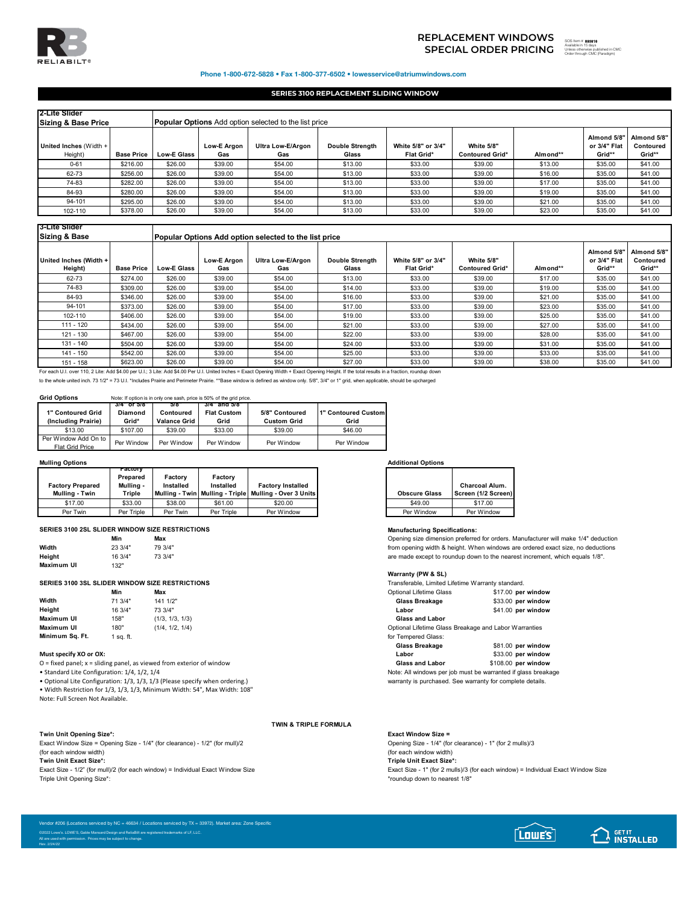

# **SPECIAL ORDER PRICING** <sup>the discussion is days</sup> **REPLACEMENT WINDOWS**

893818 SOS Item # ed in CMC Order through CMC (Paradigm)

### Phone 1-800-672-5828 • Fax 1-800-377-6502 • lowesservice@atriumwindows.com

## **SERIES 3100 REPLACEMENT SLIDING WINDOW**

| 2-Lite Slider<br><b>Sizing &amp; Base Price</b> |                   | <b>Popular Options</b> Add option selected to the list price |                           |                          |                                 |                                         |                                      |          |                                       |                                    |
|-------------------------------------------------|-------------------|--------------------------------------------------------------|---------------------------|--------------------------|---------------------------------|-----------------------------------------|--------------------------------------|----------|---------------------------------------|------------------------------------|
| United Inches (Width +<br>Height)               | <b>Base Price</b> | <b>Low-E Glass</b>                                           | <b>Low-E Araon</b><br>Gas | Ultra Low-E/Argon<br>Gas | <b>Double Strength</b><br>Glass | White 5/8" or 3/4"<br><b>Flat Grid*</b> | White 5/8"<br><b>Contoured Grid*</b> | Almond** | Almond 5/8"<br>or 3/4" Flat<br>Grid** | Almond 5/8"<br>Contoured<br>Grid** |
| $0 - 61$                                        | \$216.00          | \$26.00                                                      | \$39.00                   | \$54.00                  | \$13.00                         | \$33.00                                 | \$39.00                              | \$13.00  | \$35.00                               | \$41.00                            |
| 62-73                                           | \$256.00          | \$26.00                                                      | \$39.00                   | \$54.00                  | \$13.00                         | \$33.00                                 | \$39.00                              | \$16.00  | \$35.00                               | \$41.00                            |
| 74-83                                           | \$282.00          | \$26.00                                                      | \$39.00                   | \$54.00                  | \$13.00                         | \$33.00                                 | \$39.00                              | \$17.00  | \$35.00                               | \$41.00                            |
| 84-93                                           | \$280.00          | \$26.00                                                      | \$39.00                   | \$54.00                  | \$13.00                         | \$33.00                                 | \$39.00                              | \$19.00  | \$35.00                               | \$41.00                            |
| 94-101                                          | \$295.00          | \$26.00                                                      | \$39.00                   | \$54.00                  | \$13.00                         | \$33.00                                 | \$39.00                              | \$21.00  | \$35.00                               | \$41.00                            |
| 102-110                                         | \$378.00          | \$26.00                                                      | \$39.00                   | \$54.00                  | \$13.00                         | \$33.00                                 | \$39.00                              | \$23.00  | \$35.00                               | \$41.00                            |

## **3-Lite Slider**

| <b>Sizing &amp; Base</b>          |                   |                    | <b>Popular Options Add option selected to the list price</b> |                          |                                 |                                         |                                      |          |                                       |                                    |  |  |
|-----------------------------------|-------------------|--------------------|--------------------------------------------------------------|--------------------------|---------------------------------|-----------------------------------------|--------------------------------------|----------|---------------------------------------|------------------------------------|--|--|
| United Inches (Width +<br>Height) | <b>Base Price</b> | <b>Low-E Glass</b> | Low-E Argon<br>Gas                                           | Ultra Low-E/Argon<br>Gas | <b>Double Strength</b><br>Glass | White 5/8" or 3/4"<br><b>Flat Grid*</b> | White 5/8"<br><b>Contoured Grid*</b> | Almond** | Almond 5/8"<br>or 3/4" Flat<br>Grid** | Almond 5/8"<br>Contoured<br>Grid** |  |  |
| 62-73                             | \$274.00          | \$26.00            | \$39.00                                                      | \$54.00                  | \$13.00                         | \$33.00                                 | \$39.00                              | \$17.00  | \$35.00                               | \$41.00                            |  |  |
| 74-83                             | \$309.00          | \$26.00            | \$39.00                                                      | \$54.00                  | \$14.00                         | \$33.00                                 | \$39.00                              | \$19.00  | \$35.00                               | \$41.00                            |  |  |
| 84-93                             | \$346.00          | \$26.00            | \$39.00                                                      | \$54.00                  | \$16.00                         | \$33.00                                 | \$39.00                              | \$21.00  | \$35.00                               | \$41.00                            |  |  |
| 94-101                            | \$373.00          | \$26.00            | \$39.00                                                      | \$54.00                  | \$17.00                         | \$33.00                                 | \$39.00                              | \$23.00  | \$35.00                               | \$41.00                            |  |  |
| 102-110                           | \$406.00          | \$26.00            | \$39.00                                                      | \$54.00                  | \$19.00                         | \$33.00                                 | \$39.00                              | \$25.00  | \$35.00                               | \$41.00                            |  |  |
| $111 - 120$                       | \$434.00          | \$26.00            | \$39.00                                                      | \$54.00                  | \$21.00                         | \$33.00                                 | \$39.00                              | \$27.00  | \$35.00                               | \$41.00                            |  |  |
| 121 - 130                         | \$467.00          | \$26.00            | \$39.00                                                      | \$54.00                  | \$22.00                         | \$33.00                                 | \$39.00                              | \$28.00  | \$35.00                               | \$41.00                            |  |  |
| 131 - 140                         | \$504.00          | \$26.00            | \$39.00                                                      | \$54.00                  | \$24.00                         | \$33.00                                 | \$39.00                              | \$31.00  | \$35.00                               | \$41.00                            |  |  |
| 141 - 150                         | \$542.00          | \$26.00            | \$39.00                                                      | \$54.00                  | \$25.00                         | \$33.00                                 | \$39.00                              | \$33.00  | \$35.00                               | \$41.00                            |  |  |
| $151 - 158$                       | \$623.00          | \$26.00            | \$39.00                                                      | \$54.00                  | \$27.00                         | \$33.00                                 | \$39.00                              | \$38.00  | \$35.00                               | \$41.00                            |  |  |

151 - 158 \$623.00 \$26.00 \$39.00 \$54.00 \$27.00 \$33.00 \$39.00 \$38.00 \$35.00 \$41.00 For each U.I. over 110, 2 Lite: Add \$4.00 per U.I.; 3 Lite: Add \$4.00 Per U.I. United Inches = Exact Opening Width + Exact Opening Height. If the total results in a fraction, roundup down

to the whole united inch. 73 1/2" = 73 U.I. \*Includes Prairie and Perimeter Prairie. \*\*Base window is defined as window only. 5/8", 3/4" or 1" grid, when applicable, should be upcharged

### **Grid Options** Note: If option is in only one sash, price is 50% of the grid price.

| 1" Contoured Grid<br>(Including Prairie) | $3/4$ or 5/8<br>Diamond<br>Grid* | 518.<br>Contoured<br><b>Valance Grid</b> | 3/4" and 5/8"<br><b>Flat Custom</b><br>Grid | 5/8" Contoured<br><b>Custom Grid</b> | 1" Contoured Custom<br>Grid |
|------------------------------------------|----------------------------------|------------------------------------------|---------------------------------------------|--------------------------------------|-----------------------------|
| \$13.00                                  | \$107.00                         | \$39.00                                  | \$33.00                                     | \$39.00                              | \$46.00                     |
| Per Window Add On to<br>Flat Grid Price  | Per Window                       | Per Window                               | Per Window                                  | Per Window                           | Per Window                  |

### **Mulling Options Additional Options**

|                         | гастогу<br>Prepared | Factorv   | Factory    |                                                            |  |                                         |
|-------------------------|---------------------|-----------|------------|------------------------------------------------------------|--|-----------------------------------------|
| <b>Factory Prepared</b> | Mullina -           | Installed | Installed  | <b>Factory Installed</b>                                   |  |                                         |
| Mulling - Twin          | Triple              |           |            | Mullina - Twin   Mullina - Triple   Mullina - Over 3 Units |  | Screen (1/2 Scr<br><b>Obscure Glass</b> |
| \$17.00                 | \$33.00             | \$38.00   | \$61.00    | \$20.00                                                    |  | \$49.00                                 |
| Per Twin                | Per Triple          | Per Twin  | Per Triple | Per Window                                                 |  | Per Window                              |

## **SERIES 3100 2SL SLIDER WINDOW SIZE RESTRICTIONS Manufacturing Specifications:**

|                   | MIN     | max    |
|-------------------|---------|--------|
| Width             | 23 3/4" | 79 3/4 |
| Heiaht            | 16 3/4" | 73 3/4 |
| <b>Maximum UI</b> | 132"    |        |

### **SERIES 3100 3SL SLIDER WINDOW SIZE RESTRICTIONS**

|                 | Min       | Max             | Optional Lifetime Gla  |
|-----------------|-----------|-----------------|------------------------|
| Width           | 71 3/4"   | 141 1/2"        | Glass Breakage         |
| Height          | 16 3/4"   | 73 3/4"         | Labor                  |
| Maximum UI      | 158"      | (1/3, 1/3, 1/3) | <b>Glass and Labor</b> |
| Maximum UI      | 180"      | (1/4, 1/2, 1/4) | Optional Lifetime Gla  |
| Minimum Sa. Ft. | 1 sa. ft. |                 | for Tempered Glass:    |

### **Must specify XO or OX:**

O = fixed panel; x = sliding panel, as viewed from exterior of window **Glass and Labor** \$108.00 **per window**

• Optional Lite Configuration:  $1/3$ ,  $1/3$ ,  $1/3$  (Please specify when ordering.)

• Width Restriction for 1/3, 1/3, 1/3, Minimum Width: 54", Max Width: 108" Note: Full Screen Not Available.

**Twin Unit Opening Size\*: Exact Window Size =** Exact Window Size = Opening Size - 1/4" (for clearance) - 1/2" (for mull)/2 (for each window width) (for each window width) (for each window width) (for each window width) (for each window width) (for each window width) (for each window width) (for each window width) (for each window width) (for each window width) (for e

**Twin Unit Exact Size\*: Triple Unit Exact Size\*:** Triple Unit Opening Size\*:  $\blacksquare$ 

| <b>Obscure Glass</b> | Charcoal Alum.<br>Screen (1/2 Screen) |
|----------------------|---------------------------------------|
| \$49.00              | \$17.00                               |
| Per Window           | Per Window                            |

**Min Max** Opening size dimension preferred for orders. Manufacturer will make 1/4" deduction from opening width & height. When windows are ordered exact size, no deductions are made except to roundup down to the nearest increment, which equals 1/8".

## **Warranty (PW & SL)**

|                        |         | <b>SERIES 3100 3SL SLIDER WINDOW SIZE RESTRICTIONS</b> | Transferable, Limited Lifetime Warranty standard.     |                    |  |  |
|------------------------|---------|--------------------------------------------------------|-------------------------------------------------------|--------------------|--|--|
|                        | Min     | Max                                                    | <b>Optional Lifetime Glass</b>                        | \$17.00 per window |  |  |
| Width                  | 71 3/4" | 141 1/2"                                               | Glass Breakage                                        | \$33.00 per window |  |  |
| Height                 | 16 3/4" | 73 3/4"                                                | Labor                                                 | \$41.00 per window |  |  |
| Maximum UI             | 158"    | (1/3, 1/3, 1/3)                                        | <b>Glass and Labor</b>                                |                    |  |  |
| Maximum UI             | 180"    | (1/4, 1/2, 1/4)                                        | Optional Lifetime Glass Breakage and Labor Warranties |                    |  |  |
| Minimum Sa. Ft.        | sa. ft. |                                                        | for Tempered Glass:                                   |                    |  |  |
|                        |         |                                                        | Glass Breakage                                        | \$81.00 per window |  |  |
| Must specify XO or OX: |         |                                                        | Labor                                                 | \$33.00 per window |  |  |
|                        |         |                                                        |                                                       |                    |  |  |

• Standard Lite Configuration: 1/4, 1/2, 1/4 Note: All windows per job must be warranted if glass breakage

**TWIN & TRIPLE FORMULA**

Exact Size - 1" (for 2 mulls)/3 (for each window) = Individual Exact Window Size



 $[$  Lowe's $]$ **GET IT**<br>**INSTALLED**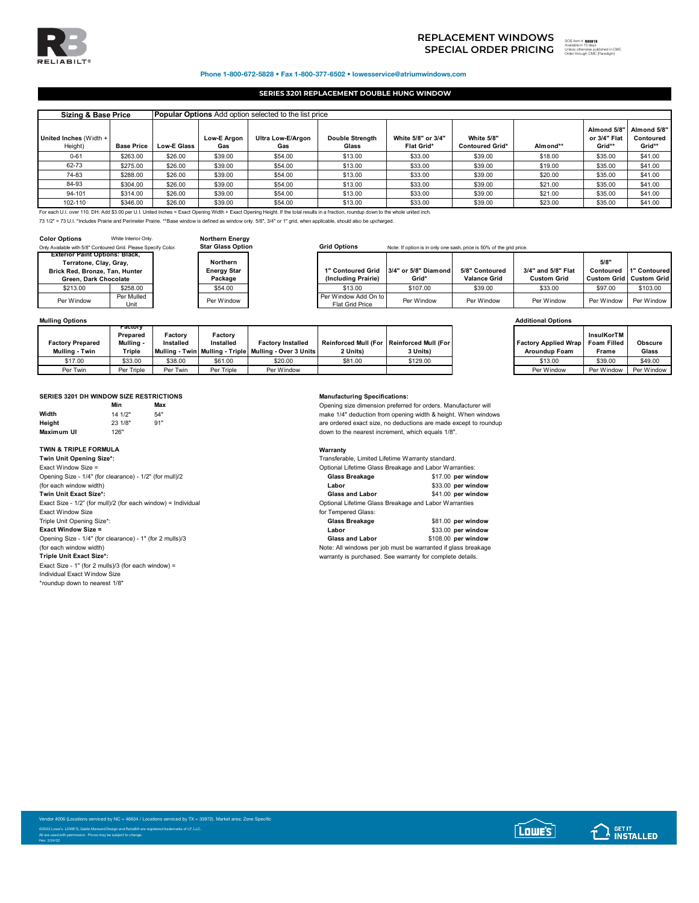

## **SPECIAL ORDER PRICING REPLACEMENT WINDOWS**

**893819** Available in 15 days Unless otherwise published in CMC Order through CMC (Paradigm)

Phone 1-800-672-5828 • Fax 1-800-377-6502 • lowesservice@atriumwindows.com

## **SERIES 3201 REPLACEMENT DOUBLE HUNG WINDOW**

| <b>Popular Options</b> Add option selected to the list price<br><b>Sizing &amp; Base Price</b>                                                                                         |                   |                    |                    |                          |                                 |                                  |                                      |          |                                       |                                    |
|----------------------------------------------------------------------------------------------------------------------------------------------------------------------------------------|-------------------|--------------------|--------------------|--------------------------|---------------------------------|----------------------------------|--------------------------------------|----------|---------------------------------------|------------------------------------|
| United Inches (Width +<br>Height)                                                                                                                                                      | <b>Base Price</b> | <b>Low-E Glass</b> | Low-E Argon<br>Gas | Ultra Low-E/Argon<br>Gas | <b>Double Strenath</b><br>Glass | White 5/8" or 3/4"<br>Flat Grid* | White 5/8"<br><b>Contoured Grid*</b> | Almond** | Almond 5/8"<br>or 3/4" Flat<br>Grid** | Almond 5/8"<br>Contoured<br>Grid** |
| $0 - 61$                                                                                                                                                                               | \$263.00          | \$26.00            | \$39.00            | \$54.00                  | \$13.00                         | \$33.00                          | \$39.00                              | \$18.00  | \$35.00                               | \$41.00                            |
| 62-73                                                                                                                                                                                  | \$275.00          | \$26.00            | \$39.00            | \$54.00                  | \$13.00                         | \$33.00                          | \$39.00                              | \$19.00  | \$35.00                               | \$41.00                            |
| 74-83                                                                                                                                                                                  | \$288.00          | \$26.00            | \$39.00            | \$54.00                  | \$13.00                         | \$33.00                          | \$39.00                              | \$20.00  | \$35.00                               | \$41.00                            |
| 84-93                                                                                                                                                                                  | \$304.00          | \$26.00            | \$39.00            | \$54.00                  | \$13.00                         | \$33.00                          | \$39.00                              | \$21.00  | \$35.00                               | \$41.00                            |
| 94-101                                                                                                                                                                                 | \$314.00          | \$26.00            | \$39.00            | \$54.00                  | \$13.00                         | \$33.00                          | \$39.00                              | \$21.00  | \$35.00                               | \$41.00                            |
| 102-110                                                                                                                                                                                | \$346.00          | \$26.00            | \$39.00            | \$54.00                  | \$13.00                         | \$33.00                          | \$39.00                              | \$23.00  | \$35.00                               | \$41.00                            |
| For each U.I. over 110, DH; Add \$3.00 per U.I. United Inches = Exact Opening Width + Exact Opening Height. If the total results in a fraction, roundup down to the whole united inch. |                   |                    |                    |                          |                                 |                                  |                                      |          |                                       |                                    |

73 1/2" = 73 U.I. \*Includes Prairie and Perimeter Prairie. \*\*Base window is defined as window only. 5/8", 3/4" or 1" grid, when applicable, should also be upcharged.

**Northern Energy<br>Star Glass Option** 

| <b>Color Options</b>                                           | White Interior Only.  |  |  |  |  |  |  |  |
|----------------------------------------------------------------|-----------------------|--|--|--|--|--|--|--|
| Only Available with 5/8" Contoured Grid. Please Specify Color. |                       |  |  |  |  |  |  |  |
| <b>Exterior Paint Options: Black,</b>                          |                       |  |  |  |  |  |  |  |
| Terratone, Clay, Gray,                                         |                       |  |  |  |  |  |  |  |
| Brick Red, Bronze, Tan, Hunter                                 |                       |  |  |  |  |  |  |  |
|                                                                | Green. Dark Chocolate |  |  |  |  |  |  |  |
| \$213.00                                                       | \$258.00              |  |  |  |  |  |  |  |
| Per Window                                                     | Per Mulled            |  |  |  |  |  |  |  |
|                                                                | Unit                  |  |  |  |  |  |  |  |

## Grid Options **Start Gride. In Star Grid. Contoured Grid** Options Note: If option is in only one sash, price is 50% of the grid price.

| rior Paint Options: Black. |            |                    |                        |                                        |                     |                    |            |                                |
|----------------------------|------------|--------------------|------------------------|----------------------------------------|---------------------|--------------------|------------|--------------------------------|
| Terratone, Clay, Gray,     |            | Northern           |                        |                                        |                     |                    | 5/8"       |                                |
| Red. Bronze. Tan. Hunter   |            | <b>Energy Star</b> |                        | 1" Contoured Grid 3/4" or 5/8" Diamond | 5/8" Contoured      | 3/4" and 5/8" Flat | Contoured  | 1" Contoured                   |
| Green. Dark Chocolate      |            | Package            | (Including Prairie)    | Grid*                                  | <b>Valance Grid</b> | <b>Custom Grid</b> |            | <b>Custom Grid Custom Grid</b> |
| \$213.00                   | \$258.00   | \$54.00            | \$13.00                | \$107.00                               | \$39.00             | \$33.00            | \$97.00    | \$103.00                       |
| er Window                  | Per Mulled | Per Window         | Per Window Add On to   | Per Window                             | Per Window          | Per Window         | Per Window | Per Window I                   |
|                            | Unit       |                    | <b>Flat Grid Price</b> |                                        |                     |                    |            |                                |

| <b>Mulling Options</b>  |                     |           |            |                                                            |                                             |          | <b>Additional Options</b>                 |            |                |
|-------------------------|---------------------|-----------|------------|------------------------------------------------------------|---------------------------------------------|----------|-------------------------------------------|------------|----------------|
|                         | гастогу<br>Prepared | Factorv   | Factory    |                                                            |                                             |          |                                           | InsulKorTM |                |
| <b>Factory Prepared</b> | Mulling -           | Installed | Installed  | <b>Factory Installed</b>                                   | Reinforced Mull (For   Reinforced Mull (For |          | <b>Factory Applied Wrap   Foam Filled</b> |            | <b>Obscure</b> |
| Mulling - Twin          | Triple              |           |            | Mulling - Twin   Mulling - Triple   Mulling - Over 3 Units | 2 Units)                                    | 3 Units) | <b>Aroundup Foam</b>                      | Frame      | Glass          |
| \$17.00                 | \$33.00             | \$38.00   | \$61.00    | \$20.00                                                    | \$81.00                                     | \$129.00 | \$13.00                                   | \$39.00    | \$49.00        |
| Per Twin                | Per Triple          | Per Twin  | Per Triple | Per Window                                                 |                                             |          | Per Window                                | Per Window | Per Window     |

## **SERIES 3201 DH WINDOW SIZE RESTRICTIONS Manufacturing Specifications:**

|                   | Min     | Max |
|-------------------|---------|-----|
| Width             | 14 1/2" | 54" |
| Height            | 23 1/8" | 91" |
| <b>Maximum UI</b> | 126"    |     |

# **TWIN & TRIPLE FORMULA Warranty**

**Twin Unit Opening Size\*:**<br>Exact Window Size =  $\overline{\mathsf{T}}$ win Unit Exact Size\*: Exact Size -  $1/2$ " (for mull)/2 (for each window) = Individual Exact Window Size **for Tempered Glass:**<br>
Triple Unit Opening Size<sup>\*</sup>:<br>
Glass Breakage Triple Unit Opening Size\*: **Glass Breakage** \$81.00 **per window Exact Window Size = S33.00 per window**<br> **Exact Window Size = 1/4" (for clearance) - 1" (for 2 mulls)/3 <b>beindow**<br> **Class and Labor** \$108.00 **per window**<br> **Class and Labor** \$108.00 **per window** Opening Size - 1/4" (for clearance) - 1" (for 2 mulls)/3 (for each window width)

Exact Size - 1" (for 2 mulls)/3 (for each window) = Individual Exact Window Size \*roundup down to nearest 1/8"

**Min Max** Opening size dimension preferred for orders. Manufacturer will make 1/4" deduction from opening width & height. When windows are ordered exact size, no deductions are made except to roundup down to the nearest increment, which equals 1/8".

| Twin Unit Opening Size*:                                      | Transferable, Limited Lifetime Warranty standard.      |                    |  |  |
|---------------------------------------------------------------|--------------------------------------------------------|--------------------|--|--|
| Exact Window Size =                                           | Optional Lifetime Glass Breakage and Labor Warranties: |                    |  |  |
| Opening Size - 1/4" (for clearance) - 1/2" (for mull)/2       | Glass Breakage                                         | \$17.00 per window |  |  |
| (for each window width)                                       | Labor                                                  | \$33.00 per window |  |  |
| Twin Unit Exact Size*:                                        | <b>Glass and Labor</b>                                 | \$41.00 per window |  |  |
| Exact Size - 1/2" (for mull)/2 (for each window) = Individual | Optional Lifetime Glass Breakage and Labor Warranties  |                    |  |  |
| Friend Mindow Cine                                            | for Tomporod Close:                                    |                    |  |  |

(for each window width) (for each window width) (for each window width) (for each window width) (for each windows per job must be warranted if glass breakage Triple Unit Exact Size\*: warranty is purchased. See warranty for complete details.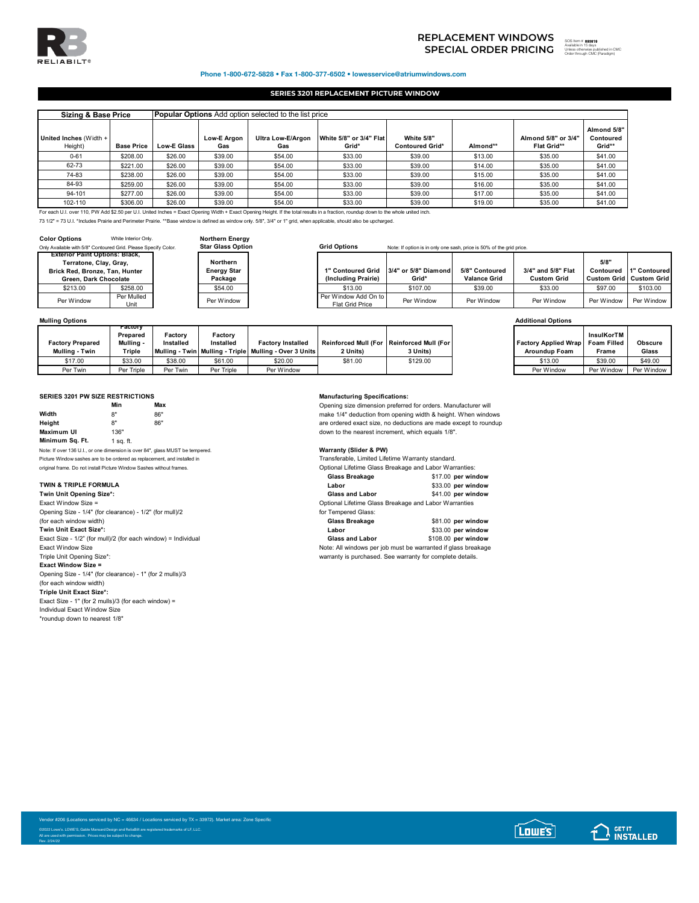

# **SPECIAL ORDER PRICING** <sup>the discussion is days</sup> **REPLACEMENT WINDOWS**

## Phone 1-800-672-5828 • Fax 1-800-377-6502 • lowesservice@atriumwindows.com

## **SERIES 3201 REPLACEMENT PICTURE WINDOW**

| <b>Sizing &amp; Base Price</b>                                                                                                                                                        |                   |             | <b>Popular Options</b> Add option selected to the list price |                          |                                  |                                      |          |                                           |                                    |  |  |  |
|---------------------------------------------------------------------------------------------------------------------------------------------------------------------------------------|-------------------|-------------|--------------------------------------------------------------|--------------------------|----------------------------------|--------------------------------------|----------|-------------------------------------------|------------------------------------|--|--|--|
| United Inches (Width +<br>Height)                                                                                                                                                     | <b>Base Price</b> | Low-E Glass | Low-E Argon<br>Gas                                           | Ultra Low-E/Argon<br>Gas | White 5/8" or 3/4" Flat<br>Grid* | White 5/8"<br><b>Contoured Grid*</b> | Almond** | Almond 5/8" or 3/4"<br><b>Flat Grid**</b> | Almond 5/8"<br>Contoured<br>Grid** |  |  |  |
| $0 - 61$                                                                                                                                                                              | \$208.00          | \$26.00     | \$39.00                                                      | \$54.00                  | \$33.00                          | \$39.00                              | \$13.00  | \$35.00                                   | \$41.00                            |  |  |  |
| 62-73                                                                                                                                                                                 | \$221.00          | \$26.00     | \$39.00                                                      | \$54.00                  | \$33.00                          | \$39.00                              | \$14.00  | \$35.00                                   | \$41.00                            |  |  |  |
| 74-83                                                                                                                                                                                 | \$238.00          | \$26.00     | \$39.00                                                      | \$54.00                  | \$33.00                          | \$39.00                              | \$15.00  | \$35.00                                   | \$41.00                            |  |  |  |
| 84-93                                                                                                                                                                                 | \$259.00          | \$26.00     | \$39.00                                                      | \$54.00                  | \$33.00                          | \$39.00                              | \$16.00  | \$35.00                                   | \$41.00                            |  |  |  |
| 94-101                                                                                                                                                                                | \$277.00          | \$26.00     | \$39.00                                                      | \$54.00                  | \$33.00                          | \$39.00                              | \$17.00  | \$35.00                                   | \$41.00                            |  |  |  |
| 102-110                                                                                                                                                                               | \$306.00          | \$26.00     | \$39.00                                                      | \$54.00                  | \$33.00                          | \$39.00                              | \$19.00  | \$35.00                                   | \$41.00                            |  |  |  |
| For each U.I. over 110, PW Add \$2.50 per U.I. United Inches = Exact Opening Width + Exact Opening Height. If the total results in a fraction, roundup down to the whole united inch. |                   |             |                                                              |                          |                                  |                                      |          |                                           |                                    |  |  |  |

73 1/2" = 73 U.I. \*Includes Prairie and Perimeter Prairie. \*\*Base window is defined as window only. 5/8", 3/4" or 1" grid, when applicable, should also be upcharged.

| <b>Color Options</b>                                           | White Interior Only. | <b>Northern Energy</b>   |  |  |
|----------------------------------------------------------------|----------------------|--------------------------|--|--|
| Only Available with 5/8" Contoured Grid. Please Specify Color. |                      | <b>Star Glass Option</b> |  |  |
| <b>Exterior Paint Options: Black,</b>                          |                      |                          |  |  |
| Terratone, Clay, Gray,                                         |                      | Northern                 |  |  |
| Brick Red, Bronze, Tan, Hunter                                 |                      | <b>Energy Star</b>       |  |  |
| Green, Dark Chocolate                                          |                      | Package                  |  |  |
| \$213.00                                                       | \$258.00             | \$54.00                  |  |  |
| Per Window                                                     | Per Mulled           | Per Window               |  |  |
|                                                                | Unit                 |                          |  |  |

## Grid Options **Start Gride** Note: If option is in only one sash, price is 50% of the grid price.

| rior Paint Options: Black. |                    |                    |                                         |                                        |                     |                    |                                |              |
|----------------------------|--------------------|--------------------|-----------------------------------------|----------------------------------------|---------------------|--------------------|--------------------------------|--------------|
| Terratone, Clay, Gray,     |                    | Northern           |                                         |                                        |                     |                    | 5/8"                           |              |
| ، Red. Bronze. Tan. Hunter |                    | <b>Energy Star</b> |                                         | 1" Contoured Grid 3/4" or 5/8" Diamond | 5/8" Contoured      | 3/4" and 5/8" Flat | Contoured                      | 1" Contoured |
| Green. Dark Chocolate      |                    | Package            | (Including Prairie)                     | Grid*                                  | <b>Valance Grid</b> | <b>Custom Grid</b> | <b>Custom Grid Custom Grid</b> |              |
| \$213.00                   | \$258.00           | \$54.00            | \$13.00                                 | \$107.00                               | \$39.00             | \$33.00            | \$97.00                        | \$103.00     |
| er Window                  | Per Mulled<br>Unit | Per Window         | Per Window Add On to<br>Flat Grid Price | Per Window                             | Per Window          | Per Window         | Per Window                     | Per Window   |

| <b>Mulling Options</b>  |                                  |                      |                      |                                                            |                                           |          | <b>Additional Options</b>               |            |                |
|-------------------------|----------------------------------|----------------------|----------------------|------------------------------------------------------------|-------------------------------------------|----------|-----------------------------------------|------------|----------------|
| <b>Factory Prepared</b> | гастогу<br>Prepared<br>Mullina - | Factory<br>Installed | Factory<br>Installed | <b>Factory Installed</b>                                   | Reinforced Mull (For Reinforced Mull (For |          | <b>Factory Applied Wrap</b> Foam Filled | InsulKorTM | <b>Obscure</b> |
| Mulling - Twin          | Triple                           |                      |                      | Mulling - Twin   Mulling - Triple   Mulling - Over 3 Units | 2 Units)                                  | 3 Units) | <b>Aroundup Foam</b>                    | Frame      | Glass          |
| \$17.00                 | \$33.00                          | \$38.00              | \$61.00              | \$20.00                                                    | \$81.00                                   | \$129.00 | \$13.00                                 | \$39.00    | \$49.00        |
| Per Twin                | Per Triple                       | Per Twin             | Per Triple           | Per Window                                                 |                                           |          | Per Window                              | Per Window | Per Window     |

## **SERIES 3201 PW SIZE RESTRICTIONS Manufacturing Specifications:**

|                                                                               | Min       | Max |  |  |  |  |  |
|-------------------------------------------------------------------------------|-----------|-----|--|--|--|--|--|
| Width                                                                         | 8"        | 86" |  |  |  |  |  |
| Heiaht                                                                        | 8"        | 86" |  |  |  |  |  |
| <b>Maximum UI</b>                                                             | 136"      |     |  |  |  |  |  |
| Minimum Sq. Ft.                                                               | 1 sa. ft. |     |  |  |  |  |  |
| Note: If over 136 U.I., or one dimension is over 84", glass MUST be tempered. |           |     |  |  |  |  |  |
| Picture Window sashes are to be ordered as replacement, and installed in      |           |     |  |  |  |  |  |
| original frame. Do not install Picture Window Sashes without frames           |           |     |  |  |  |  |  |

**Twin Unit Opening Size\*:** Exact Window Size = Opening Size - 1/4" (for clearance) - 1/2" (for mull)/2 (for each window width) **Glass Breakage** \$81.00 **per window Twin Unit Exact Size\*: Labor** \$33.00 **per window** Exact Size - 1/2" (for mull)/2 (for each window) = Individual **Exact Window Size** Exact Window Size Control of the Note: All windows per job must be warranted if glass breakage<br>
Triple Unit Opening Size\*: The Note of the Warranty is purchased. See warranty for complete details. **Exact Window Size =** Opening Size - 1/4" (for clearance) - 1" (for 2 mulls)/3 (for each window width) **Triple Unit Exact Size\*:** Exact Size - 1" (for 2 mulls)/3 (for each window) = Individual Exact Window Size

\*roundup down to nearest 1/8"

**Min Max** Opening size dimension preferred for orders. Manufacturer will make 1/4" deduction from opening width & height. When windows are ordered exact size, no deductions are made except to roundup down to the nearest increment, which equals 1/8".

Warranty (Slider & PW)

Transferable, Limited Lifetime Warranty standard.

| original frame. Do not install Picture Window Sashes without frames. | Optional Lifetime Glass Breakage and Labor Warranties: |                    |  |
|----------------------------------------------------------------------|--------------------------------------------------------|--------------------|--|
|                                                                      | Glass Breakage                                         | \$17.00 per window |  |
| <b>TWIN &amp; TRIPLE FORMULA</b>                                     | Labor                                                  | \$33.00 per window |  |
| Twin Unit Opening Size*:                                             | <b>Glass and Labor</b>                                 | \$41.00 per window |  |
| Exact Window Size $=$                                                | Optional Lifetime Glass Breakage and Labor Warranties  |                    |  |
| Opening Size - 1/4" (for clearance) - 1/2" (for mull)/2              | for Tempered Glass:                                    |                    |  |
| (for each window width)                                              | Glass Breakage                                         | \$81.00 per window |  |
|                                                                      |                                                        |                    |  |

warranty is purchased. See warranty for complete details.

Vendor #206 (Locations serviced by NC = 46634 / Locations serviced by TX = 33972). Market area: Zone Specific ©2022 Lowe's. LOWE'S, Gable Mansard Design and ReliaBilt are registered trademarks of LF, LLC. All are used with permission. Prices may be subject to change. Rev. 2/24/22

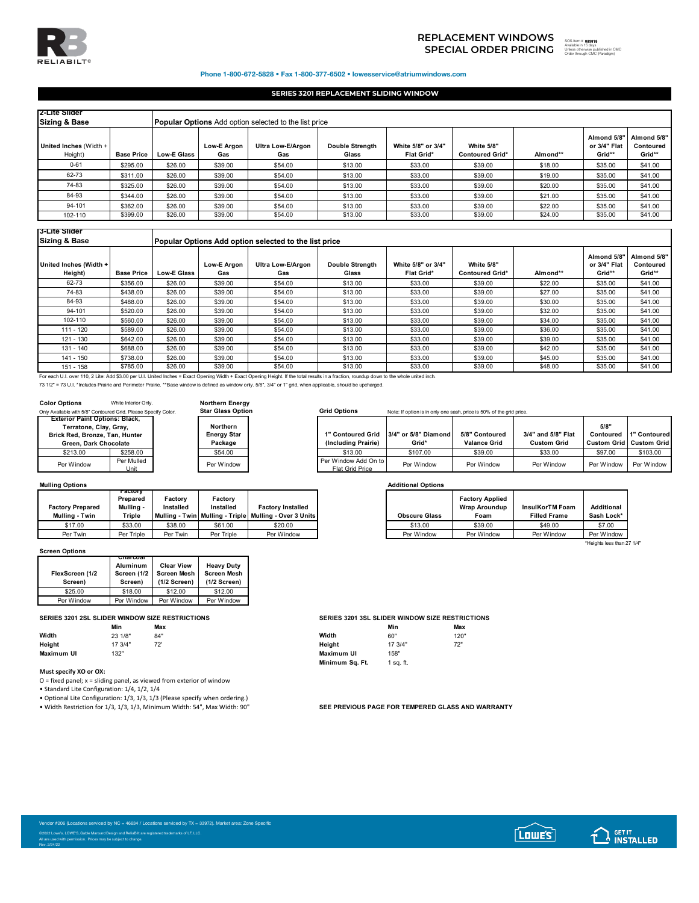

**3-Lite Slider**

# 893819 **SPECIAL ORDER PRICING**  SOS Item # Available in 15 days Unless otherwise published in CMC Order through CMC (Paradigm)**REPLACEMENT WINDOWS**

┓

\*Heights less than 27 1/4"

Т

**Almond 5/8" Contoured**  Grid\*\*<br>\$41.00

### Phone 1-800-672-5828 • Fax 1-800-377-6502 • lowesservice@atriumwindows.com

## **SERIES 3201 REPLACEMENT SLIDING WINDOW**

| 2-Lite Slider<br><b>Sizing &amp; Base</b> |                   |                    | <b>Popular Options</b> Add option selected to the list price |                          |                                 |                                         |                                      |          |                                       |                                    |  |  |
|-------------------------------------------|-------------------|--------------------|--------------------------------------------------------------|--------------------------|---------------------------------|-----------------------------------------|--------------------------------------|----------|---------------------------------------|------------------------------------|--|--|
| United Inches (Width +<br>Height)         | <b>Base Price</b> | <b>Low-E Glass</b> | Low-E Argon<br>Gas                                           | Ultra Low-E/Argon<br>Gas | <b>Double Strenath</b><br>Glass | White 5/8" or 3/4"<br><b>Flat Grid*</b> | White 5/8"<br><b>Contoured Grid*</b> | Almond** | Almond 5/8"<br>or 3/4" Flat<br>Grid** | Almond 5/8"<br>Contoured<br>Grid** |  |  |
| $0 - 61$                                  | \$295.00          | \$26.00            | \$39.00                                                      | \$54.00                  | \$13.00                         | \$33.00                                 | \$39.00                              | \$18.00  | \$35.00                               | \$41.00                            |  |  |
| 62-73                                     | \$311.00          | \$26.00            | \$39.00                                                      | \$54.00                  | \$13.00                         | \$33.00                                 | \$39.00                              | \$19.00  | \$35.00                               | \$41.00                            |  |  |
| 74-83                                     | \$325.00          | \$26.00            | \$39.00                                                      | \$54.00                  | \$13.00                         | \$33.00                                 | \$39.00                              | \$20.00  | \$35.00                               | \$41.00                            |  |  |
| 84-93                                     | \$344.00          | \$26.00            | \$39.00                                                      | \$54.00                  | \$13.00                         | \$33.00                                 | \$39.00                              | \$21.00  | \$35.00                               | \$41.00                            |  |  |
| 94-101                                    | \$362.00          | \$26.00            | \$39.00                                                      | \$54.00                  | \$13.00                         | \$33.00                                 | \$39.00                              | \$22.00  | \$35.00                               | \$41.00                            |  |  |
| 102-110                                   | \$399.00          | \$26.00            | \$39.00                                                      | \$54.00                  | \$13.00                         | \$33.00                                 | \$39.00                              | \$24.00  | \$35.00                               | \$41.00                            |  |  |

| ---- -----                        |                   |                    |                                                       |                          |                                 |                                         |                                      |          |                                       |                               |  |  |
|-----------------------------------|-------------------|--------------------|-------------------------------------------------------|--------------------------|---------------------------------|-----------------------------------------|--------------------------------------|----------|---------------------------------------|-------------------------------|--|--|
| <b>Sizing &amp; Base</b>          |                   |                    | Popular Options Add option selected to the list price |                          |                                 |                                         |                                      |          |                                       |                               |  |  |
| United Inches (Width +<br>Height) | <b>Base Price</b> | <b>Low-E Glass</b> | Low-E Araon<br>Gas                                    | Ultra Low-E/Argon<br>Gas | <b>Double Strength</b><br>Glass | White 5/8" or 3/4"<br><b>Flat Grid*</b> | White 5/8"<br><b>Contoured Grid*</b> | Almond** | Almond 5/8"<br>or 3/4" Flat<br>Grid** | Almond 5<br>Contour<br>Grid** |  |  |
| 62-73                             | \$356.00          | \$26.00            | \$39.00                                               | \$54.00                  | \$13.00                         | \$33.00                                 | \$39.00                              | \$22.00  | \$35.00                               | \$41.00                       |  |  |
| 74-83                             | \$438.00          | \$26.00            | \$39.00                                               | \$54.00                  | \$13.00                         | \$33.00                                 | \$39.00                              | \$27.00  | \$35.00                               | \$41.00                       |  |  |
| 84-93                             | \$488.00          | \$26.00            | \$39.00                                               | \$54.00                  | \$13.00                         | \$33.00                                 | \$39.00                              | \$30.00  | \$35.00                               | \$41.00                       |  |  |
| 94-101                            | \$520.00          | \$26.00            | \$39.00                                               | \$54.00                  | \$13.00                         | \$33.00                                 | \$39.00                              | \$32.00  | \$35.00                               | \$41.00                       |  |  |
| 102-110                           | \$560.00          | \$26.00            | \$39.00                                               | \$54.00                  | \$13.00                         | \$33.00                                 | \$39.00                              | \$34.00  | \$35.00                               | \$41.00                       |  |  |
| $111 - 120$                       | \$589.00          | \$26.00            | \$39.00                                               | \$54.00                  | \$13.00                         | \$33.00                                 | \$39.00                              | \$36.00  | \$35.00                               | \$41.00                       |  |  |
| 121 - 130                         | \$642.00          | \$26.00            | \$39.00                                               | \$54.00                  | \$13.00                         | \$33.00                                 | \$39.00                              | \$39.00  | \$35.00                               | \$41.00                       |  |  |
| 131 - 140                         | \$688.00          | \$26.00            | \$39.00                                               | \$54.00                  | \$13.00                         | \$33.00                                 | \$39.00                              | \$42.00  | \$35.00                               | \$41.00                       |  |  |
| 141 - 150                         | \$738.00          | \$26.00            | \$39.00                                               | \$54.00                  | \$13.00                         | \$33.00                                 | \$39.00                              | \$45.00  | \$35.00                               | \$41.00                       |  |  |
| 151 - 158                         | \$785.00          | \$26.00            | \$39.00                                               | \$54.00                  | \$13.00                         | \$33.00                                 | \$39.00                              | \$48.00  | \$35.00                               | \$41.00                       |  |  |

For each U.I. over 110, 2 Lite: Add \$3.00 per U.I. United Inches = Exact Opening Width + Exact Opening Height. If the total results in a fraction, roundup down to the whole united inch.

73 1/2" = 73 U.I. \*Includes Prairie and Perimeter Prairie. \*\*Base window is defined as window only. 5/8", 3/4" or 1" grid, when applicable, should be upcharged.

| <b>Color Options</b><br>Only Available with 5/8" Contoured Grid. Please Specify Color.                                     | White Interior Only.   | <b>Northern Energy</b><br><b>Star Glass Option</b> |  |
|----------------------------------------------------------------------------------------------------------------------------|------------------------|----------------------------------------------------|--|
| <b>Exterior Paint Options: Black,</b><br>Terratone, Clay, Gray,<br>Brick Red, Bronze, Tan, Hunter<br>Green. Dark Chocolate |                        | Northern<br><b>Energy Star</b><br>Package          |  |
| \$213.00                                                                                                                   | \$258.00               | \$54.00                                            |  |
| Per Window                                                                                                                 | Per Mulled<br>$11$ nit | Per Window                                         |  |

## **Northern Energy Star**

# Grid Options Note: If option is in only one sash, price is 50% of the grid price. т

| Terratone, Clay, Gray,     |                    | Northern           |                                                |                                        |                     |                    | 5/8"       |                                |
|----------------------------|--------------------|--------------------|------------------------------------------------|----------------------------------------|---------------------|--------------------|------------|--------------------------------|
| ، Red. Bronze. Tan. Hunter |                    | <b>Energy Star</b> |                                                | 1" Contoured Grid 3/4" or 5/8" Diamond | 5/8" Contoured      | 3/4" and 5/8" Flat | Contoured  | 1" Contoured                   |
| Green. Dark Chocolate      |                    | Package            | (Including Prairie)                            | Grid*                                  | <b>Valance Grid</b> | <b>Custom Grid</b> |            | <b>Custom Grid Custom Grid</b> |
| \$213.00                   | \$258.00           | \$54.00            | \$13.00                                        | \$107.00                               | \$39.00             | \$33.00            | \$97.00    | \$103.00                       |
| er Window                  | Per Mulled<br>Unit | Per Window         | Per Window Add On to<br><b>Flat Grid Price</b> | Per Window                             | Per Window          | Per Window         | Per Window | Per Window I                   |

## **Mulling Options Additional Options**

|                                           | ractorv<br>Prepared | Factorv                | Factory    |                                                                         |                      | <b>Factory Applied</b>       |                                        |                                 |
|-------------------------------------------|---------------------|------------------------|------------|-------------------------------------------------------------------------|----------------------|------------------------------|----------------------------------------|---------------------------------|
| <b>Factory Prepared</b><br>Mulling - Twin | Mullina -<br>Triple | Installed<br>Mullina - | Installed  | Factorv Installed<br>- Twin   Mullina - Triple   Mullina - Over 3 Units | <b>Obscure Glass</b> | <b>Wrap Aroundup</b><br>Foam | InsulKorTM Foam<br><b>Filled Frame</b> | <b>Additional</b><br>Sash Lock* |
| \$17.00                                   | \$33.00             | \$38.00                | \$61.00    | \$20.00                                                                 | \$13.00              | \$39.00                      | \$49.00                                |                                 |
| Per Twin                                  | Per Triple          | Per Twin               | Per Triple | Per Window                                                              | Per Window           | Per Window                   | Per Window                             | Per Window                      |

### **Screen Options**

| FlexScreen (1/2<br>Screen) | Unarcoal<br><b>Aluminum</b><br>Screen (1/2<br>Screen) | <b>Clear View</b><br><b>Screen Mesh</b><br>$(1/2$ Screen) | <b>Heavy Duty</b><br><b>Screen Mesh</b><br>$(1/2$ Screen) |
|----------------------------|-------------------------------------------------------|-----------------------------------------------------------|-----------------------------------------------------------|
| \$25.00                    | \$18.00                                               | \$12.00                                                   | \$12.00                                                   |
| Per Window                 | Per Window                                            | Per Window                                                | Per Window                                                |

|            | Min     | Max        |            | Min     | Max  |
|------------|---------|------------|------------|---------|------|
| Width      | 23 1/8" | 84"        | Width      | 60"     | 120" |
| Height     | 17 3/4" | 72'<br>1 L | Height     | 17 3/4" | 72"  |
| Maximum UI | 132"    |            | Maximum UI | 158"    |      |

## **Must specify XO or OX:**

Rev. 2/24/22

O = fixed panel; x = sliding panel, as viewed from exterior of window

• Standard Lite Configuration: 1/4, 1/2, 1/4

• Optional Lite Configuration: 1/3, 1/3, 1/3 (Please specify when ordering.)

• Width Restriction for 1/3, 1/3, 1/3, Minimum Width: 54", Max Width: 90" **SEE PREVIOUS PAGE FOR TEMPERED GLASS AND WARRANTY** 

|            | SERIES 3201 2SL SLIDER WINDOW SIZE RESTRICTIONS |     |                 | <b>SERIES 3201 3SL SLIDER WINDOW SIZE RESTRICTIONS</b> |      |  |  |  |
|------------|-------------------------------------------------|-----|-----------------|--------------------------------------------------------|------|--|--|--|
|            | Min                                             | Max |                 | Min                                                    | Max  |  |  |  |
| Width      | 23 1/8"                                         | 84" | Width           | 60"                                                    | 120" |  |  |  |
| Height     | 17 3/4"                                         | 72' | Heiaht          | 17 3/4"                                                | 72"  |  |  |  |
| Maximum UI | 132"                                            |     | Maximum UI      | 158"                                                   |      |  |  |  |
|            |                                                 |     | Minimum Sq. Ft. | ∣sa. ft.                                               |      |  |  |  |

| Vendor #206 (Locations serviced by NC = 46634 / Locations serviced by TX = 33972). Market area: Zone Specific |  |
|---------------------------------------------------------------------------------------------------------------|--|
| 22022 Lowe's, LOWE'S, Gable Mansard Design and ReliaBilt are registered trademarks of LF, LLC.                |  |
| All are used with permission. Prices may be subject to change.                                                |  |
| DALL ORAPS                                                                                                    |  |



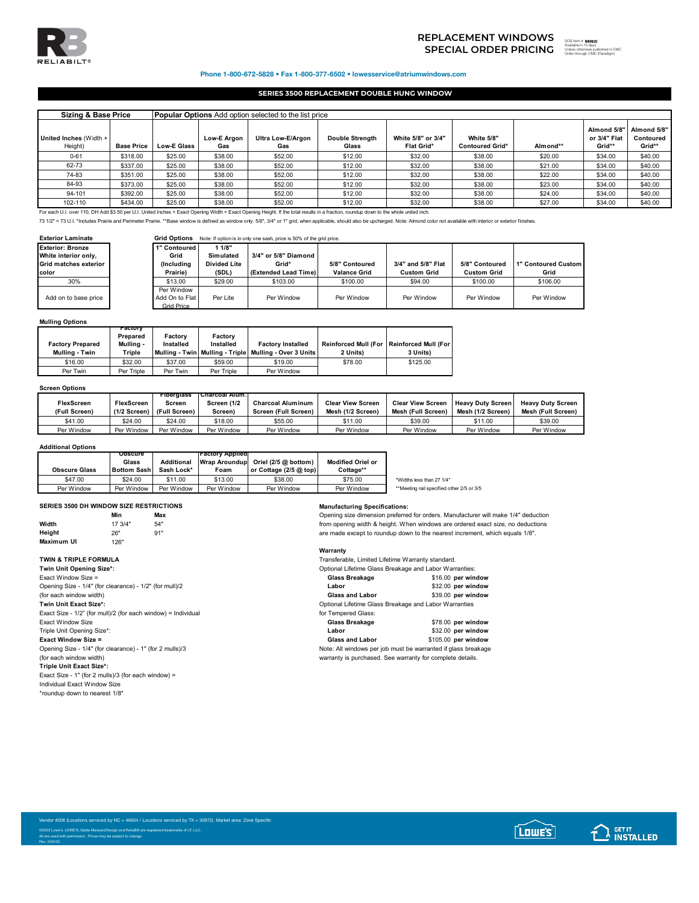

# **SPECIAL ORDER PRICING** SOS ITEM TO THE SUBSTITUTION OF THE SUBSTITUTION OF THE SUBSTITUTION OF THE SUBSTITUTION OF THE SUBSTITUTION OF THE SUBSTITUTION OF THE SUBSTITUTION OF THE SUBSTITUTION OF THE SUBSTITUTION OF THE SU **REPLACEMENT WINDOWS**

893820

Unless otherwise published in CMC Order through CMC (Paradigm)

Phone 1-800-672-5828 • Fax 1-800-377-6502 • lowesservice@atriumwindows.com

## **SERIES 3500 REPLACEMENT DOUBLE HUNG WINDOW**

| <b>Sizing &amp; Base Price</b>                                                                                                                                                        | <b>Popular Options</b> Add option selected to the list price |                    |                           |                          |                                 |                                  |                                      |          |                                       |                                    |
|---------------------------------------------------------------------------------------------------------------------------------------------------------------------------------------|--------------------------------------------------------------|--------------------|---------------------------|--------------------------|---------------------------------|----------------------------------|--------------------------------------|----------|---------------------------------------|------------------------------------|
| United Inches (Width +<br>Height)                                                                                                                                                     | <b>Base Price</b>                                            | <b>Low-E Glass</b> | <b>Low-E Argon</b><br>Gas | Ultra Low-E/Argon<br>Gas | <b>Double Strenath</b><br>Glass | White 5/8" or 3/4"<br>Flat Grid* | White 5/8"<br><b>Contoured Grid*</b> | Almond** | Almond 5/8"<br>or 3/4" Flat<br>Grid** | Almond 5/8"<br>Contoured<br>Grid** |
| $0 - 61$                                                                                                                                                                              | \$318.00                                                     | \$25.00            | \$38.00                   | \$52.00                  | \$12.00                         | \$32.00                          | \$38.00                              | \$20.00  | \$34.00                               | \$40.00                            |
| 62-73                                                                                                                                                                                 | \$337.00                                                     | \$25.00            | \$38.00                   | \$52.00                  | \$12.00                         | \$32.00                          | \$38.00                              | \$21.00  | \$34.00                               | \$40.00                            |
| 74-83                                                                                                                                                                                 | \$351.00                                                     | \$25.00            | \$38.00                   | \$52.00                  | \$12.00                         | \$32.00                          | \$38.00                              | \$22.00  | \$34.00                               | \$40.00                            |
| 84-93                                                                                                                                                                                 | \$373.00                                                     | \$25.00            | \$38.00                   | \$52.00                  | \$12.00                         | \$32.00                          | \$38.00                              | \$23.00  | \$34.00                               | \$40.00                            |
| 94-101                                                                                                                                                                                | \$392.00                                                     | \$25.00            | \$38.00                   | \$52.00                  | \$12.00                         | \$32.00                          | \$38.00                              | \$24.00  | \$34.00                               | \$40.00                            |
| 102-110                                                                                                                                                                               | \$434.00                                                     | \$25.00            | \$38.00                   | \$52.00                  | \$12.00                         | \$32.00                          | \$38.00                              | \$27.00  | \$34.00                               | \$40.00                            |
| For each U.I. over 110, DH Add \$3.50 per U.I. United Inches = Exact Opening Width + Exact Opening Height. If the total results in a fraction, roundup down to the whole united inch. |                                                              |                    |                           |                          |                                 |                                  |                                      |          |                                       |                                    |

73 1/2" = 73 U.I. \*Includes Prairie and Perimeter Prairie. \*\*Base window is defined as window only. 5/8", 3/4" or 1" grid, when applicable, should also be upcharged. Note: Almond color not available with interior or exteri

| <b>Exterior Laminate</b> |  |  |  |
|--------------------------|--|--|--|
|--------------------------|--|--|--|

**Grid Options** Note: If option is in only one sash, price is 50% of the grid price.

| <b>Exterior: Bronze</b><br>White interior only,<br>Grid matches exterior<br><b>color</b> | 1" Contoured<br>Grid<br>(Includina<br>Prairie)    | 1/8"<br>Simulated<br><b>Divided Lite</b><br>(SDL) | 3/4" or 5/8" Diamond<br>Grid*<br>(Extended Lead Time) | 5/8" Contoured<br><b>Valance Grid</b> | 3/4" and 5/8" Flat<br><b>Custom Grid</b> | 5/8" Contoured<br><b>Custom Grid</b> | 1" Contoured Custom<br>Grid |
|------------------------------------------------------------------------------------------|---------------------------------------------------|---------------------------------------------------|-------------------------------------------------------|---------------------------------------|------------------------------------------|--------------------------------------|-----------------------------|
| 30%                                                                                      | \$13.00                                           | \$29.00                                           | \$103.00                                              | \$100.00                              | \$94.00                                  | \$100.00                             | \$106.00                    |
| Add on to base price                                                                     | Per Window<br>Add On to Flat<br><b>Grid Price</b> | Per Lite                                          | Per Window                                            | Per Window                            | Per Window                               | Per Window                           | Per Window                  |

## **Mulling Options**

| <b>Factory Prepared</b><br>Mulling - Twin | <b>Factory</b><br>Prepared<br>Mullina -<br>Triple | Factorv<br>Installed | Factory<br>Installed | <b>Factory Installed</b><br>Mulling - Twin   Mulling - Triple   Mulling - Over 3 Units | Reinforced Mull (For   Reinforced Mull (For<br>2 Units) | 3 Units) |
|-------------------------------------------|---------------------------------------------------|----------------------|----------------------|----------------------------------------------------------------------------------------|---------------------------------------------------------|----------|
| \$16.00                                   | \$32.00                                           | \$37.00              | \$59.00              | \$19.00                                                                                | \$78.00                                                 | \$125.00 |
| Per Twin                                  | Per Triple                                        | Per Twin             | Per Triple           | Per Window                                                                             |                                                         |          |

### **Screen Options**

|                   |                   | <b>Fibergiass</b> | <b>TURRICOAL AIUM.</b> |                          |                          |                          |                          |                          |
|-------------------|-------------------|-------------------|------------------------|--------------------------|--------------------------|--------------------------|--------------------------|--------------------------|
| <b>FlexScreen</b> | <b>FlexScreen</b> | Screen            | Screen (1/2            | <b>Charcoal Aluminum</b> | <b>Clear View Screen</b> | <b>Clear View Screen</b> | <b>Heavy Duty Screen</b> | <b>Heavy Duty Screen</b> |
| (Full Screen)     | $(1/2$ Screen)    | (Full Screen)     | Screen)                | Screen (Full Screen)     | Mesh (1/2 Screen)        | Mesh (Full Screen)       | Mesh (1/2 Screen)        | Mesh (Full Screen)       |
| \$41.00           | \$24.00           | \$24.00           | \$18.00                | \$55.00                  | \$11.00                  | \$39.00                  | \$11.00                  | \$39.00                  |
| Per Window        | Per Window        | Per Window        | Per Window             | Per Window               | Per Window               | Per Window               | Per Window               | Per Window               |

### **Additional Options**

|                      | <b>Opscure</b>     |            | <b>Factory Applied</b> |                                    |                          |                                           |
|----------------------|--------------------|------------|------------------------|------------------------------------|--------------------------|-------------------------------------------|
|                      | Glass              | Additional |                        | Wrap Aroundup Oriel (2/5 @ bottom) | <b>Modified Oriel or</b> |                                           |
| <b>Obscure Glass</b> | <b>Bottom Sash</b> | Sash Lock* | Foam                   | or Cottage $(2/5)$ ( $\omega$ top) | Cottage**                |                                           |
| \$47.00              | \$24.00            | \$11.00    | \$13.00                | \$38.00                            | \$75.00                  | *Widths less than 27 1/4"                 |
| Per Window           | Per Window         | Per Window | Per Window             | Per Window                         | Per Window               | **Meeting rail specified other 2/5 or 3/5 |

## **SERIES 3500 DH WINDOW SIZE RESTRICTIONS Manufacturing Specifications:**

| <b>OLINED JJUV DII WINDOW JILL INLUTING HONO</b> |         |     | manulacturing opechncations.                      |
|--------------------------------------------------|---------|-----|---------------------------------------------------|
|                                                  | Min     | Max | Opening size dimension preferred for orders. Man  |
| Width                                            | 17 3/4" | 54" | from opening width & height. When windows are of  |
| Height                                           | 26"     | 91" | are made except to roundup down to the nearest    |
| Maximum UI                                       | 126"    |     |                                                   |
|                                                  |         |     | Warranty                                          |
| TWIN & TRIPLE FORMULA                            |         |     | Transferable, Limited Lifetime Warranty standard. |
|                                                  |         |     |                                                   |

**Twin Unit Opening Size\*:** Exact Window Size = Opening Size - 1/4" (for clearance) - 1/2" (for mull)/2 (for each window width) **Twin Unit Exact Size\*:** Exact Size -  $1/2$ " (for mull)/2 (for each window) = Individual Opening Size - 1/4" (for clearance) - 1" (for 2 mulls)/3 Note: All windows per job must be warranted if glass breakage<br>
(for each window width)<br>
warranty is purchased. See warranty for complete details. **Triple Unit Exact Size\*:** Exact Size - 1" (for 2 mulls)/3 (for each window) = Individual Exact Window Size \*roundup down to nearest 1/8"

rred for orders. Manufacturer will make 1/4" deduction .<br>Vhen windows are ordered exact size, no deductions **bun** to the nearest increment, which equals 1/8".

| Twin Unit Opening Size*:                                      | Optional Lifetime Glass Breakage and Labor Warranties: |                    |
|---------------------------------------------------------------|--------------------------------------------------------|--------------------|
| Exact Window Size =                                           | Glass Breakage                                         | \$16.00 per window |
| Opening Size - 1/4" (for clearance) - 1/2" (for mull)/2       | Labor                                                  | \$32.00 per window |
| (for each window width)                                       | <b>Glass and Labor</b>                                 | \$39.00 per window |
| Twin Unit Exact Size*:                                        | Optional Lifetime Glass Breakage and Labor Warranties  |                    |
| Exact Size - 1/2" (for mull)/2 (for each window) = Individual | for Tempered Glass:                                    |                    |
| Exact Window Size                                             | Glass Breakage                                         | \$78.00 per window |
|                                                               |                                                        |                    |

| Triple Unit Opening Size*:                               | Labor                                                         | \$32.00 per window  |
|----------------------------------------------------------|---------------------------------------------------------------|---------------------|
| <b>Exact Window Size =</b>                               | <b>Glass and Labor</b>                                        | \$105.00 per window |
| Opening Size - 1/4" (for clearance) - 1" (for 2 mulls)/3 | Note: All windows per job must be warranted if glass breakage |                     |
| (for each window width)                                  | warranty is purchased. See warranty for complete details.     |                     |

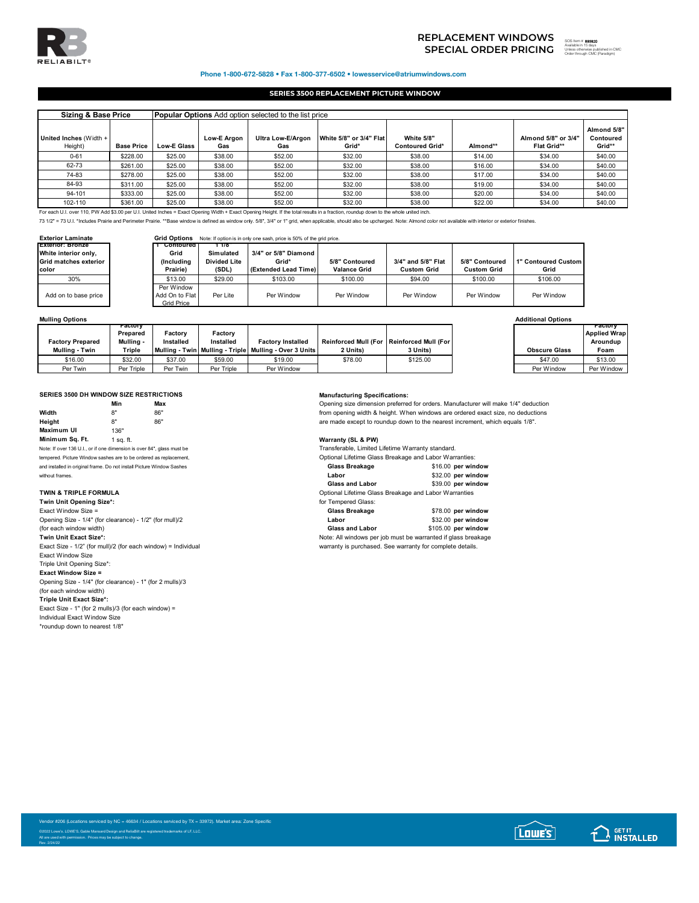

## Phone 1-800-672-5828 • Fax 1-800-377-6502 • lowesservice@atriumwindows.com

## **SERIES 3500 REPLACEMENT PICTURE WINDOW**

| <b>Sizing &amp; Base Price</b>    |                   |                    | <b>Popular Options</b> Add option selected to the list price |                          |                                  |                                      |          |                                           |                                    |  |  |  |  |  |
|-----------------------------------|-------------------|--------------------|--------------------------------------------------------------|--------------------------|----------------------------------|--------------------------------------|----------|-------------------------------------------|------------------------------------|--|--|--|--|--|
| United Inches (Width +<br>Height) | <b>Base Price</b> | <b>Low-E Glass</b> | Low-E Araon<br>Gas                                           | Ultra Low-E/Argon<br>Gas | White 5/8" or 3/4" Flat<br>Grid* | White 5/8"<br><b>Contoured Grid*</b> | Almond** | Almond 5/8" or 3/4"<br><b>Flat Grid**</b> | Almond 5/8"<br>Contoured<br>Grid** |  |  |  |  |  |
| $0 - 61$                          | \$228.00          | \$25.00            | \$38.00                                                      | \$52.00                  | \$32.00                          | \$38.00                              | \$14.00  | \$34.00                                   | \$40.00                            |  |  |  |  |  |
| 62-73                             | \$261.00          | \$25.00            | \$38.00                                                      | \$52.00                  | \$32.00                          | \$38.00                              | \$16.00  | \$34.00                                   | \$40.00                            |  |  |  |  |  |
| 74-83                             | \$278.00          | \$25.00            | \$38.00                                                      | \$52.00                  | \$32.00                          | \$38.00                              | \$17.00  | \$34.00                                   | \$40.00                            |  |  |  |  |  |
| 84-93                             | \$311.00          | \$25.00            | \$38.00                                                      | \$52.00                  | \$32.00                          | \$38.00                              | \$19.00  | \$34.00                                   | \$40.00                            |  |  |  |  |  |
| 94-101                            | \$333.00          | \$25.00            | \$38.00                                                      | \$52.00                  | \$32.00                          | \$38.00                              | \$20.00  | \$34.00                                   | \$40.00                            |  |  |  |  |  |
| 102-110                           | \$361.00          | \$25.00            | \$38.00                                                      | \$52.00                  | \$32.00                          | \$38.00                              | \$22.00  | \$34.00                                   | \$40.00                            |  |  |  |  |  |

73 1/2" = 73 U.I. \*Includes Prairie and Perimeter Prairie. \*\*Base window is defined as window only. 5/8", 3/4" or 1" grid, when applicable, should also be upcharged. Note: Almond color not available with interior or exteri

| <b>Exterior Laminate</b> | <b>Grid Options</b><br>Note: If option is in only one sash, price is 50% of the grid price. |                     |                      |                |                    |                    |                     |  |  |
|--------------------------|---------------------------------------------------------------------------------------------|---------------------|----------------------|----------------|--------------------|--------------------|---------------------|--|--|
| <b>Exterior: Bronze</b>  | Contoured                                                                                   | - 118               |                      |                |                    |                    |                     |  |  |
| White interior only,     | Grid                                                                                        | <b>Simulated</b>    | 3/4" or 5/8" Diamond |                |                    |                    |                     |  |  |
| Grid matches exterior    | (Including                                                                                  | <b>Divided Lite</b> | Grid*                | 5/8" Contoured | 3/4" and 5/8" Flat | 5/8" Contoured     | 1" Contoured Custom |  |  |
| color                    | Prairie)                                                                                    | (SDL)               | (Extended Lead Time) | Valance Grid   | <b>Custom Grid</b> | <b>Custom Grid</b> | Grid                |  |  |
| 30%                      | \$13.00                                                                                     | \$29.00             | \$103.00             | \$100.00       | \$94.00            | \$100.00           | \$106.00            |  |  |
|                          | Per Window                                                                                  |                     |                      |                |                    |                    |                     |  |  |
| Add on to base price     | Add On to Flat                                                                              | Per Lite            | Per Window           | Per Window     | Per Window         | Per Window         | Per Window          |  |  |
|                          | Grid Price                                                                                  |                     |                      |                |                    |                    |                     |  |  |

| <b>Mulling Options</b>  |                                  |                      |                      |                                                            |                                             |          | <b>Additional Options</b> |                                            |
|-------------------------|----------------------------------|----------------------|----------------------|------------------------------------------------------------|---------------------------------------------|----------|---------------------------|--------------------------------------------|
| <b>Factory Prepared</b> | гасиогу<br>Prepared<br>Mullina - | Factory<br>Installed | Factorv<br>Installed | <b>Factory Installed</b>                                   | Reinforced Mull (For   Reinforced Mull (For |          |                           | гастогу<br><b>Applied Wrap</b><br>Aroundup |
| Mulling - Twin          | Triple                           |                      |                      | Mulling - Twin   Mulling - Triple   Mulling - Over 3 Units | 2 Units)                                    | 3 Units) | <b>Obscure Glass</b>      | Foam                                       |
| \$16.00                 | \$32.00                          | \$37.00              | \$59.00              | \$19.00                                                    | \$78.00                                     | \$125.00 | \$47.00                   | \$13.00                                    |
| Per Twin                | Per Triple                       | Per Twin             | Per Triple           | Per Window                                                 |                                             |          | Per Window                | Per Window                                 |

## **SERIES 3500 DH WINDOW SIZE RESTRICTIONS Manufacturing Specifications:**

|                                                                        | Min       | Max |  |  |  |
|------------------------------------------------------------------------|-----------|-----|--|--|--|
| Width                                                                  | 8"        | 86" |  |  |  |
| Heiaht                                                                 | 8"        | 86" |  |  |  |
| Maximum UI                                                             | 136"      |     |  |  |  |
| Minimum Sa. Ft.                                                        | 1 sa. ft. |     |  |  |  |
| Note: If over 136 U.I., or if one dimension is over 84", glass must be |           |     |  |  |  |
| tempered. Picture Window sashes are to be ordered as replacement,      |           |     |  |  |  |
| and installed in original frame. Do not install Picture Window Sashes  |           |     |  |  |  |
| contabilities of the company of the                                    |           |     |  |  |  |

| Twin Unit Opening Size*:                                      | for Tempered Glass:    |
|---------------------------------------------------------------|------------------------|
| Exact Window Size =                                           | <b>Glass Breakage</b>  |
| Opening Size - 1/4" (for clearance) - 1/2" (for mull)/2       | Labor                  |
| (for each window width)                                       | <b>Glass and Labor</b> |
| Twin Unit Exact Size*:                                        | Note: All windows pe   |
| Exact Size - 1/2" (for mull)/2 (for each window) = Individual | warranty is purchase   |
| <b>Exact Window Size</b>                                      |                        |
| Triple Unit Opening Size*:                                    |                        |
| <b>Exact Window Size =</b>                                    |                        |
| Opening Size - 1/4" (for clearance) - 1" (for 2 mulls)/3      |                        |
| (for each window width)                                       |                        |
| Triple Unit Exact Size*:                                      |                        |
| Exact Size - 1" (for 2 mulls)/3 (for each window) =           |                        |

Exact Size - 1" (for 2 mulls)/3 (for each window) = Individual Exact Window Size \*roundup down to nearest 1/8"

**Min Max** Opening size dimension preferred for orders. Manufacturer will make 1/4" deduction from opening width & height. When windows are ordered exact size, no deductions are made except to roundup down to the nearest increment, which equals 1/8".

**Warranty (SL & PW)** 

Transferable, Limited Lifetime Warranty standard.

| tempered. Picture Window sashes are to be ordered as replacement.     | Optional Lifetime Glass Breakage and Labor Warranties: |                    |
|-----------------------------------------------------------------------|--------------------------------------------------------|--------------------|
| and installed in original frame. Do not install Picture Window Sashes | Glass Breakage                                         | \$16.00 per window |
| without frames.                                                       | Labor                                                  | \$32.00 per window |
|                                                                       | <b>Glass and Labor</b>                                 | \$39.00 per window |

**TWIN & TRIPLE FORMULA CONSERVERTIES** Optional Lifetime Glass Breakage and Labor Warranties

| Twin Unit Opening Size*:                                      | for Tempered Glass:                                           |                     |
|---------------------------------------------------------------|---------------------------------------------------------------|---------------------|
| Exact Window Size =                                           | Glass Breakage                                                | \$78.00 per window  |
| Opening Size - 1/4" (for clearance) - 1/2" (for mull)/2       | Labor                                                         | \$32.00 per window  |
| (for each window width)                                       | <b>Glass and Labor</b>                                        | \$105.00 per window |
| Twin Unit Exact Size*:                                        | Note: All windows per job must be warranted if glass breakage |                     |
| Exact Size - 1/2" (for mull)/2 (for each window) = Individual | warranty is purchased. See warranty for complete details.     |                     |

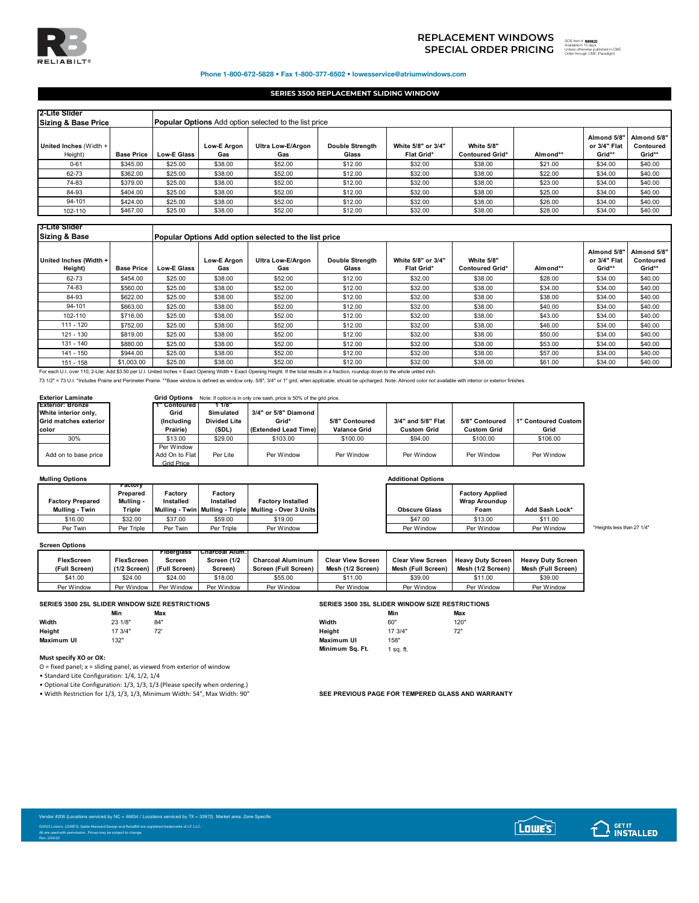

# **SPECIAL ORDER PRICING** SOS ITEM TO THE SUBSTITUTION OF THE SUBSTITUTION OF THE SUBSTITUTION OF THE SUBSTITUTION OF THE SUBSTITUTION OF THE SUBSTITUTION OF THE SUBSTITUTION OF THE SUBSTITUTION OF THE SUBSTITUTION OF THE SU **REPLACEMENT WINDOWS**

893820 ed in CMC Order through CMC (Paradigm)

### Phone 1-800-672-5828 • Fax 1-800-377-6502 • lowesservice@atriumwindows.com

## **SERIES 3500 REPLACEMENT SLIDING WINDOW**

| 2-Lite Slider<br><b>Sizing &amp; Base Price</b> |                   |                    |                           | <b>Popular Options</b> Add option selected to the list price |                                 |                                         |                                      |          |                                       |                                    |
|-------------------------------------------------|-------------------|--------------------|---------------------------|--------------------------------------------------------------|---------------------------------|-----------------------------------------|--------------------------------------|----------|---------------------------------------|------------------------------------|
| United Inches (Width +<br>Height)               | <b>Base Price</b> | <b>Low-E Glass</b> | <b>Low-E Argon</b><br>Gas | Ultra Low-E/Argon<br>Gas                                     | <b>Double Strenath</b><br>Glass | White 5/8" or 3/4"<br><b>Flat Grid*</b> | White 5/8"<br><b>Contoured Grid*</b> | Almond** | Almond 5/8"<br>or 3/4" Flat<br>Grid** | Almond 5/8"<br>Contoured<br>Grid** |
| $0 - 61$                                        | \$345.00          | \$25.00            | \$38.00                   | \$52.00                                                      | \$12.00                         | \$32.00                                 | \$38.00                              | \$21.00  | \$34.00                               | \$40.00                            |
| 62-73                                           | \$362.00          | \$25.00            | \$38.00                   | \$52.00                                                      | \$12.00                         | \$32.00                                 | \$38.00                              | \$22.00  | \$34.00                               | \$40.00                            |
| 74-83                                           | \$379.00          | \$25.00            | \$38.00                   | \$52.00                                                      | \$12.00                         | \$32.00                                 | \$38.00                              | \$23.00  | \$34.00                               | \$40.00                            |
| 84-93                                           | \$404.00          | \$25.00            | \$38.00                   | \$52.00                                                      | \$12.00                         | \$32.00                                 | \$38.00                              | \$25.00  | \$34.00                               | \$40.00                            |
| 94-101                                          | \$424.00          | \$25.00            | \$38.00                   | \$52.00                                                      | \$12.00                         | \$32.00                                 | \$38.00                              | \$26.00  | \$34.00                               | \$40.00                            |
| 102-110                                         | \$467.00          | \$25.00            | \$38.00                   | \$52.00                                                      | \$12.00                         | \$32.00                                 | \$38.00                              | \$28.00  | \$34.00                               | \$40.00                            |

| l3-Lite Slider<br>Sizing & Base                         |                   |                    | Popular Options Add option selected to the list price |                          |                                 |                                         |                                                          |          |                                       |                               |  |  |  |
|---------------------------------------------------------|-------------------|--------------------|-------------------------------------------------------|--------------------------|---------------------------------|-----------------------------------------|----------------------------------------------------------|----------|---------------------------------------|-------------------------------|--|--|--|
| United Inches (Width +<br>Height)                       | <b>Base Price</b> | <b>Low-E Glass</b> | Low-E Argon<br>Gas                                    | Ultra Low-E/Argon<br>Gas | <b>Double Strength</b><br>Glass | White 5/8" or 3/4"<br><b>Flat Grid*</b> | White 5/8"<br><b>Contoured Grid*</b>                     | Almond** | Almond 5/8"<br>or 3/4" Flat<br>Grid** | Almond 5<br>Contour<br>Grid** |  |  |  |
| 62-73                                                   | \$454.00          | \$25.00            | \$38.00                                               | \$52.00                  | \$12.00                         | \$32.00                                 | \$38.00                                                  | \$28.00  | \$34.00                               | \$40.00                       |  |  |  |
| 74-83                                                   | \$560.00          | \$25.00            | \$38.00                                               | \$52.00                  | \$12.00                         | \$32.00                                 | \$38.00                                                  | \$34.00  | \$34.00                               | \$40.00                       |  |  |  |
| 84-93                                                   | \$622.00          | \$25.00            | \$38.00                                               | \$52.00                  | \$12.00                         | \$32.00                                 | \$38.00                                                  | \$38.00  | \$34.00                               | \$40.00                       |  |  |  |
| 94-101                                                  | \$663.00          | \$25.00            | \$38.00                                               | \$52.00                  | \$12.00                         | \$32.00                                 | \$38.00                                                  | \$40.00  | \$34.00                               | \$40.00                       |  |  |  |
| 102-110                                                 | \$716.00          | \$25.00            | \$38.00                                               | \$52.00                  | \$12.00                         | \$32.00                                 | \$38.00                                                  | \$43.00  | \$34.00                               | \$40.00                       |  |  |  |
| 111 - 120                                               | \$752.00          | \$25.00            | \$38.00                                               | \$52.00                  | \$12.00                         | \$32.00                                 | \$38.00                                                  | \$46.00  | \$34.00                               | \$40.00                       |  |  |  |
| 121 - 130                                               | \$819.00          | \$25.00            | \$38.00                                               | \$52.00                  | \$12.00                         | \$32.00                                 | \$38.00                                                  | \$50.00  | \$34.00                               | \$40.00                       |  |  |  |
| 131 - 140                                               | \$880.00          | \$25.00            | \$38.00                                               | \$52.00                  | \$12.00                         | \$32.00                                 | \$38.00                                                  | \$53.00  | \$34.00                               | \$40.00                       |  |  |  |
| 141 - 150                                               | \$944.00          | \$25.00            | \$38.00                                               | \$52.00                  | \$12.00                         | \$32.00                                 | \$38.00                                                  | \$57.00  | \$34.00                               | \$40.00                       |  |  |  |
| $\cdot$ $\cdot$ $\cdot$ $\cdot$ $\cdot$ $\cdot$ $\cdot$ | $A + A A A A A$   | $20 - 20$          | $\cdots$                                              |                          | $\sim$ $\sim$                   | $\cdots$                                | $\mathbf{a} \mathbf{a} \mathbf{a} \mathbf{a} \mathbf{a}$ | 0.0100   | $\sim$ $\sim$                         | 0.1000                        |  |  |  |

151 - 158 | \$1,003.00 | \$25.00 | \$38.00 | \$52.00 | \$12.00 | \$32.00 | \$38.00 | \$61.00 | \$61.00 | \$34.00 | \$40.00<br>For each U.I. over 110, 2-Lite: Add \$3.50 per U.I. United Inches = Exact Opening Width + Exact Opening Height.

73 1/2" = 73 U.I. \*Includes Prairie and Perimeter Prairie. \*\*Base window is defined as window only. 5/8", 3/4" or 1" grid, when applicable, should be upcharged. Note: Almond color not available with interior or exterior fi

# **Exterior Laminate Grid Options** Note: If option is in only one sash, price is 50% of the grid price.

| <b>Exterior: Bronze</b><br>White interior only,<br>Grid matches exterior<br>color | Contoured<br>Grid<br>(Including<br>Prairie) | -118<br>Simulated<br><b>Divided Lite</b><br>(SDL) | 3/4" or 5/8" Diamond<br>Grid*<br>(Extended Lead Time) | 5/8" Contoured<br>Valance Grid | 3/4" and 5/8" Flat<br><b>Custom Grid</b> | 5/8" Contoured<br><b>Custom Grid</b> | 1" Contoured Custom<br>Grid |
|-----------------------------------------------------------------------------------|---------------------------------------------|---------------------------------------------------|-------------------------------------------------------|--------------------------------|------------------------------------------|--------------------------------------|-----------------------------|
| 30%                                                                               | \$13.00                                     | \$29.00                                           | \$103.00                                              | \$100.00                       | \$94.00                                  | \$100.00                             | \$106.00                    |
| Add on to base price                                                              | Per Window<br>Add On to Flat<br>Grid Price  | Per Lite                                          | Per Window                                            | Per Window                     | Per Window                               | Per Window                           | Per Window                  |

## **Mulling Options Additional Options**

| <b>Factory Prepared</b> | ractorv<br>Prepared<br>Mulling - | Factorv<br>Installed | Factorv<br>Installed | <b>Factory Installed</b>                                   |                      | <b>Factory Applied</b><br><b>Wrap Aroundup</b> |            |
|-------------------------|----------------------------------|----------------------|----------------------|------------------------------------------------------------|----------------------|------------------------------------------------|------------|
| Mulling - Twin          | Triple                           |                      |                      | Mullina - Twin   Mullina - Triple   Mullina - Over 3 Units | <b>Obscure Glass</b> | Foam                                           | Add Sash L |
| \$16.00                 | \$32.00                          | \$37.00              | \$59.00              | \$19.00                                                    | \$47.00              | \$13.00                                        |            |
| Per Twin                | Triple<br>Per                    | Per Twin             | Triple<br>Per        | Per Window                                                 | Per Window           | Per Window                                     | Per Wind   |

### **Screen Options**

|                   |                        | <b>Fibergiass</b> | Charcoal Alum. |                          |                          |                          |                          |                          |
|-------------------|------------------------|-------------------|----------------|--------------------------|--------------------------|--------------------------|--------------------------|--------------------------|
| <b>FlexScreen</b> | <b>FlexScreen</b>      | Screen            | Screen (1/2    | <b>Charcoal Aluminum</b> | <b>Clear View Screen</b> | <b>Clear View Screen</b> | <b>Heavy Duty Screen</b> | <b>Heavy Duty Screen</b> |
| (Full Screen)     | $(1/2$ Screen) $\vert$ | (Full Screen)     | Screen)        | Screen (Full Screen)     | Mesh (1/2 Screen)        | Mesh (Full Screen)       | Mesh (1/2 Screen)        | Mesh (Full Screen)       |
| \$41.00           | \$24.00                | \$24.00           | \$18.00        | \$55.00                  | 11.00                    | \$39.00                  | \$11.00                  | \$39.00                  |
| Per Window        | Per Window             | Per Window        | Per Window     | Per Window               | Per Window               | Per Window               | Per Window               | Per Window               |

|            | Min     | Max               |            | Mir     | Max           |
|------------|---------|-------------------|------------|---------|---------------|
| Width      | 23 1/8" | 84"               | Width      | 60"     | 120"          |
| Height     | 17 3/4" | 72'<br>$\epsilon$ | Height     | 17 3/4" | 72"<br>$\sim$ |
| Maximum UI | 132"    |                   | Maximum UI | 158"    |               |

### **Must specify XO or OX:**

Rev. 2/24/22

 $O =$  fixed panel;  $x =$  sliding panel, as viewed from exterior of window

• Standard Lite Configuration: 1/4, 1/2, 1/4

• Optional Lite Configuration: 1/3, 1/3, 1/3 (Please specify when ordering.)

• Width Restriction for 1/3, 1/3, 1/3, Minimum Width: 54", Max Width: 90" **SEE PREVIOUS PAGE FOR TEMPERED GLASS AND WARRANTY** 

|            |         | SERIES 3500 2SL SLIDER WINDOW SIZE RESTRICTIONS |                 |           | SERIES 3500 3SL SLIDER WINDOW SIZE RESTRICTIONS |
|------------|---------|-------------------------------------------------|-----------------|-----------|-------------------------------------------------|
|            | Min     | Max                                             |                 | Min       | Max                                             |
| Width      | 23 1/8" | 84"                                             | Width           | 60"       | 120"                                            |
| Height     | 17 3/4" | 72'                                             | Heiaht          | 17 3/4"   | 72"                                             |
| Maximum UI | 132"    |                                                 | Maximum UI      | 158"      |                                                 |
|            |         |                                                 | Minimum Sq. Ft. | l sa. ft. |                                                 |





|              | .<br>Prepared  | Factory   | Factory    |                                                            |                      | <b>Factory Applied</b> |                |                            |
|--------------|----------------|-----------|------------|------------------------------------------------------------|----------------------|------------------------|----------------|----------------------------|
| prv Prepared | <b>Mullina</b> | Installed | Installed  | <b>Factory Installed</b>                                   |                      | <b>Wrap Aroundup</b>   |                |                            |
| llina - Twin | Triple         |           |            | Mullina - Twin   Mullina - Triple   Mullina - Over 3 Units | <b>Obscure Glass</b> | Foam                   | Add Sash Lock* |                            |
| \$16.00      | \$32.00        | \$37.00   | \$59.00    | \$19.00                                                    | \$47.00              | \$13.00                | \$11.00        |                            |
| Per Twin     | Per Triple     | Per Twin  | Per Triple | Per Window                                                 | Per Window           | Per Window             | Per Window     | *Heights less than 27 1/4" |

**Almond 5/8" Contoured Grid\*\***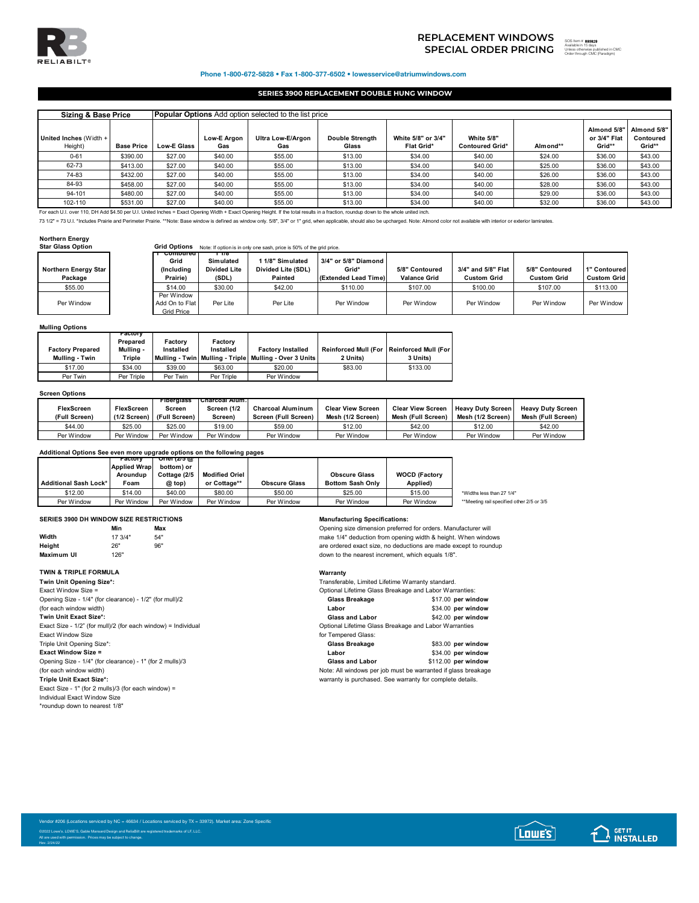

# 893829 **SPECIAL ORDER PRICING**  SOS Item # Available in 15 days Unless otherwise published in CMC Order through CMC (Paradigm)**REPLACEMENT WINDOWS**

## Phone 1-800-672-5828 • Fax 1-800-377-6502 • lowesservice@atriumwindows.com

## **SERIES 3900 REPLACEMENT DOUBLE HUNG WINDOW**

| Sizing & Base Price               |                   |                    | <b>Popular Options</b> Add option selected to the list price |                          |                                 |                                  |                                             |          |                                       |                                    |  |
|-----------------------------------|-------------------|--------------------|--------------------------------------------------------------|--------------------------|---------------------------------|----------------------------------|---------------------------------------------|----------|---------------------------------------|------------------------------------|--|
| United Inches (Width +<br>Height) | <b>Base Price</b> | <b>Low-E Glass</b> | Low-E Argon<br>Gas                                           | Ultra Low-E/Argon<br>Gas | <b>Double Strength</b><br>Glass | White 5/8" or 3/4"<br>Flat Grid* | <b>White 5/8"</b><br><b>Contoured Grid*</b> | Almond** | Almond 5/8"<br>or 3/4" Flat<br>Grid** | Almond 5/8"<br>Contoured<br>Grid** |  |
| $0 - 61$                          | \$390.00          | \$27.00            | \$40.00                                                      | \$55.00                  | \$13.00                         | \$34.00                          | \$40.00                                     | \$24.00  | \$36.00                               | \$43.00                            |  |
| 62-73                             | \$413.00          | \$27.00            | \$40.00                                                      | \$55.00                  | \$13.00                         | \$34.00                          | \$40.00                                     | \$25.00  | \$36.00                               | \$43.00                            |  |
| 74-83                             | \$432.00          | \$27.00            | \$40.00                                                      | \$55.00                  | \$13.00                         | \$34.00                          | \$40.00                                     | \$26.00  | \$36.00                               | \$43.00                            |  |
| 84-93                             | \$458.00          | \$27.00            | \$40.00                                                      | \$55.00                  | \$13.00                         | \$34.00                          | \$40.00                                     | \$28.00  | \$36.00                               | \$43.00                            |  |
| 94-101                            | \$480.00          | \$27.00            | \$40.00                                                      | \$55.00                  | \$13.00                         | \$34.00                          | \$40.00                                     | \$29.00  | \$36.00                               | \$43.00                            |  |
| 102-110                           | \$531.00          | \$27.00            | \$40.00                                                      | \$55.00                  | \$13.00                         | \$34.00                          | \$40.00                                     | \$32.00  | \$36.00                               | \$43.00                            |  |

For each U.I. over 110, DH Add \$4.50 per U.I. United Inches = Exact Opening Width + Exact Opening Height. If the total results in a fraction, roundup down to the whole united inch.

73 1/2" = 73 U.I. \*Includes Prairie and Perimeter Prairie. \*\*Note: Base window is defined as window only. 5/8", 3/4" or 1" grid, when applicable, should also be upcharged. Note: Almond color not available with interior or

### **Northern Energy**

| <b>Star Glass Option</b>        | Grid Options                               |                                           | Note: If option is in only one sash, price is 50% of the grid price. |                                                       |                                       |                                          |                                      |                                    |
|---------------------------------|--------------------------------------------|-------------------------------------------|----------------------------------------------------------------------|-------------------------------------------------------|---------------------------------------|------------------------------------------|--------------------------------------|------------------------------------|
|                                 | contoured                                  | - 178                                     |                                                                      |                                                       |                                       |                                          |                                      |                                    |
| Northern Energy Star<br>Package | Grid<br>(Including<br>Prairie)             | Simulated<br><b>Divided Lite</b><br>(SDL) | 1 1/8" Simulated<br>Divided Lite (SDL)<br><b>Painted</b>             | 3/4" or 5/8" Diamond<br>Grid*<br>(Extended Lead Time) | 5/8" Contoured<br><b>Valance Grid</b> | 3/4" and 5/8" Flat<br><b>Custom Grid</b> | 5/8" Contoured<br><b>Custom Grid</b> | 1" Contoured<br><b>Custom Grid</b> |
| \$55.00                         | \$14.00                                    | \$30.00                                   | \$42.00                                                              | \$110.00                                              | \$107.00                              | \$100.00                                 | \$107.00                             | \$113.00                           |
| Per Window                      | Per Window<br>Add On to Flat<br>Grid Price | Per Lite                                  | Per Lite                                                             | Per Window                                            | Per Window                            | Per Window                               | Per Window                           | Per Window                         |

## **Mulling Options**

| <b>Factory Prepared</b><br>Mulling - Twin | гастогу<br>Prepared<br>Mullina -<br>Triple | Factory<br>Installed | Factory<br>Installed | <b>Factory Installed</b><br>Mulling - Twin   Mulling - Triple   Mulling - Over 3 Units | Reinforced Mull (For   Reinforced Mull (For  <br>2 Units) | 3 Units) |
|-------------------------------------------|--------------------------------------------|----------------------|----------------------|----------------------------------------------------------------------------------------|-----------------------------------------------------------|----------|
| \$17.00                                   | \$34.00                                    | \$39.00              | \$63.00              | \$20.00                                                                                | \$83.00                                                   | \$133.00 |
| Per Twin                                  | Per Triple                                 | Per Twin             | Per Triple           | Per Window                                                                             |                                                           |          |

### **Screen Options**

|                   |                   | <b>Fibergiass</b> | TCharcoal Alum. |                          |                          |                          |                          |                          |
|-------------------|-------------------|-------------------|-----------------|--------------------------|--------------------------|--------------------------|--------------------------|--------------------------|
| <b>FlexScreen</b> | <b>FlexScreen</b> | Screen            | Screen (1/2     | <b>Charcoal Aluminum</b> | <b>Clear View Screen</b> | <b>Clear View Screen</b> | <b>Heavy Duty Screen</b> | <b>Heavy Duty Screen</b> |
| (Full Screen)     | $(1/2$ Screen)    | (Full Screen)     | Screen)         | Screen (Full Screen)     | Mesh (1/2 Screen)        | Mesh (Full Screen)       | Mesh (1/2 Screen)        | Mesh (Full Screen)       |
| \$44.00           | \$25.00           | \$25.00           | \$19.00         | \$59.00                  | \$12.00                  | \$42.00                  | \$12.00                  | \$42.00                  |
| Per Window        | Per Window        | Per Window        | Per Window      | Per Window               | Per Window               | Per Window               | Per Window               | Per Window               |

# **Additional Options See even more upgrade options on the following pages Factory Oriel (2/5 @**

|                              | <b>Applied Wrap</b> | bottom) or   |                       |                      |                         |                      |                                           |
|------------------------------|---------------------|--------------|-----------------------|----------------------|-------------------------|----------------------|-------------------------------------------|
|                              | Aroundup            | Cottage (2/5 | <b>Modified Oriel</b> |                      | <b>Obscure Glass</b>    | <b>WOCD (Factory</b> |                                           |
| <b>Additional Sash Lock*</b> | Foam                | @ top)       | or Cottage**          | <b>Obscure Glass</b> | <b>Bottom Sash Only</b> | Applied)             |                                           |
| \$12.00                      | \$14.00             | \$40.00      | \$80.00               | \$50.00              | \$25.00                 | \$15.00              | *Widths less than 27 1/4"                 |
| Per Window                   | Per Window          | Per Window   | Per Window            | Per Window           | Per Window              | Per Window           | **Meeting rail specified other 2/5 or 3/5 |

## **SERIES 3900 DH WINDOW SIZE RESTRICTIONS Manufacturing Specifications:**

| Min     | Max |
|---------|-----|
| 17 3/4" | 54" |
| 26"     | 96" |
| 126"    |     |
|         |     |

# **TWIN & TRIPLE FORMULA**<br> **Transferably Clerk:** Warranty **Warranty**<br> **Transferably**

| $1$ will only opening only .                                  | <u>Hanoloiavio. Liihitot</u> |
|---------------------------------------------------------------|------------------------------|
| Exact Window Size =                                           | Optional Lifetime Gla        |
| Opening Size - 1/4" (for clearance) - 1/2" (for mull)/2       | <b>Glass Breakage</b>        |
| (for each window width)                                       | Labor                        |
| Twin Unit Exact Size*:                                        | <b>Glass and Labor</b>       |
| Exact Size - 1/2" (for mull)/2 (for each window) = Individual | Optional Lifetime Gla        |
| <b>Exact Window Size</b>                                      | for Tempered Glass:          |
| Triple Unit Opening Size*:                                    | Glass Breakage               |
| <b>Exact Window Size =</b>                                    | Labor                        |
| Opening Size - 1/4" (for clearance) - 1" (for 2 mulls)/3      | <b>Glass and Labor</b>       |
| (for each window width)                                       | Note: All windows pe         |
| <b>Triple Unit Exact Size*:</b>                               | warranty is purchase         |
| Exact Size - 1" (for 2 mulls)/3 (for each window) =           |                              |
| Individual Exact Window Size                                  |                              |
| *roundup down to nearest 1/8"                                 |                              |
|                                                               |                              |
|                                                               |                              |

**Min Max** Opening size dimension preferred for orders. Manufacturer will make 1/4" deduction from opening width & height. When windows are ordered exact size, no deductions are made except to roundup down to the nearest increment, which equals 1/8".

Transferable, Limited Lifetime Warranty standard. Optional Lifetime Glass Breakage and Labor Warranties:

| Opening Size - 1/4" (for clearance) - 1/2" (for mull)/2       | Glass Breakage                                        | \$17.00 per window  |
|---------------------------------------------------------------|-------------------------------------------------------|---------------------|
| (for each window width)                                       | Labor                                                 | \$34.00 per window  |
| Twin Unit Exact Size*:                                        | <b>Glass and Labor</b>                                | \$42.00 per window  |
| Exact Size - 1/2" (for mull)/2 (for each window) = Individual | Optional Lifetime Glass Breakage and Labor Warranties |                     |
| <b>Exact Window Size</b>                                      | for Tempered Glass:                                   |                     |
| Triple Unit Opening Size*:                                    | Glass Breakage                                        | \$83.00 per window  |
| <b>Exact Window Size =</b>                                    | Labor                                                 | \$34.00 per window  |
| Opening Size - 1/4" (for clearance) - 1" (for 2 mulls)/3      | <b>Glass and Labor</b>                                | \$112.00 per window |

Note: All windows per job must be warranted if glass breakage warranty is purchased. See warranty for complete details.

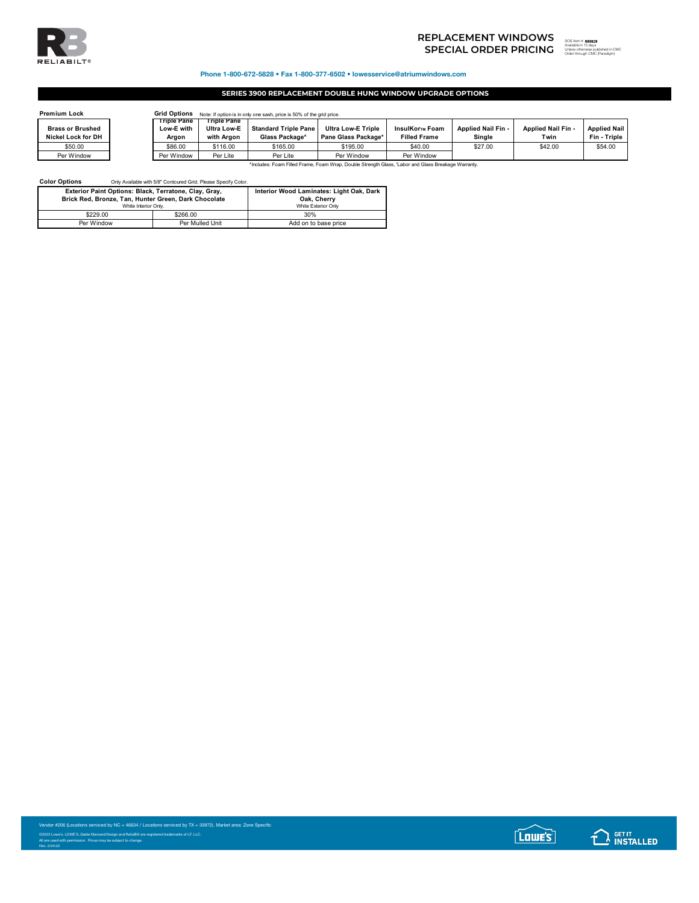

## Phone 1-800-672-5828 • Fax 1-800-377-6502 • lowesservice@atriumwindows.com

## **SERIES 3900 REPLACEMENT DOUBLE HUNG WINDOW UPGRADE OPTIONS**

| <b>Premium Lock</b>     |                           | <b>Grid Options</b><br>Note: If option is in only one sash, price is 50% of the grid price. |                             |                           |                     |                    |                    |                     |  |  |
|-------------------------|---------------------------|---------------------------------------------------------------------------------------------|-----------------------------|---------------------------|---------------------|--------------------|--------------------|---------------------|--|--|
| <b>Brass or Brushed</b> | Triple Pane<br>Low-E with | Trible Pane<br><b>Ultra Low-E</b>                                                           | <b>Standard Triple Pane</b> | <b>Ultra Low-E Triple</b> | InsulKor™ Foam      | Applied Nail Fin - | Applied Nail Fin - | <b>Applied Nail</b> |  |  |
| Nickel Lock for DH      | Argon                     | with Araon                                                                                  | Glass Package*              | Pane Glass Package*       | <b>Filled Frame</b> | Single             | Twin               | Fin - Triple        |  |  |
| \$50.00                 | \$86.00                   | \$116.00                                                                                    | \$165.00                    | \$195.00                  | \$40.00             | \$27.00            | \$42.00            | \$54.00             |  |  |
| Per Window              | Per Window                | Per Lite                                                                                    | Per Lite                    | Per Window                | Per Window          |                    |                    |                     |  |  |

\*Includes: Foam Filled Frame, Foam Wrap, Double Strength Glass, 'Labor and Glass Breakage Warranty.

**Color Options** Only Available with 5/8" Contoured Grid. Please Specify Color.

| Exterior Paint Options: Black, Terratone, Clay, Gray, | Interior Wood Laminates: Light Oak, Dark |                      |  |  |
|-------------------------------------------------------|------------------------------------------|----------------------|--|--|
| Brick Red. Bronze. Tan. Hunter Green. Dark Chocolate  | Oak. Cherry                              |                      |  |  |
|                                                       | White Interior Only.                     |                      |  |  |
| \$229.00                                              | \$266.00                                 | 30%                  |  |  |
| Per Window                                            | Per Mulled Unit                          | Add on to base price |  |  |

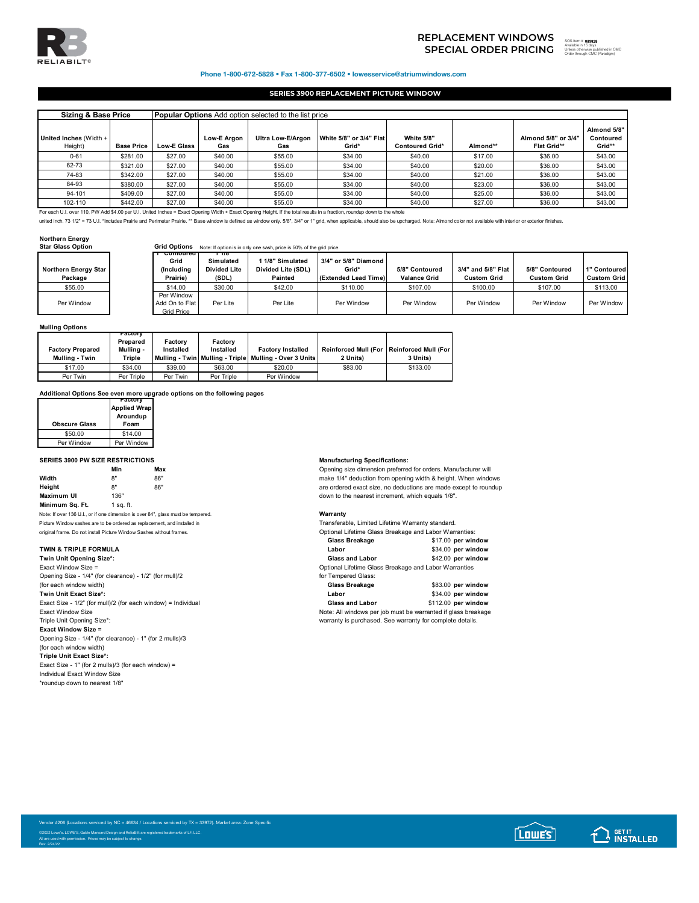

## Phone 1-800-672-5828 • Fax 1-800-377-6502 • lowesservice@atriumwindows.com

## **SERIES 3900 REPLACEMENT PICTURE WINDOW**

| <b>Sizing &amp; Base Price</b>                                                                                                                                           |                   | <b>Popular Options</b> Add option selected to the list price |                    |                          |                                  |                                      |          |                                           |                                    |
|--------------------------------------------------------------------------------------------------------------------------------------------------------------------------|-------------------|--------------------------------------------------------------|--------------------|--------------------------|----------------------------------|--------------------------------------|----------|-------------------------------------------|------------------------------------|
| United Inches (Width +<br>Height)                                                                                                                                        | <b>Base Price</b> | <b>Low-E Glass</b>                                           | Low-E Argon<br>Gas | Ultra Low-E/Argon<br>Gas | White 5/8" or 3/4" Flat<br>Grid* | White 5/8"<br><b>Contoured Grid*</b> | Almond** | Almond 5/8" or 3/4"<br><b>Flat Grid**</b> | Almond 5/8"<br>Contoured<br>Grid** |
| $0 - 61$                                                                                                                                                                 | \$281.00          | \$27.00                                                      | \$40.00            | \$55.00                  | \$34.00                          | \$40.00                              | \$17.00  | \$36.00                                   | \$43.00                            |
| 62-73                                                                                                                                                                    | \$321.00          | \$27.00                                                      | \$40.00            | \$55.00                  | \$34.00                          | \$40.00                              | \$20.00  | \$36.00                                   | \$43.00                            |
| 74-83                                                                                                                                                                    | \$342.00          | \$27.00                                                      | \$40.00            | \$55.00                  | \$34.00                          | \$40.00                              | \$21.00  | \$36.00                                   | \$43.00                            |
| 84-93                                                                                                                                                                    | \$380.00          | \$27.00                                                      | \$40.00            | \$55.00                  | \$34.00                          | \$40.00                              | \$23.00  | \$36.00                                   | \$43.00                            |
| 94-101                                                                                                                                                                   | \$409.00          | \$27.00                                                      | \$40.00            | \$55.00                  | \$34.00                          | \$40.00                              | \$25.00  | \$36.00                                   | \$43.00                            |
| 102-110                                                                                                                                                                  | \$442.00          | \$27.00                                                      | \$40.00            | \$55.00                  | \$34.00                          | \$40.00                              | \$27.00  | \$36.00                                   | \$43.00                            |
| For each U.I. over 110, PW Add \$4.00 per U.I. United Inches = Exact Opening Width + Exact Opening Height. If the total results in a fraction, roundup down to the whole |                   |                                                              |                    |                          |                                  |                                      |          |                                           |                                    |

united inch. 73 1/2" = 73 U.I. \*Includes Prairie and Perimeter Prairie. \*\* Base window is defined as window only. 5/8", 3/4" or 1" grid, when applicable, should also be upcharged. Note: Almond color not available with inte

### **Northern Energy**

| <b>Star Glass Option</b>        | <b>Grid Options</b>                                      |                                                    | Note: If option is in only one sash, price is 50% of the grid price. |                                                       |                                       |                                          |                                      |                                    |
|---------------------------------|----------------------------------------------------------|----------------------------------------------------|----------------------------------------------------------------------|-------------------------------------------------------|---------------------------------------|------------------------------------------|--------------------------------------|------------------------------------|
| Northern Energy Star<br>Package | <del>⊤ Contourea</del><br>Grid<br>(Including<br>Prairie) | г 178<br>Simulated<br><b>Divided Lite</b><br>(SDL) | 1 1/8" Simulated<br>Divided Lite (SDL)<br>Painted                    | 3/4" or 5/8" Diamond<br>Grid*<br>(Extended Lead Time) | 5/8" Contoured<br><b>Valance Grid</b> | 3/4" and 5/8" Flat<br><b>Custom Grid</b> | 5/8" Contoured<br><b>Custom Grid</b> | 1" Contoured<br><b>Custom Grid</b> |
| \$55.00                         | \$14.00                                                  | \$30.00                                            | \$42.00                                                              | \$110.00                                              | \$107.00                              | \$100.00                                 | \$107.00                             | \$113.00                           |
| Per Window                      | Per Window<br>Add On to Flat<br>Grid Price               | Per Lite                                           | Per Lite                                                             | Per Window                                            | Per Window                            | Per Window                               | Per Window                           | Per Window                         |

## **Mulling Options**

| <b>Factory Prepared</b><br>Mulling - Twin | -астогу<br>Prepared<br>Mullina -<br>Triple | Factory<br>Installed | Factory<br>Installed | <b>Factory Installed</b><br>Mulling - Twin   Mulling - Triple   Mulling - Over 3 Units | Reinforced Mull (For   Reinforced Mull (For<br>2 Units) | 3 Units) |
|-------------------------------------------|--------------------------------------------|----------------------|----------------------|----------------------------------------------------------------------------------------|---------------------------------------------------------|----------|
| \$17.00                                   | \$34.00                                    | \$39.00              | \$63.00              | \$20.00                                                                                | \$83.00                                                 | \$133.00 |
| Per Twin                                  | Per Triple                                 | Per Twin             | Per Triple           | Per Window                                                                             |                                                         |          |

### **Additional Options See even more upgrade options on the following pages**

| <b>Factory</b><br><b>Applied Wrap</b><br>Aroundup<br>Foam |
|-----------------------------------------------------------|
| \$14.00                                                   |
| Per Window                                                |
|                                                           |

## **SERIES 3900 PW SIZE RESTRICTIONS Manufacturing Specifications:**

|                   | Min       | Max |
|-------------------|-----------|-----|
| Width             | R"        | 86" |
| Heiaht            | 8"        | 86" |
| <b>Maximum UI</b> | 136"      |     |
| Minimum Sq. Ft.   | 1 sa. ft. |     |

Note: If over 136 U.I., or if one dimension is over 84", glass must be tempered. **Warranty** Picture Window sashes are to be ordered as replacement, and installed in original frame. Do not install Picture Window Sashes without frames.

### **TWIN & TRIPLE FORMULA**

**Twin Unit Opening Size\*:**<br>**Exact Window Size =** (for each window width) **Glass Breakage** \$83.00 **per window Twin Unit Exact Size\*:** Exact Size - 1/2" (for mull)/2 (for each window) = Individual Exact Window Size Control of the Changes of the Note: All windows per job must be warranted if glass breakage<br>Triple Unit Opening Size\*: Control of the Warranty is purchased. See warranty for complete details. **Exact Window Size =** Opening Size - 1/4" (for clearance) - 1" (for 2 mulls)/3 (for each window width) **Triple Unit Exact Size\*:** Exact Size - 1" (for 2 mulls)/3 (for each window) = Individual Exact Window Size \*roundup down to nearest 1/8"

**Min Max** Opening size dimension preferred for orders. Manufacturer will make 1/4" deduction from opening width & height. When windows are ordered exact size, no deductions are made except to roundup down to the nearest increment, which equals 1/8".

| Picture Window sashes are to be ordered as replacement, and installed in | Transferable, Limited Lifetime Warranty standard.      |                    |
|--------------------------------------------------------------------------|--------------------------------------------------------|--------------------|
| original frame. Do not install Picture Window Sashes without frames.     | Optional Lifetime Glass Breakage and Labor Warranties: |                    |
|                                                                          | Glass Breakage                                         | \$17.00 per window |
| TWIN & TRIPLE FORMULA                                                    | Labor                                                  | \$34.00 per window |
| Twin Unit Opening Size*:                                                 | <b>Glass and Labor</b>                                 | \$42.00 per window |
| Exact Window Size =                                                      | Optional Lifetime Glass Breakage and Labor Warranties  |                    |
| Opening Size - 1/4" (for clearance) - 1/2" (for mull)/2                  | for Tempered Glass:                                    |                    |
|                                                                          |                                                        |                    |

| Giass Dreakage                                                | <b>303.UU DEF WINDOW</b> |
|---------------------------------------------------------------|--------------------------|
| Labor                                                         | \$34.00 per window       |
| <b>Glass and Labor</b>                                        | \$112.00 per window      |
| Note: All windows per job must be warranted if glass breakage |                          |
| warranty is purchased. See warranty for complete details.     |                          |





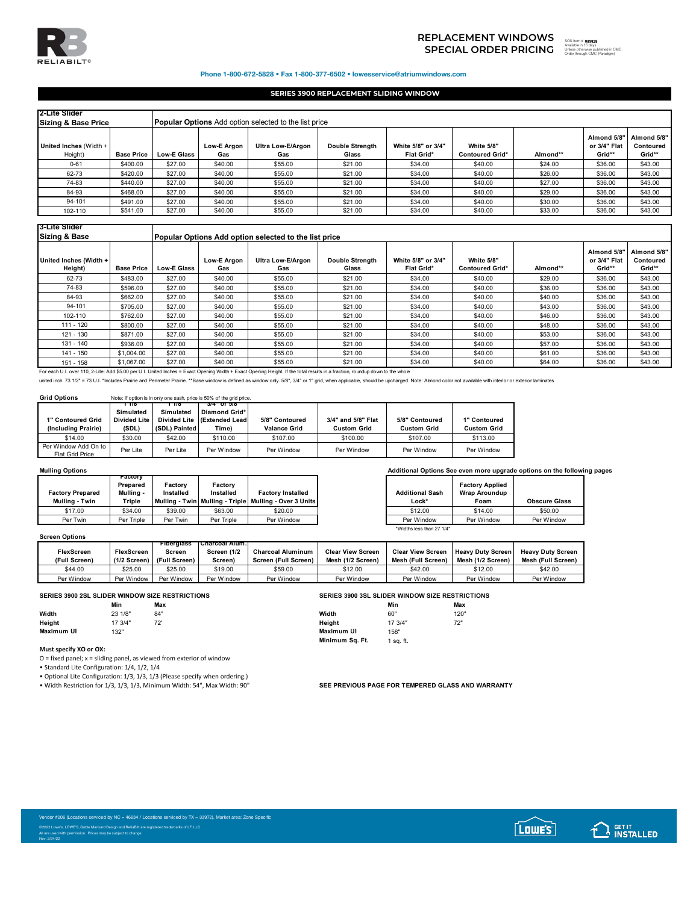

# **SPECIAL ORDER PRICING** SOS ITEM TO THE SUBSTITUTION OF THE SUBSTITUTION OF THE SUBSTITUTION OF THE SUBSTITUTION OF THE SUBSTITUTION OF THE SUBSTITUTION OF THE SUBSTITUTION OF THE SUBSTITUTION OF THE SUBSTITUTION OF THE SU **REPLACEMENT WINDOWS**

893829 Unless otherwise published in CMC Order through CMC (Paradigm)

Phone 1-800-672-5828 • Fax 1-800-377-6502 • lowesservice@atriumwindows.com

## **SERIES 3900 REPLACEMENT SLIDING WINDOW**

| 2-Lite Slider<br><b>Sizing &amp; Base Price</b> |                   |                    |                           | <b>Popular Options</b> Add option selected to the list price |                                 |                                         |                                      |          |                                       |                                    |
|-------------------------------------------------|-------------------|--------------------|---------------------------|--------------------------------------------------------------|---------------------------------|-----------------------------------------|--------------------------------------|----------|---------------------------------------|------------------------------------|
| United Inches (Width +<br>Height)               | <b>Base Price</b> | <b>Low-E Glass</b> | <b>Low-E Argon</b><br>Gas | Ultra Low-E/Argon<br>Gas                                     | <b>Double Strenath</b><br>Glass | White 5/8" or 3/4"<br><b>Flat Grid*</b> | White 5/8"<br><b>Contoured Grid*</b> | Almond** | Almond 5/8"<br>or 3/4" Flat<br>Grid** | Almond 5/8"<br>Contoured<br>Grid** |
| $0 - 61$                                        | \$400.00          | \$27.00            | \$40.00                   | \$55.00                                                      | \$21.00                         | \$34.00                                 | \$40.00                              | \$24.00  | \$36.00                               | \$43.00                            |
| 62-73                                           | \$420.00          | \$27.00            | \$40.00                   | \$55.00                                                      | \$21.00                         | \$34.00                                 | \$40.00                              | \$26.00  | \$36.00                               | \$43.00                            |
| 74-83                                           | \$440.00          | \$27.00            | \$40.00                   | \$55.00                                                      | \$21.00                         | \$34.00                                 | \$40.00                              | \$27.00  | \$36.00                               | \$43.00                            |
| 84-93                                           | \$468.00          | \$27.00            | \$40.00                   | \$55.00                                                      | \$21.00                         | \$34.00                                 | \$40.00                              | \$29.00  | \$36.00                               | \$43.00                            |
| 94-101                                          | \$491.00          | \$27.00            | \$40.00                   | \$55.00                                                      | \$21.00                         | \$34.00                                 | \$40.00                              | \$30.00  | \$36.00                               | \$43.00                            |
| 102-110                                         | \$541.00          | \$27.00            | \$40.00                   | \$55.00                                                      | \$21.00                         | \$34.00                                 | \$40.00                              | \$33.00  | \$36.00                               | \$43.00                            |

## **3-Lite Slider**

| <b>Sizing &amp; Base</b>                                                                                                                                                      |                   |                    | Popular Options Add option selected to the list price |                          |                                 |                                  |                                      |          |                                       |                                    |  |
|-------------------------------------------------------------------------------------------------------------------------------------------------------------------------------|-------------------|--------------------|-------------------------------------------------------|--------------------------|---------------------------------|----------------------------------|--------------------------------------|----------|---------------------------------------|------------------------------------|--|
| United Inches (Width +<br>Height)                                                                                                                                             | <b>Base Price</b> | <b>Low-E Glass</b> | <b>Low-E Araon</b><br>Gas                             | Ultra Low-E/Argon<br>Gas | <b>Double Strength</b><br>Glass | White 5/8" or 3/4"<br>Flat Grid* | White 5/8"<br><b>Contoured Grid*</b> | Almond** | Almond 5/8"<br>or 3/4" Flat<br>Grid** | Almond 5/8"<br>Contoured<br>Grid** |  |
| 62-73                                                                                                                                                                         | \$483.00          | \$27.00            | \$40.00                                               | \$55.00                  | \$21.00                         | \$34.00                          | \$40.00                              | \$29.00  | \$36.00                               | \$43.00                            |  |
| 74-83                                                                                                                                                                         | \$596.00          | \$27.00            | \$40.00                                               | \$55.00                  | \$21.00                         | \$34.00                          | \$40.00                              | \$36.00  | \$36.00                               | \$43.00                            |  |
| 84-93                                                                                                                                                                         | \$662.00          | \$27.00            | \$40.00                                               | \$55.00                  | \$21.00                         | \$34.00                          | \$40.00                              | \$40.00  | \$36.00                               | \$43.00                            |  |
| 94-101                                                                                                                                                                        | \$705.00          | \$27.00            | \$40.00                                               | \$55.00                  | \$21.00                         | \$34.00                          | \$40.00                              | \$43.00  | \$36.00                               | \$43.00                            |  |
| 102-110                                                                                                                                                                       | \$762.00          | \$27.00            | \$40.00                                               | \$55.00                  | \$21.00                         | \$34.00                          | \$40.00                              | \$46.00  | \$36.00                               | \$43.00                            |  |
| $111 - 120$                                                                                                                                                                   | \$800.00          | \$27.00            | \$40.00                                               | \$55.00                  | \$21.00                         | \$34.00                          | \$40.00                              | \$48.00  | \$36.00                               | \$43.00                            |  |
| 121 - 130                                                                                                                                                                     | \$871.00          | \$27.00            | \$40.00                                               | \$55.00                  | \$21.00                         | \$34.00                          | \$40.00                              | \$53.00  | \$36.00                               | \$43.00                            |  |
| 131 - 140                                                                                                                                                                     | \$936.00          | \$27.00            | \$40.00                                               | \$55.00                  | \$21.00                         | \$34.00                          | \$40.00                              | \$57.00  | \$36.00                               | \$43.00                            |  |
| 141 - 150                                                                                                                                                                     | \$1,004.00        | \$27.00            | \$40.00                                               | \$55.00                  | \$21.00                         | \$34.00                          | \$40.00                              | \$61.00  | \$36.00                               | \$43.00                            |  |
| 151 - 158                                                                                                                                                                     | \$1,067.00        | \$27.00            | \$40.00                                               | \$55.00                  | \$21.00                         | \$34.00                          | \$40.00                              | \$64.00  | \$36.00                               | \$43.00                            |  |
| For each U.I. over 110, 2-Lite: Add \$5.00 per U.I. United Inches = Exact Opening Width + Exact Opening Height. If the total results in a fraction, roundup down to the whole |                   |                    |                                                       |                          |                                 |                                  |                                      |          |                                       |                                    |  |

united inch. 73 1/2" = 73 U.I. "Includes Prairie and Perimeter Prairie. \*\*Base window is defined as window only. 5/8", 3/4" or 1" grid, when applicable, should be upcharged. Note: Almond color not available with interior o

## **Grid Options** Note: If option is in only one sash, price is 50% of the grid price.

|                                                | ПΤΟ                 | 110                 | 374 OT 376     |                     |                    |                    |                    |
|------------------------------------------------|---------------------|---------------------|----------------|---------------------|--------------------|--------------------|--------------------|
|                                                | Simulated           | Simulated           | Diamond Grid*  |                     |                    |                    |                    |
| 1" Contoured Grid                              | <b>Divided Lite</b> | <b>Divided Lite</b> | (Extended Lead | 5/8" Contoured      | 3/4" and 5/8" Flat | 5/8" Contoured     | 1" Contoured       |
| (Including Prairie)                            | (SDL)               | (SDL) Painted       | Time)          | <b>Valance Grid</b> | <b>Custom Grid</b> | <b>Custom Grid</b> | <b>Custom Grid</b> |
| \$14.00                                        | \$30.00             | \$42.00             | \$110.00       | \$107.00            | \$100.00           | \$107.00           | \$113.00           |
| Per Window Add On to<br><b>Flat Grid Price</b> | Per Lite            | Per Lite            | Per Window     | Per Window          | Per Window         | Per Window         | Per Window         |

| <b>Factory Prepared</b><br>Mulling - Twin | ractory<br>Prepared<br>Mullina -<br>Triple | Factory<br>Installed | Factory<br>Installed | <b>Factory Installed</b><br>  Mullina - Twin   Mullina - Triple   Mullina - Over 3 Units | <b>Additional Sash</b><br>Lock* | <b>Factory Applied</b><br><b>Wrap Aroundup</b><br>Foam | <b>Obscure Glas</b> |
|-------------------------------------------|--------------------------------------------|----------------------|----------------------|------------------------------------------------------------------------------------------|---------------------------------|--------------------------------------------------------|---------------------|
| \$17.00                                   | \$34.00                                    | \$39.00              | \$63.00              | \$20.00                                                                                  | \$12.00                         | \$14.00                                                | \$50.00             |
| Per Twin                                  | Per Triple                                 | Per Twin             | Per Triple           | Per Window                                                                               | Per Window                      | Per Window                                             | Per Window          |

| <b>Screen Options</b> |                |                   |                       |                          |                          |                          |                          |                          |  |  |
|-----------------------|----------------|-------------------|-----------------------|--------------------------|--------------------------|--------------------------|--------------------------|--------------------------|--|--|
|                       |                | <b>Fibergiass</b> | <b>Charcoal Alum.</b> |                          |                          |                          |                          |                          |  |  |
| <b>FlexScreen</b>     | FlexScreen     | Screen            | Screen (1/2           | <b>Charcoal Aluminum</b> | <b>Clear View Screen</b> | <b>Clear View Screen</b> | <b>Heavy Duty Screen</b> | <b>Heavy Duty Screen</b> |  |  |
| (Full Screen)         | $(1/2$ Screen) | (Full Screen)     | Screen)               | Screen (Full Screen)     | Mesh (1/2 Screen)        | Mesh (Full Screen)       | Mesh (1/2 Screen)        | Mesh (Full Screen)       |  |  |
| \$44.00               | \$25.00        | \$25.00           | \$19.00               | \$59.00                  | \$12.00                  | \$42.00                  | \$12.00                  | \$42.00                  |  |  |
| Per Window            | Per Window     | Per Window        | Per Window            | Per Window               | Per Window               | Per Window               | Per Window               | Per Window               |  |  |

|            | Min     | Max        |            | Min     | Max        |
|------------|---------|------------|------------|---------|------------|
| Width      | 23 1/8" | 84"        | Width      | 60"     | 120"       |
| Height     | 17 3/4" | 72'<br>ے ، | Height     | 17 3/4" | 72"<br>1 Z |
| Maximum UI | 132"    |            | Maximum UI | 158"    |            |

## **Must specify XO or OX:**

Rev. 2/24/22

O = fixed panel; x = sliding panel, as viewed from exterior of window

• Standard Lite Configuration: 1/4, 1/2, 1/4

• Optional Lite Configuration: 1/3, 1/3, 1/3 (Please specify when ordering.)

• Width Restriction for 1/3, 1/3, 1/3, Minimum Width: 54", Max Width: 90" **SEE PREVIOUS PAGE FOR TEMPERED GLASS AND WARRANTY** 

|            |         | SERIES 3900 2SL SLIDER WINDOW SIZE RESTRICTIONS |                 |           | SERIES 3900 3SL SLIDER WINDOW SIZE RESTRICTIONS |
|------------|---------|-------------------------------------------------|-----------------|-----------|-------------------------------------------------|
|            | Min     | Max                                             |                 | Min       | Max                                             |
| Width      | 23 1/8" | 84"                                             | Width           | 60'       | 120"                                            |
| Height     | 17 3/4" | 72'                                             | Height          | 17 3/4"   | 72"                                             |
| Maximum UI | 132"    |                                                 | Maximum UI      | 158"      |                                                 |
|            |         |                                                 | Minimum Sa. Ft. | 1 sa. ft. |                                                 |
|            |         |                                                 |                 |           |                                                 |





**Mulling Options Additional Options See even more upgrade options on the following pages**

| <b>Additional Sash</b><br>Lock* | <b>Factory Applied</b><br><b>Wrap Aroundup</b><br>Foam | <b>Obscure Glass</b> |
|---------------------------------|--------------------------------------------------------|----------------------|
| \$12.00                         | \$14.00                                                | \$50.00              |
| Per Window                      | Per Window                                             | Per Window           |
| *Widths less than 27 1/4"       |                                                        |                      |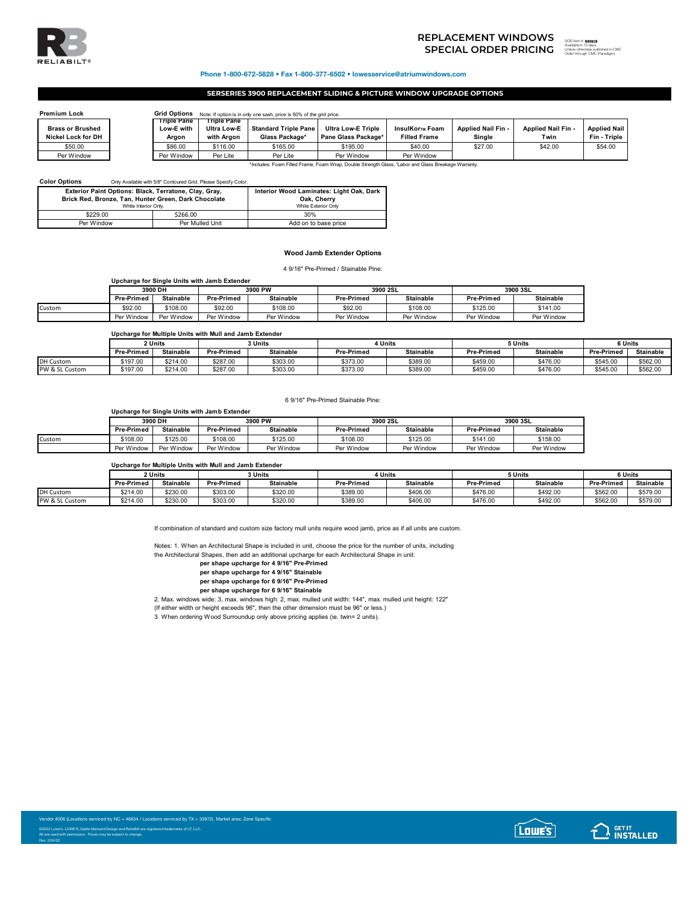

# **SPECIAL ORDER PRICING** SOS ITEM TO THE SUBSTITUTION OF THE SUBSTITUTION OF THE SUBSTITUTION OF THE SUBSTITUTION OF THE SUBSTITUTION OF THE SUBSTITUTION OF THE SUBSTITUTION OF THE SUBSTITUTION OF THE SUBSTITUTION OF THE SU **REPLACEMENT WINDOWS**

893829 ed in CMC Order through CMC (Paradigm)

### Phone 1-800-672-5828 • Fax 1-800-377-6502 • lowesservice@atriumwindows.com

## **SERSERIES 3900 REPLACEMENT SLIDING & PICTURE WINDOW UPGRADE OPTIONS**

| <b>Premium Lock</b>       | <b>Grid Options</b>       |                                   | Note: If option is in only one sash, price is 50% of the grid price. |                           |                     |                    |                    |                     |
|---------------------------|---------------------------|-----------------------------------|----------------------------------------------------------------------|---------------------------|---------------------|--------------------|--------------------|---------------------|
| <b>Brass or Brushed</b>   | Triple Pane<br>Low-E with | Trible Pane<br><b>Ultra Low-E</b> | <b>Standard Triple Pane</b>                                          | <b>Ultra Low-E Triple</b> | InsulKor™ Foam      | Applied Nail Fin - | Applied Nail Fin - | <b>Applied Nail</b> |
| <b>Nickel Lock for DH</b> | Argon                     | with Araon                        | Glass Package*                                                       | Pane Glass Package*       | <b>Filled Frame</b> | Sinale             | Twin               | Fin - Triple        |
| \$50.00                   | \$86.00                   | \$116.00                          | \$165.00                                                             | \$195.00                  | \$40.00             | \$27.00            | \$42.00            | \$54.00             |
| Per Window                | Per Window                | Per Lite                          | Per Lite                                                             | Per Window                | Per Window          |                    |                    |                     |

\*Includes: Foam Filled Frame, Foam Wrap, Double Strength Glass, 'Labor and Glass Breakage Warranty.

| <b>Color Options</b> |                                                                              | Only Available with 5/8" Contoured Grid, Please Specify Color, |                      |  |
|----------------------|------------------------------------------------------------------------------|----------------------------------------------------------------|----------------------|--|
|                      | Exterior Paint Options: Black, Terratone, Clay, Gray,                        | Interior Wood Laminates: Light Oak, Dark                       |                      |  |
|                      | Brick Red, Bronze, Tan, Hunter Green, Dark Chocolate<br>White Interior Only. | Oak. Cherry<br>White Exterior Only                             |                      |  |
|                      | \$229.00                                                                     | \$266.00                                                       | 30%                  |  |
|                      | Per Window                                                                   | Per Mulled Unit                                                | Add on to base price |  |

## **Wood Jamb Extender Options**

4 9/16" Pre-Primed / Stainable Pine:

| Upcharge for Single Units with Jamb Extender |                   |                  |                   |                  |                   |                  |                   |                  |  |
|----------------------------------------------|-------------------|------------------|-------------------|------------------|-------------------|------------------|-------------------|------------------|--|
|                                              | 3900 DH           |                  | 3900 PW           |                  | 3900 2SL          |                  | 3900 3SL          |                  |  |
|                                              | <b>Pre-Primed</b> | <b>Stainable</b> | <b>Pre-Primed</b> | <b>Stainable</b> | <b>Pre-Primed</b> | <b>Stainable</b> | <b>Pre-Primed</b> | <b>Stainable</b> |  |
| Custom                                       | \$92.00           | \$108.00         | \$92.00           | \$108.00         | \$92.00           | \$108.00         | \$125.00          | \$141.00         |  |
|                                              | Per Window        | Per Window       | Per Window        | Per Window       | Per Window        | Per Window       | Per Window        | Per Window       |  |

## **Upcharge for Multiple Units with Mull and Jamb Extender**

|                  | 2 Units           |           |            | ่ 3 Units        |                   | 1 Units   |                   | 5 Units          |            | 6 Units          |  |
|------------------|-------------------|-----------|------------|------------------|-------------------|-----------|-------------------|------------------|------------|------------------|--|
|                  | <b>Pre-Primed</b> | Stainable | Pre-Primed | <b>Stainable</b> | <b>Pre-Primed</b> | Stainable | <b>Pre-Primed</b> | <b>Stainable</b> | Pre-Primed | <b>Stainable</b> |  |
| <b>DH Custom</b> | \$197.00          | \$214.00  | \$287.00   | \$303.00         | \$373.00          | \$389.00  | \$459.00          | \$476.00         | \$545.00   | \$562.00         |  |
| PW & SL Custom   | \$197.00          | \$214.00  | \$287.00   | \$303.00         | \$373.00          | \$389.00  | \$459.00          | \$476.00         | \$545.00   | \$562.00         |  |

### 6 9/16" Pre-Primed Stainable Pine:

**Upcharge for Single Units with Jamb Extender**

| 3900 DH           |            | 3900 PW           |                  | 3900 2SL          |                  | 3900 3SL          |                  |  |
|-------------------|------------|-------------------|------------------|-------------------|------------------|-------------------|------------------|--|
| <b>Pre-Primed</b> | Stainable  | <b>Pre-Primed</b> | <b>Stainable</b> | <b>Pre-Primed</b> | <b>Stainable</b> | <b>Pre-Primed</b> | <b>Stainable</b> |  |
| \$108.00          | \$125.00   | \$108.00          | \$125.00         | \$108.00          | \$125.00         | \$141.00          | \$158.00         |  |
| Per Window        | Per Window | Per Window        | Per Window       | Per Window        | Per Window       | Per Window        | Per Window       |  |
|                   |            |                   |                  |                   |                  |                   |                  |  |

### **Upcharge for Multiple Units with Mull and Jamb Extender**

|                  | 2 Units           |                  | <b>፡ Units</b>    |           | <b>Units</b>      |                  | 5 Units           |                  | 6 Units           |                  |
|------------------|-------------------|------------------|-------------------|-----------|-------------------|------------------|-------------------|------------------|-------------------|------------------|
|                  | <b>Pre-Primed</b> | <b>Stainable</b> | <b>Pre-Primed</b> | Stainable | <b>Pre-Primed</b> | <b>Stainable</b> | <b>Pre-Primed</b> | <b>Stainable</b> | <b>Pre-Primed</b> | <b>Stainable</b> |
| <b>DH Custom</b> | \$214.00          | \$230.00         | \$303.00          | \$320.00  | \$389.00          | \$406.00         | \$476.00          | \$492.00         | \$562.00          | \$579.00         |
| PW & SL Custom   | \$214.00          | \$230.00         | \$303.00          | \$320.00  | \$389.00          | \$406.00         | \$476.00          | \$492.00         | \$562.00          | \$579.00         |

If combination of standard and custom size factory mull units require wood jamb, price as if all units are custom.

Notes: 1. When an Architectural Shape is included in unit, choose the price for the number of units, including the Architectural Shapes, then add an additional upcharge for each Architectural Shape in unit:

**per shape upcharge for 4 9/16" Pre-Primed**

**per shape upcharge for 4 9/16" Stainable**

**per shape upcharge for 6 9/16" Pre-Primed**

**per shape upcharge for 6 9/16" Stainable**

2. Max. windows wide: 3, max. windows high: 2, max. mulled unit width: 144", max. mulled unit height: 122"

(If either width or height exceeds 96", then the other dimension must be 96" or less.)

3. When ordering Wood Surroundup only above pricing applies (ie. twin= 2 units).

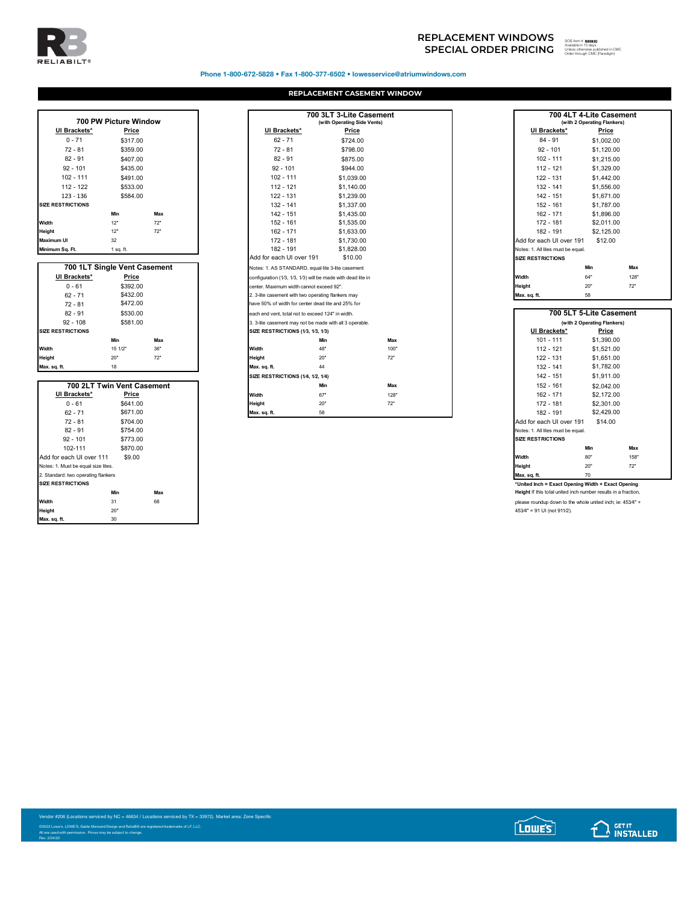

## Phone 1-800-672-5828 • Fax 1-800-377-6502 • lowesservice@atriumwindows.com

## **REPLACEMENT CASEMENT WINDOW**

|                          | 700 PW Picture Window |          |  |  |  |  |  |  |  |
|--------------------------|-----------------------|----------|--|--|--|--|--|--|--|
| UI Brackets*             |                       | Price    |  |  |  |  |  |  |  |
| $0 - 71$                 |                       | \$317.00 |  |  |  |  |  |  |  |
| $72 - 81$                |                       | \$359.00 |  |  |  |  |  |  |  |
| $82 - 91$                |                       | \$407.00 |  |  |  |  |  |  |  |
| $92 - 101$               |                       | \$435.00 |  |  |  |  |  |  |  |
| $102 - 111$              |                       | \$491.00 |  |  |  |  |  |  |  |
| 112 - 122                |                       | \$533.00 |  |  |  |  |  |  |  |
| 123 - 136                |                       | \$584.00 |  |  |  |  |  |  |  |
| <b>SIZE RESTRICTIONS</b> |                       |          |  |  |  |  |  |  |  |
|                          | Min                   | Max      |  |  |  |  |  |  |  |
| Width                    | 12"                   | 72"      |  |  |  |  |  |  |  |
| Height                   | 12"                   | 72"      |  |  |  |  |  |  |  |
| <b>Maximum UI</b>        | 32                    |          |  |  |  |  |  |  |  |
| Minimum Sq. Ft.          | $1$ sq. ft.           |          |  |  |  |  |  |  |  |

|                          | 700 1LT Single Vent Casement |     |                                                    | Notes: 1. AS STANDARD, equal lite 3-lite casement            |  |
|--------------------------|------------------------------|-----|----------------------------------------------------|--------------------------------------------------------------|--|
| UI Brackets*             | Price                        |     |                                                    | configuration (1/3, 1/3, 1/3) will be made with dead lite in |  |
| $0 - 61$                 | \$392.00                     |     |                                                    | center. Maximum width cannot exceed 92".                     |  |
| $62 - 71$                | \$432.00                     |     |                                                    | 2. 3-lite casement with two operating flankers may           |  |
| $72 - 81$                | \$472.00                     |     | have 50% of width for center dead lite and 25% for |                                                              |  |
| $82 - 91$                | \$530.00                     |     | each end vent, total not to exceed 124" in width.  |                                                              |  |
| $92 - 108$               | \$581.00                     |     |                                                    | 3. 3-lite casement may not be made with all 3 operable.      |  |
| <b>SIZE RESTRICTIONS</b> |                              |     | SIZE RESTRICTIONS (1/3, 1/3, 1/3)                  |                                                              |  |
|                          | Min                          | Max |                                                    | Min                                                          |  |
| Width                    | 15 1/2"                      | 36" | Width                                              | 48"                                                          |  |
| Height                   | 20"                          | 72" | Height                                             | 20"                                                          |  |
| Max. sq. ft.             | 18                           |     | Max. sq. ft.                                       | 44                                                           |  |

|                                     |                            |     | $0.22$ . The contract of $0.77$ , $0.27$ , $0.77$ |     |      | 174 T.VI                                                       | $V = V - V - V - V$ |
|-------------------------------------|----------------------------|-----|---------------------------------------------------|-----|------|----------------------------------------------------------------|---------------------|
|                                     | 700 2LT Twin Vent Casement |     |                                                   | Min | Max  | 152 - 161                                                      | \$2,042.00          |
| UI Brackets*                        | Price                      |     | Width                                             | 67" | 128" | 162 - 171                                                      | \$2,172.00          |
| $0 - 61$                            | \$641.00                   |     | Height                                            | 20" | 72"  | 172 - 181                                                      | \$2,301.00          |
| $62 - 71$                           | \$671.00                   |     | Max. sq. ft.                                      | 58  |      | 182 - 191                                                      | \$2,429.00          |
| $72 - 81$                           | \$704.00                   |     |                                                   |     |      | Add for each UI over 191                                       | \$14.00             |
| $82 - 91$                           | \$754.00                   |     |                                                   |     |      | Notes: 1. All lites must be equal.                             |                     |
| $92 - 101$                          | \$773.00                   |     |                                                   |     |      | <b>SIZE RESTRICTIONS</b>                                       |                     |
| 102-111                             | \$870.00                   |     |                                                   |     |      |                                                                | Min                 |
| Add for each UI over 111            | \$9.00                     |     |                                                   |     |      | Width                                                          | 80"                 |
| Notes: 1. Must be equal size lites. |                            |     |                                                   |     |      | Height                                                         | 20"                 |
| 2. Standard: two operating flankers |                            |     |                                                   |     |      | Max. sq. ft.                                                   | 70                  |
| <b>SIZE RESTRICTIONS</b>            |                            |     |                                                   |     |      | *United Inch = Exact Opening Width + Exact Opening             |                     |
|                                     | Min                        | Max |                                                   |     |      | Height If this total united inch number results in a fraction, |                     |
| Width                               | 31                         | 68  |                                                   |     |      | please roundup down to the whole united inch; ie: 453/4" +     |                     |
| Height                              | 20"                        |     |                                                   |     |      | 453/4" = 91 UI (not 911/2).                                    |                     |
| Max. sq. ft.                        | 30                         |     |                                                   |     |      |                                                                |                     |

|                          | 700 PW Picture Window        |     |                                                              | 700 3LT 3-Lite Casement<br>(with Operating Side Vents) |      |                                      | 700 4LT 4-Lite Casement<br>(with 2 Operating Flankers) |     |
|--------------------------|------------------------------|-----|--------------------------------------------------------------|--------------------------------------------------------|------|--------------------------------------|--------------------------------------------------------|-----|
| UI Brackets*             | Price                        |     | UI Brackets*                                                 | Price                                                  |      | UI Brackets*                         | Price                                                  |     |
| $0 - 71$                 | \$317.00                     |     | $62 - 71$                                                    | \$724.00                                               |      | $84 - 91$                            | \$1,002.00                                             |     |
| $72 - 81$                | \$359.00                     |     | $72 - 81$                                                    | \$798.00                                               |      | $92 - 101$                           | \$1,120.00                                             |     |
| $82 - 91$                | \$407.00                     |     | $82 - 91$                                                    | \$875.00                                               |      | $102 - 111$                          | \$1,215.00                                             |     |
| $92 - 101$               | \$435.00                     |     | $92 - 101$                                                   | \$944.00                                               |      | $112 - 121$                          | \$1,329.00                                             |     |
| $102 - 111$              | \$491.00                     |     | $102 - 111$                                                  | \$1.039.00                                             |      | 122 - 131                            | \$1,442.00                                             |     |
| $112 - 122$              | \$533.00                     |     | $112 - 121$                                                  | \$1,140.00                                             |      | $132 - 141$                          | \$1,556.00                                             |     |
| $123 - 136$              | \$584.00                     |     | $122 - 131$                                                  | \$1,239.00                                             |      | $142 - 151$                          | \$1,671.00                                             |     |
| <b>SIZE RESTRICTIONS</b> |                              |     | $132 - 141$                                                  | \$1,337.00                                             |      | 152 - 161                            | \$1,787.00                                             |     |
|                          | Min                          | Max | $142 - 151$                                                  | \$1,435.00                                             |      | 162 - 171                            | \$1,896.00                                             |     |
| Width                    | 12"                          | 72" | $152 - 161$                                                  | \$1,535.00                                             |      | 172 - 181                            | \$2,011.00                                             |     |
| Height                   | 12"                          | 72" | 162 - 171                                                    | \$1,633.00                                             |      | 182 - 191                            | \$2,125.00                                             |     |
| Maximum UI               | 32                           |     | 172 - 181                                                    | \$1,730.00                                             |      | Add for each UI over 191             | \$12.00                                                |     |
| Minimum Sa. Ft.          | 1 sq. ft.                    |     | 182 - 191                                                    | \$1,828.00                                             |      | Notes: 1. All lites must be equal.   |                                                        |     |
|                          |                              |     | Add for each UI over 191                                     | \$10.00                                                |      | <b>SIZE RESTRICTIONS</b>             |                                                        |     |
|                          | 700 1LT Single Vent Casement |     | Notes: 1. AS STANDARD, equal lite 3-lite casement            |                                                        |      |                                      | Min                                                    | Max |
| UI Brackets*             | Price                        |     | configuration (1/3, 1/3, 1/3) will be made with dead lite in |                                                        |      | Width                                | 64"                                                    | 128 |
| $0 - 61$                 | \$392.00                     |     | center. Maximum width cannot exceed 92".                     |                                                        |      | Height                               | 20"                                                    | 72" |
| $62 - 71$                | \$432.00                     |     | 2. 3-lite casement with two operating flankers may           |                                                        |      | Max. sq. ft.                         | 58                                                     |     |
| $72 - 81$                | \$472.00                     |     | have 50% of width for center dead lite and 25% for           |                                                        |      |                                      |                                                        |     |
| $82 - 91$                | \$530.00                     |     | each end vent, total not to exceed 124" in width.            |                                                        |      |                                      | 700 5LT 5-Lite Casement                                |     |
| $92 - 108$               | \$581.00                     |     | 3. 3-lite casement may not be made with all 3 operable.      |                                                        |      |                                      | (with 2 Operating Flankers)                            |     |
| <b>SIZE RESTRICTIONS</b> |                              |     | SIZE RESTRICTIONS (1/3, 1/3, 1/3)                            |                                                        |      | UI Brackets*                         | Price                                                  |     |
|                          | Min                          | Max |                                                              | Min                                                    | Max  | $101 - 111$                          | \$1,390.00                                             |     |
| Width                    | 15 1/2"                      | 36" | Width                                                        | 48"                                                    | 100" | $112 - 121$                          | \$1,521.00                                             |     |
| Heiaht                   | 20"                          | 72" | Height                                                       | 20"                                                    | 72"  | 122 - 131                            | \$1,651.00                                             |     |
| Max. sq. ft.             | 18                           |     | Max. sq. ft.                                                 | 44                                                     |      | $132 - 141$                          | \$1,782.00                                             |     |
|                          |                              |     | SIZE RESTRICTIONS (1/4, 1/2, 1/4)                            |                                                        |      | 142 - 151                            | \$1,911.00                                             |     |
|                          | 700 2LT Twin Vent Casement   |     |                                                              | Min                                                    | Max  | 152 - 161                            | \$2,042.00                                             |     |
| UI Brackets*             | Price                        |     | Width                                                        | 67"                                                    | 128" | 162 - 171                            | \$2,172.00                                             |     |
| $0 - 61$                 | \$641.00                     |     | Height                                                       | 20"                                                    | 72"  | 172 - 181                            | \$2,301.00                                             |     |
| $62 - 71$                | \$671.00<br>-----            |     | Max. sq. ft.                                                 | 58                                                     |      | 182 - 191<br>$\cdot$ $\cdot$ $\cdot$ | \$2,429.00                                             |     |

|                                    | 700 4LT 4-Lite Casement<br>(with 2 Operating Flankers) |      |
|------------------------------------|--------------------------------------------------------|------|
| UI Brackets*                       | Price                                                  |      |
| $84 - 91$                          | \$1,002.00                                             |      |
| $92 - 101$                         | \$1.120.00                                             |      |
| $102 - 111$                        | \$1,215.00                                             |      |
| $112 - 121$                        | \$1,329.00                                             |      |
| 122 - 131                          | \$1,442.00                                             |      |
| 132 - 141                          | \$1,556.00                                             |      |
| $142 - 151$                        | \$1,671.00                                             |      |
| 152 - 161                          | \$1,787.00                                             |      |
| 162 - 171                          | \$1,896.00                                             |      |
| 172 - 181                          | \$2.011.00                                             |      |
| 182 - 191                          | \$2,125.00                                             |      |
| Add for each UI over 191           | \$12.00                                                |      |
| Notes: 1. All lites must be equal. |                                                        |      |
| <b>SIZE RESTRICTIONS</b>           |                                                        |      |
|                                    | Min                                                    | Max  |
| Width                              | 64"                                                    | 128" |
| Height                             | 20"                                                    | 72"  |
| Max. sq. ft.                       | 58                                                     |      |

| d 124" in width.         |      |                                    | 700 5LT 5-Lite Casement     |      |
|--------------------------|------|------------------------------------|-----------------------------|------|
| ade with all 3 operable. |      |                                    | (with 2 Operating Flankers) |      |
| 1/3)                     |      | UI Brackets*                       | <b>Price</b>                |      |
| Min                      | Max  | $101 - 111$                        | \$1,390.00                  |      |
| 48"                      | 100" | $112 - 121$                        | \$1,521.00                  |      |
| 20"                      | 72"  | 122 - 131                          | \$1,651.00                  |      |
| 44                       |      | 132 - 141                          | \$1,782.00                  |      |
| 1/4)                     |      | 142 - 151                          | \$1,911.00                  |      |
| Min                      | Max  | 152 - 161                          | \$2,042.00                  |      |
| 67"                      | 128" | 162 - 171                          | \$2,172.00                  |      |
| 20"                      | 72"  | 172 - 181                          | \$2,301.00                  |      |
| 58                       |      | 182 - 191                          | \$2,429.00                  |      |
|                          |      | Add for each UI over 191           | \$14.00                     |      |
|                          |      | Notes: 1. All lites must be equal. |                             |      |
|                          |      | <b>SIZE RESTRICTIONS</b>           |                             |      |
|                          |      |                                    | Min                         | Max  |
|                          |      | Width                              | 80"                         | 158" |
|                          |      | Height                             | 20"                         | 72"  |
|                          |      | Max. sq. ft.                       | 70                          |      |

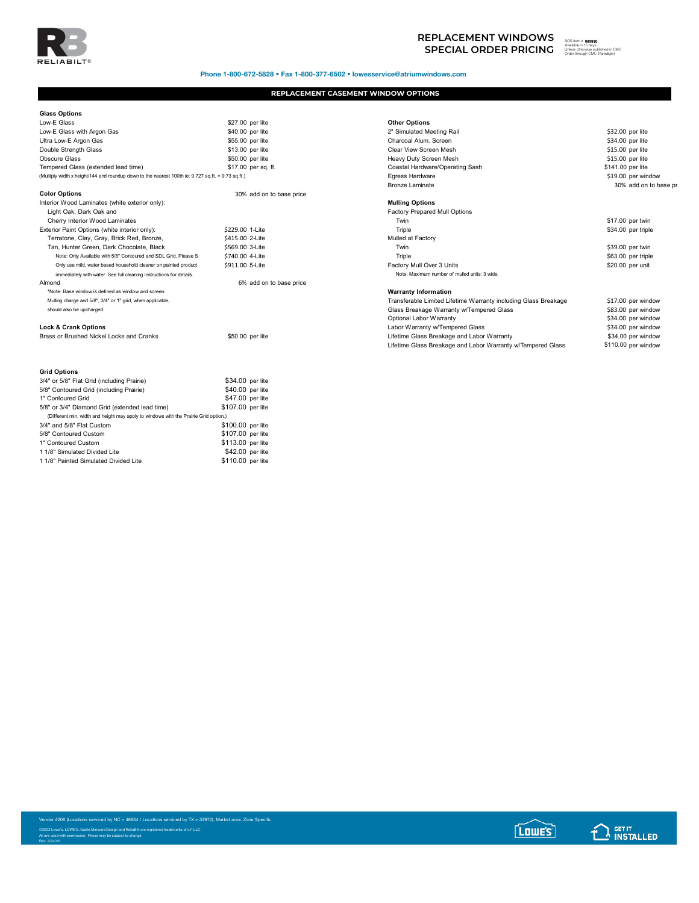

Phone 1-800-672-5828 • Fax 1-800-377-6502 • lowesservice@atriumwindows.com

## **REPLACEMENT CASEMENT WINDOW OPTIONS**

| <b>Glass Options</b>                                                                               |                          |                                                                 |                     |
|----------------------------------------------------------------------------------------------------|--------------------------|-----------------------------------------------------------------|---------------------|
| Low-E Glass                                                                                        | \$27.00 per lite         | <b>Other Options</b>                                            |                     |
| Low-E Glass with Argon Gas                                                                         | \$40.00 per lite         | 2" Simulated Meeting Rail                                       | \$32.00 per lite    |
| Ultra Low-E Argon Gas                                                                              | \$55.00 per lite         | Charcoal Alum, Screen                                           | \$34.00 per lite    |
| Double Strength Glass                                                                              | \$13.00 per lite         | Clear View Screen Mesh                                          | \$15.00 per lite    |
| <b>Obscure Glass</b>                                                                               | \$50.00 per lite         | Heavy Duty Screen Mesh                                          | \$15.00 per lite    |
| Tempered Glass (extended lead time)                                                                | \$17.00 per sq. ft.      | Coastal Hardware/Operating Sash                                 | \$141.00 per lite   |
| (Multiply width x height/144 and roundup down to the nearest 100th ie: 9.727 sq.ft. = 9.73 sq.ft.) |                          | Egress Hardware                                                 | \$19.00 per window  |
|                                                                                                    |                          | <b>Bronze Laminate</b>                                          | 30% add on to b     |
| <b>Color Options</b>                                                                               | 30% add on to base price |                                                                 |                     |
| Interior Wood Laminates (white exterior only):                                                     |                          | <b>Mulling Options</b>                                          |                     |
| Light Oak, Dark Oak and                                                                            |                          | <b>Factory Prepared Mull Options</b>                            |                     |
| Cherry Interior Wood Laminates                                                                     |                          | Twin                                                            | \$17.00 per twin    |
| Exterior Paint Options (white interior only):                                                      | \$229.00 1-Lite          | Triple                                                          | \$34.00 per triple  |
| Terratone, Clay, Gray, Brick Red, Bronze,                                                          | \$415.00 2-Lite          | Mulled at Factory                                               |                     |
| Tan, Hunter Green, Dark Chocolate, Black                                                           | \$569.00 3-Lite          | Twin                                                            | \$39.00 per twin    |
| Note: Only Available with 5/8" Contoured and SDL Grid. Please S                                    | \$740.00 4-Lite          | Triple                                                          | \$63.00 per triple  |
| Only use mild, water based household cleaner on painted product                                    | \$911.00 5-Lite          | Factory Mull Over 3 Units                                       | \$20.00 per unit    |
| immediately with water. See full cleaning instructions for details.                                |                          | Note: Maximum number of mulled units: 3 wide.                   |                     |
| Almond                                                                                             | 6% add on to base price  |                                                                 |                     |
| *Note: Base window is defined as window and screen.                                                |                          | <b>Warranty Information</b>                                     |                     |
| Mulling charge and 5/8", 3/4" or 1" grid, when applicable,                                         |                          | Transferable Limited Lifetime Warranty including Glass Breakage | \$17.00 per window  |
| should also be upcharged.                                                                          |                          | Glass Breakage Warranty w/Tempered Glass                        | \$83.00 per window  |
|                                                                                                    |                          | Optional Labor Warranty                                         | \$34.00 per window  |
| <b>Lock &amp; Crank Options</b>                                                                    |                          | Labor Warranty w/Tempered Glass                                 | \$34.00 per window  |
| Brass or Brushed Nickel Locks and Cranks                                                           | \$50.00 per lite         | Lifetime Glass Breakage and Labor Warranty                      | \$34.00 per window  |
|                                                                                                    |                          | Lifetime Glass Breakage and Labor Warranty w/Tempered Glass     | \$110.00 per window |
|                                                                                                    |                          |                                                                 |                     |
| <b>Grid Options</b>                                                                                |                          |                                                                 |                     |
| 3/4" or 5/8" Flat Grid (including Prairie)                                                         | \$34.00 per lite         |                                                                 |                     |
| 5/8" Contoured Grid (including Prairie)                                                            | \$40.00 per lite         |                                                                 |                     |
| 1" Contoured Grid                                                                                  | \$47.00 per lite         |                                                                 |                     |
| 5/8" or 3/4" Diamond Grid (extended lead time)                                                     | \$107.00 per lite        |                                                                 |                     |
| (Different min. width and height may apply to windows with the Prairie Grid option.)               |                          |                                                                 |                     |
| 3/4" and 5/8" Flat Custom                                                                          | \$100.00 per lite        |                                                                 |                     |
| 5/8" Contoured Custom                                                                              | \$107.00 per lite        |                                                                 |                     |
| 1" Contoured Custom                                                                                | \$113.00 per lite        |                                                                 |                     |
| 1 1/8" Simulated Divided Lite                                                                      | \$42.00 per lite         |                                                                 |                     |
| 1 1/8" Painted Simulated Divided Lite                                                              | \$110.00 per lite        |                                                                 |                     |

| <b>Other Options</b>                                            |                   |                       |
|-----------------------------------------------------------------|-------------------|-----------------------|
| 2" Simulated Meeting Rail                                       | \$32.00 per lite  |                       |
| Charcoal Alum. Screen                                           | \$34,00 per lite  |                       |
| Clear View Screen Mesh                                          | \$15.00 per lite  |                       |
| Heavy Duty Screen Mesh                                          | \$15.00 per lite  |                       |
| Coastal Hardware/Operating Sash                                 | \$141.00 per lite |                       |
| Egress Hardware                                                 |                   | \$19.00 per window    |
| Bronze Laminate                                                 |                   | 30% add on to base pr |
| <b>Mulling Options</b>                                          |                   |                       |
| <b>Factory Prepared Mull Options</b>                            |                   |                       |
| Twin                                                            |                   | \$17.00 per twin      |
| Triple                                                          |                   | \$34.00 per triple    |
| Mulled at Factory                                               |                   |                       |
| Twin                                                            |                   | \$39.00 per twin      |
| Triple                                                          |                   | \$63.00 per triple    |
| Factory Mull Over 3 Units                                       |                   | \$20.00 per unit      |
| Note: Maximum number of mulled units: 3 wide.                   |                   |                       |
| <b>Warranty Information</b>                                     |                   |                       |
| Transferable Limited Lifetime Warranty including Glass Breakage |                   | \$17.00 per window    |
| Glass Breakage Warranty w/Tempered Glass                        |                   | \$83.00 per window    |
| Optional Labor Warranty                                         |                   | \$34.00 per window    |
| Labor Warranty w/Tempered Glass                                 |                   | \$34.00 per window    |
| Lifetime Glass Breakage and Labor Warranty                      |                   | \$34.00 per window    |
| Lifetime Glass Breakage and Labor Warranty w/Tempered Glass     |                   | \$110.00 per window   |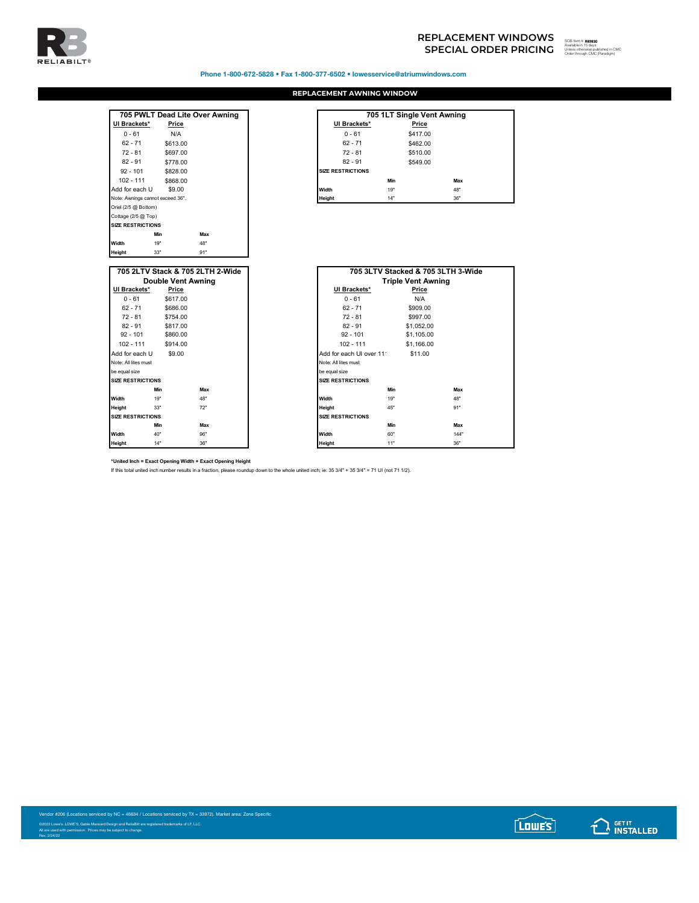

Phone 1-800-672-5828 • Fax 1-800-377-6502 • lowesservice@atriumwindows.com

## **REPLACEMENT AWNING WINDOW**

|                 |                                  | 705 PWLT Dead Lite Over Awning   |                          | 705 1LT Single Ven     |
|-----------------|----------------------------------|----------------------------------|--------------------------|------------------------|
| UI Brackets*    | Price                            |                                  | UI Brackets*             |                        |
| $0 - 61$        | N/A                              |                                  | $0 - 61$                 |                        |
| $62 - 71$       | \$613.00                         |                                  | $62 - 71$                |                        |
| $72 - 81$       | \$697.00                         |                                  | $72 - 81$                |                        |
| $82 - 91$       | \$778.00                         |                                  | $82 - 91$                |                        |
| $92 - 101$      | \$828.00                         |                                  | <b>SIZE RESTRICTIONS</b> |                        |
| $102 - 111$     | \$868.00                         |                                  |                          | Min                    |
| Add for each U  | \$9.00                           |                                  | Width                    | 19"                    |
|                 | Note: Awnings cannot exceed 36". |                                  | Height                   | 14"                    |
| Width<br>Height | 19"<br>33"                       | 48"<br>91"                       |                          |                        |
|                 |                                  | 705 2LTV Stack & 705 2LTH 2-Wide |                          | 705 3LTV Stacked & 705 |
|                 | <b>Double Vent Awning</b>        |                                  |                          | <b>Triple Vent Aw</b>  |
| UI Brackets*    | Price                            |                                  | UI Brackets*             |                        |
| $0 - 61$        | \$617.00                         |                                  | $0 - 61$                 |                        |
| $62 - 71$       | \$686.00                         |                                  | $62 - 71$                |                        |
| $72 - 81$       | \$754.00                         |                                  | $72 - 81$                |                        |
| $82 - 91$       | \$817.00                         |                                  | $82 - 91$                |                        |
| $92 - 101$      | \$860.00                         |                                  | $92 - 101$               |                        |

|                                  | 705 PWLT Dead Lite Over Awning |                          | 705 1LT Single Vent Awning |     |  |
|----------------------------------|--------------------------------|--------------------------|----------------------------|-----|--|
| UI Brackets*                     | Price                          | UI Brackets*             | Price                      |     |  |
| $0 - 61$                         | N/A                            | $0 - 61$                 | \$417.00                   |     |  |
| $62 - 71$                        | \$613.00                       | $62 - 71$                | \$462.00                   |     |  |
| $72 - 81$                        | \$697.00                       | $72 - 81$                | \$510.00                   |     |  |
| $82 - 91$                        | \$778.00                       | $82 - 91$                | \$549.00                   |     |  |
| $92 - 101$                       | \$828.00                       | <b>SIZE RESTRICTIONS</b> |                            |     |  |
| $102 - 111$                      | \$868.00                       |                          | Min                        | Max |  |
| Add for each U                   | \$9.00                         | Width                    | 19"                        | 48" |  |
| Note: Awnings cannot exceed 36". |                                | Height                   | 14"                        | 36" |  |
| $Q_{n+1}/Q_E \otimes R_{n+1}$    |                                |                          |                            |     |  |

|                          |                           | 705 2LTV Stack & 705 2LTH 2-Wide |                          | 705 3LTV Stacked & 705 3LTH 3-Wide |      |
|--------------------------|---------------------------|----------------------------------|--------------------------|------------------------------------|------|
|                          | <b>Double Vent Awning</b> |                                  |                          | <b>Triple Vent Awning</b>          |      |
| UI Brackets*             | Price                     |                                  | UI Brackets*             | Price                              |      |
| $0 - 61$                 | \$617.00                  |                                  | $0 - 61$                 | N/A                                |      |
| $62 - 71$                | \$686.00                  |                                  | $62 - 71$                | \$909.00                           |      |
| $72 - 81$                | \$754.00                  |                                  | $72 - 81$                | \$997.00                           |      |
| $82 - 91$                | \$817.00                  |                                  | $82 - 91$                | \$1,052.00                         |      |
| $92 - 101$               | \$860.00                  |                                  | $92 - 101$               | \$1,105.00                         |      |
| $102 - 111$              | \$914.00                  |                                  | $102 - 111$              | \$1,166.00                         |      |
| Add for each U           | \$9.00                    |                                  | Add for each UI over 11  | \$11.00                            |      |
| Note: All lites must     |                           |                                  | Note: All lites must     |                                    |      |
| be equal size            |                           |                                  | be equal size            |                                    |      |
| <b>SIZE RESTRICTIONS</b> |                           |                                  | <b>SIZE RESTRICTIONS</b> |                                    |      |
| Min                      |                           | Max                              |                          | Min                                | Max  |
| 19"<br>Width             |                           | 48"                              | Width                    | 19"                                | 48"  |
| Height<br>33"            |                           | 72"                              | Height                   | 45"                                | 91"  |
| <b>SIZE RESTRICTIONS</b> |                           |                                  | <b>SIZE RESTRICTIONS</b> |                                    |      |
| Min                      |                           | Max                              |                          | Min                                | Max  |
| 40"<br>Width             |                           | 96"                              | Width                    | 60"                                | 144" |
| 14"<br>Height            |                           | 36"                              | Height                   | 11"                                | 36"  |

**\*United Inch = Exact Opening Width + Exact Opening Height**

If this total united inch number results in a fraction, please roundup down to the whole united inch; ie: 35 3/4" + 35 3/4" = 71 UI (not 71 1/2).

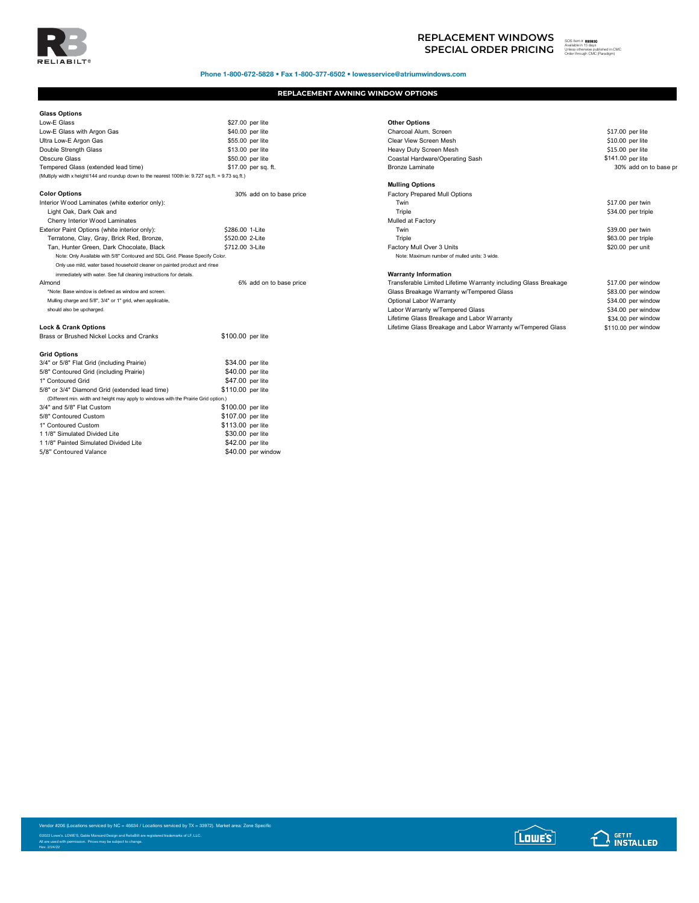

Phone 1-800-672-5828 • Fax 1-800-377-6502 • lowesservice@atriumwindows.com

## **REPLACEMENT AWNING WINDOW OPTIONS**

| <b>Glass Options</b>                                                                               |                          |                                                                 |                     |
|----------------------------------------------------------------------------------------------------|--------------------------|-----------------------------------------------------------------|---------------------|
| Low-E Glass                                                                                        | \$27.00 per lite         | <b>Other Options</b>                                            |                     |
| Low-E Glass with Argon Gas                                                                         | \$40.00 per lite         | Charcoal Alum, Screen                                           | \$17.00 per lite    |
| Ultra Low-E Argon Gas                                                                              | \$55.00 per lite         | Clear View Screen Mesh                                          | \$10.00 per lite    |
| Double Strength Glass                                                                              | \$13.00 per lite         | Heavy Duty Screen Mesh                                          | \$15.00 per lite    |
| Obscure Glass                                                                                      | \$50.00 per lite         | Coastal Hardware/Operating Sash                                 | \$141.00 per lite   |
| Tempered Glass (extended lead time)                                                                | \$17.00 per sq. ft.      | <b>Bronze Laminate</b>                                          | 30% add on to b     |
| (Multiply width x height/144 and roundup down to the nearest 100th ie: 9.727 sq.ft. = 9.73 sq.ft.) |                          |                                                                 |                     |
|                                                                                                    |                          | <b>Mulling Options</b>                                          |                     |
| <b>Color Options</b>                                                                               | 30% add on to base price | Factory Prepared Mull Options                                   |                     |
| Interior Wood Laminates (white exterior only):                                                     |                          | Twin                                                            | \$17.00 per twin    |
| Light Oak, Dark Oak and                                                                            |                          | Triple                                                          | \$34.00 per triple  |
| Cherry Interior Wood Laminates                                                                     |                          | Mulled at Factory                                               |                     |
| Exterior Paint Options (white interior only):                                                      | \$286.00 1-Lite          | Twin                                                            | \$39.00 per twin    |
| Terratone, Clay, Gray, Brick Red, Bronze,                                                          | \$520.00 2-Lite          | Triple                                                          | \$63.00 per triple  |
| Tan, Hunter Green, Dark Chocolate, Black                                                           | \$712.00 3-Lite          | Factory Mull Over 3 Units                                       | \$20.00 per unit    |
| Note: Only Available with 5/8" Contoured and SDL Grid. Please Specify Color.                       |                          | Note: Maximum number of mulled units: 3 wide.                   |                     |
| Only use mild, water based household cleaner on painted product and rinse                          |                          |                                                                 |                     |
| immediately with water. See full cleaning instructions for details.                                |                          | <b>Warranty Information</b>                                     |                     |
| Almond                                                                                             | 6% add on to base price  | Transferable Limited Lifetime Warranty including Glass Breakage | \$17.00 per window  |
| *Note: Base window is defined as window and screen.                                                |                          | Glass Breakage Warranty w/Tempered Glass                        | \$83.00 per window  |
| Mulling charge and 5/8", 3/4" or 1" grid, when applicable,                                         |                          | Optional Labor Warranty                                         | \$34.00 per window  |
| should also be upcharged.                                                                          |                          | Labor Warranty w/Tempered Glass                                 | \$34.00 per window  |
|                                                                                                    |                          | Lifetime Glass Breakage and Labor Warranty                      | \$34.00 per window  |
| <b>Lock &amp; Crank Options</b>                                                                    |                          | Lifetime Glass Breakage and Labor Warranty w/Tempered Glass     | \$110.00 per window |
| Brass or Brushed Nickel Locks and Cranks                                                           | \$100.00 per lite        |                                                                 |                     |
| <b>Grid Options</b>                                                                                |                          |                                                                 |                     |
| 3/4" or 5/8" Flat Grid (including Prairie)                                                         | \$34.00 per lite         |                                                                 |                     |
| 5/8" Contoured Grid (including Prairie)                                                            | \$40.00 per lite         |                                                                 |                     |
| 1" Contoured Grid                                                                                  | \$47.00 per lite         |                                                                 |                     |
| 5/8" or 3/4" Diamond Grid (extended lead time)                                                     | \$110.00 per lite        |                                                                 |                     |
| (Different min. width and height may apply to windows with the Prairie Grid option.)               |                          |                                                                 |                     |
| 3/4" and 5/8" Flat Custom                                                                          | \$100.00 per lite        |                                                                 |                     |
| 5/8" Contoured Custom                                                                              | \$107.00 per lite        |                                                                 |                     |
| 1" Contoured Custom                                                                                | \$113.00 per lite        |                                                                 |                     |
| 1 1/8" Simulated Divided Lite                                                                      | \$30.00 per lite         |                                                                 |                     |
| 1 1/8" Painted Simulated Divided Lite                                                              | \$42.00 per lite         |                                                                 |                     |
| 5/8" Contoured Valance                                                                             | \$40.00 per window       |                                                                 |                     |

| Low-E Glass                                                                                        | \$27.00 per lite         | <b>Other Options</b>                                            |                       |
|----------------------------------------------------------------------------------------------------|--------------------------|-----------------------------------------------------------------|-----------------------|
| Low-E Glass with Argon Gas                                                                         | \$40.00 per lite         | Charcoal Alum, Screen                                           | \$17.00 per lite      |
| Ultra Low-E Argon Gas                                                                              | \$55.00 per lite         | Clear View Screen Mesh                                          | $$10.00$ per lite     |
| Double Strength Glass                                                                              | \$13.00 per lite         | Heavy Duty Screen Mesh                                          | $$15.00$ per lite     |
| <b>Obscure Glass</b>                                                                               | \$50.00 per lite         | Coastal Hardware/Operating Sash                                 | \$141.00 per lite     |
| Tempered Glass (extended lead time)                                                                | \$17.00 per sq. ft.      | <b>Bronze Laminate</b>                                          | 30% add on to base pr |
| (Multiply width x height/144 and roundup down to the nearest 100th ie: 9.727 sq.ft. = 9.73 sq.ft.) |                          |                                                                 |                       |
|                                                                                                    |                          | <b>Mulling Options</b>                                          |                       |
| <b>Color Options</b>                                                                               | 30% add on to base price | <b>Factory Prepared Mull Options</b>                            |                       |
| Interior Wood Laminates (white exterior only):                                                     |                          | Twin                                                            | $$17.00$ per twin     |
| Light Oak, Dark Oak and                                                                            |                          | Triple                                                          | \$34.00 per triple    |
| Cherry Interior Wood Laminates                                                                     |                          | Mulled at Factory                                               |                       |
| Exterior Paint Options (white interior only):                                                      | \$286.00 1-Lite          | Twin                                                            | \$39.00 per twin      |
| Terratone, Clay, Gray, Brick Red, Bronze,                                                          | \$520.00 2-Lite          | Triple                                                          | \$63.00 per triple    |
| Tan, Hunter Green, Dark Chocolate, Black                                                           | \$712.00 3-Lite          | Factory Mull Over 3 Units                                       | \$20.00 per unit      |
| Note: Only Available with 5/8" Contoured and SDL Grid. Please Specify Color.                       |                          | Note: Maximum number of mulled units: 3 wide.                   |                       |
| Only use mild, water based household cleaner on painted product and rinse                          |                          |                                                                 |                       |
| immediately with water. See full cleaning instructions for details.                                |                          | <b>Warranty Information</b>                                     |                       |
| Almond                                                                                             | 6% add on to base price  | Transferable Limited Lifetime Warranty including Glass Breakage | \$17.00 per window    |
| *Note: Base window is defined as window and screen.                                                |                          | Glass Breakage Warranty w/Tempered Glass                        | \$83.00 per window    |
| Mulling charge and 5/8", 3/4" or 1" grid, when applicable,                                         |                          | Optional Labor Warranty                                         | \$34.00 per window    |
| should also be upcharged.                                                                          |                          | Labor Warranty w/Tempered Glass                                 | \$34.00 per window    |
|                                                                                                    |                          | Lifetime Glass Breakage and Labor Warranty                      | \$34.00 per window    |
| <b>Lock &amp; Crank Options</b>                                                                    |                          | Lifetime Glass Breakage and Labor Warranty w/Tempered Glass     | \$110.00 per window   |
|                                                                                                    |                          |                                                                 |                       |

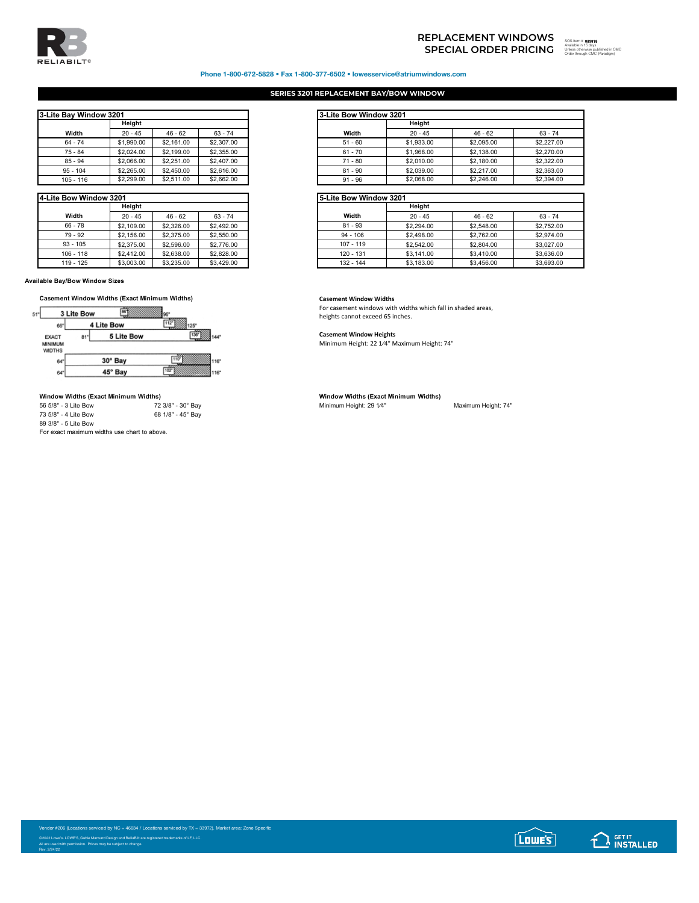

# **SPECIAL ORDER PRICING**  SOS Item # Available in 15 days Unless otherwise published in CMC Order through CMC (Paradigm)**REPLACEMENT WINDOWS**

## Phone 1-800-672-5828 • Fax 1-800-377-6502 • lowesservice@atriumwindows.com

## **SERIES 3201 REPLACEMENT BAY/BOW WINDOW**

| 3-Lite Bay Window 3201 |            |            |            |
|------------------------|------------|------------|------------|
|                        | Height     |            |            |
| Width                  | $20 - 45$  | $46 - 62$  | $63 - 74$  |
| $64 - 74$              | \$1,990.00 | \$2,161.00 | \$2,307.00 |
| $75 - 84$              | \$2,024.00 | \$2,199.00 | \$2,355.00 |
| $85 - 94$              | \$2,066.00 | \$2,251.00 | \$2,407.00 |
| $95 - 104$             | \$2,265.00 | \$2,450.00 | \$2,616.00 |
| $105 - 116$            | \$2,299.00 | \$2,511.00 | \$2,662.00 |

| 4-Lite Bow Window 3201 |            |            |            |
|------------------------|------------|------------|------------|
|                        | Heiaht     |            |            |
| Width                  | $20 - 45$  | $46 - 62$  | $63 - 74$  |
| $66 - 78$              | \$2,109.00 | \$2,326.00 | \$2,492.00 |
| 79 - 92                | \$2,156.00 | \$2,375.00 | \$2,550.00 |
| $93 - 105$             | \$2,375.00 | \$2,596.00 | \$2,776.00 |
| $106 - 118$            | \$2,412.00 | \$2,638,00 | \$2,828.00 |
| 119 - 125              | \$3,003.00 | \$3,235,00 | \$3,429.00 |

**Available Bay/Bow Window Sizes**



## **Window Widths (Exact Minimum Widths) Window Widths (Exact Minimum Widths)**

| 56 5/8" - 3 Lite Bow                       | 72 3/8" - 30° Bay |
|--------------------------------------------|-------------------|
| 73 5/8" - 4 Lite Bow                       | 68 1/8" - 45° Bay |
| 89 3/8" - 5 Lite Bow                       |                   |
| Fax avast mavimum widths use short to show |                   |

For exact maximum widths use chart to above.

| Bav Window 3201 |            |            |            |
|-----------------|------------|------------|------------|
|                 | Heiaht     |            |            |
| Width           | $20 - 45$  | $46 - 62$  | $63 - 74$  |
| $64 - 74$       | \$1,990.00 | \$2,161.00 | \$2,307.00 |
| 75 - 84         | \$2,024.00 | \$2,199.00 | \$2,355.00 |
| $85 - 94$       | \$2,066.00 | \$2,251.00 | \$2,407.00 |
| 95 - 104        | \$2,265.00 | \$2,450.00 | \$2,616.00 |
| 105 - 116       | \$2,299.00 | \$2,511.00 | \$2,662.00 |

| Bow Window 3201 |            |            |            | 5-Lite Bow Window 3201 |            |            |            |
|-----------------|------------|------------|------------|------------------------|------------|------------|------------|
|                 | Height     |            |            |                        | Height     |            |            |
| Width           | $20 - 45$  | $46 - 62$  | $63 - 74$  | Width                  | $20 - 45$  | $46 - 62$  | $63 - 74$  |
| $66 - 78$       | \$2,109.00 | \$2,326,00 | \$2,492.00 | $81 - 93$              | \$2,294.00 | \$2,548.00 | \$2,752.00 |
| 79 - 92         | \$2,156.00 | \$2,375,00 | \$2,550.00 | $94 - 106$             | \$2,498.00 | \$2,762.00 | \$2,974.00 |
| $93 - 105$      | \$2,375.00 | \$2,596.00 | \$2,776.00 | $107 - 119$            | \$2,542.00 | \$2,804.00 | \$3,027.00 |
| $106 - 118$     | \$2,412.00 | \$2,638,00 | \$2,828.00 | 120 - 131              | \$3,141.00 | \$3,410.00 | \$3,636,00 |
| $119 - 125$     | \$3,003.00 | \$3,235,00 | \$3,429.00 | 132 - 144              | \$3,183,00 | \$3,456.00 | \$3,693.00 |

For casement windows with widths which fall in shaded areas, heights cannot exceed 65 inches.

## **Casement Window Heights**

Minimum Height: 22 1⁄4" Maximum Height: 74"

Minimum Height: 29 1/4" Maximum Height: 74"

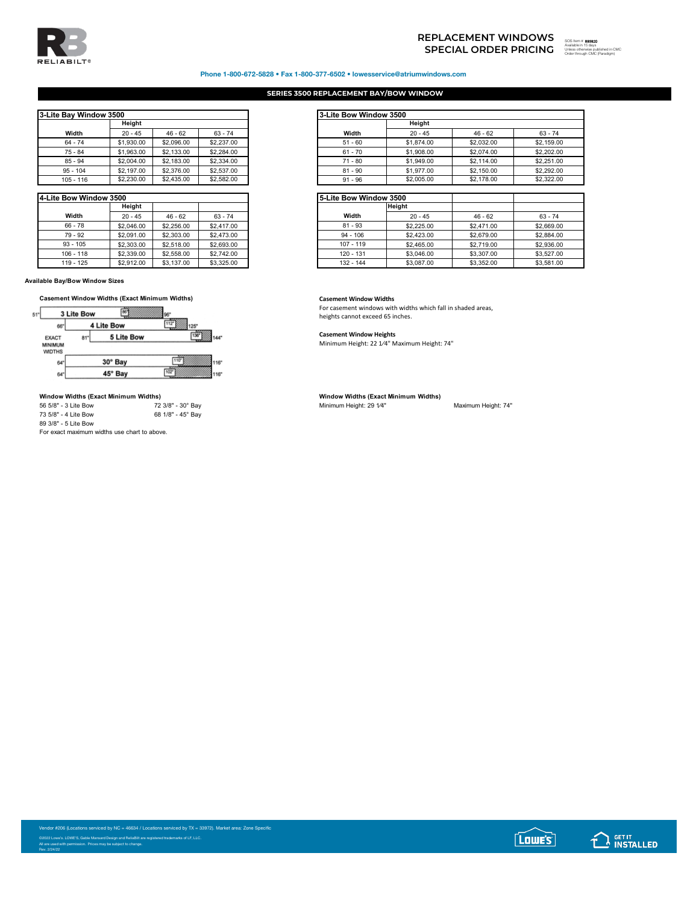

# **SPECIAL ORDER PRICING REPLACEMENT WINDOWS**



## Phone 1-800-672-5828 • Fax 1-800-377-6502 • lowesservice@atriumwindows.com

## **SERIES 3500 REPLACEMENT BAY/BOW WINDOW**

| 3-Lite Bay Window 3500 |            |            |            |
|------------------------|------------|------------|------------|
|                        | Height     |            |            |
| Width                  | $20 - 45$  | $46 - 62$  | $63 - 74$  |
| $64 - 74$              | \$1,930.00 | \$2,096.00 | \$2,237.00 |
| 75 - 84                | \$1,963.00 | \$2,133,00 | \$2,284.00 |
| $85 - 94$              | \$2,004.00 | \$2,183.00 | \$2,334.00 |
| $95 - 104$             | \$2,197.00 | \$2,376.00 | \$2,537.00 |
| $105 - 116$            | \$2,230.00 | \$2,435.00 | \$2,582.00 |

| 4-Lite Bow Window 3500 |            |            |            |
|------------------------|------------|------------|------------|
|                        | Heiaht     |            |            |
| Width                  | $20 - 45$  | $46 - 62$  | $63 - 74$  |
| $66 - 78$              | \$2,046.00 | \$2,256.00 | \$2,417.00 |
| $79 - 92$              | \$2,091.00 | \$2,303.00 | \$2,473.00 |
| $93 - 105$             | \$2,303.00 | \$2,518.00 | \$2,693.00 |
| $106 - 118$            | \$2,339.00 | \$2,558.00 | \$2,742.00 |
| $119 - 125$            | \$2,912.00 | \$3,137.00 | \$3,325.00 |

**Available Bay/Bow Window Sizes**



## **Window Widths (Exact Minimum Widths) Window Widths (Exact Minimum Widths)**

| 56 5/8" - 3 Lite Bow                                                              | 72 3/8" - 30° Bay |
|-----------------------------------------------------------------------------------|-------------------|
| 73 5/8" - 4 Lite Bow                                                              | 68 1/8" - 45° Bay |
| 89 3/8" - 5 Lite Bow                                                              |                   |
| Figure 1979 and the continuous contribution is a contribution of the contribution |                   |

For exact maximum widths use chart to above.

| Bav Window 3500 |            |            |            | 3-Lite Bow Window 3500 |            |            |  |  |
|-----------------|------------|------------|------------|------------------------|------------|------------|--|--|
|                 | Heiaht     |            |            |                        | Height     |            |  |  |
| Width           | $20 - 45$  | $46 - 62$  | $63 - 74$  | Width                  | 20 - 45    | $46 - 62$  |  |  |
| $64 - 74$       | \$1,930.00 | \$2,096.00 | \$2,237.00 | $51 - 60$              | \$1,874.00 | \$2,032.00 |  |  |
| $75 - 84$       | \$1,963.00 | \$2,133,00 | \$2,284.00 | $61 - 70$              | \$1,908.00 | \$2,074.00 |  |  |
| $85 - 94$       | \$2,004.00 | \$2,183,00 | \$2,334.00 | $71 - 80$              | \$1,949.00 | \$2,114.00 |  |  |
| 95 - 104        | \$2,197.00 | \$2,376.00 | \$2,537.00 | $81 - 90$              | \$1,977.00 | \$2,150.00 |  |  |
| $105 - 116$     | \$2,230.00 | \$2,435.00 | \$2,582.00 | $91 - 96$              | \$2,005.00 | \$2,178.00 |  |  |

| Bow Window 3500 |            |            |            |
|-----------------|------------|------------|------------|
|                 | Height     |            |            |
| Width           | $20 - 45$  | $46 - 62$  | $63 - 74$  |
| $66 - 78$       | \$2,046.00 | \$2,256.00 | \$2,417.00 |
| 79 - 92         | \$2,091.00 | \$2,303,00 | \$2,473.00 |
| $93 - 105$      | \$2,303.00 | \$2,518.00 | \$2,693.00 |
| $106 - 118$     | \$2,339.00 | \$2,558,00 | \$2,742.00 |
| 119 - 125       | \$2,912.00 | \$3,137,00 | \$3,325.00 |

For casement windows with widths which fall in shaded areas, heights cannot exceed 65 inches.

## **Casement Window Heights**

Minimum Height: 22 1⁄4" Maximum Height: 74"

Minimum Height: 29 1/4" Maximum Height: 74"

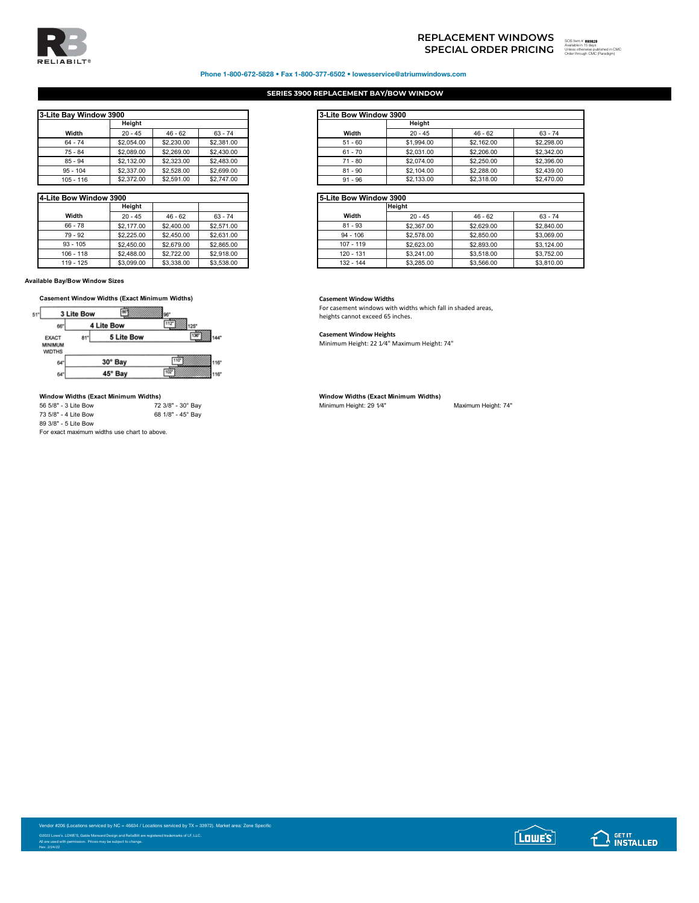

# **SPECIAL ORDER PRICING REPLACEMENT WINDOWS**

## Phone 1-800-672-5828 • Fax 1-800-377-6502 • lowesservice@atriumwindows.com

## **SERIES 3900 REPLACEMENT BAY/BOW WINDOW**

| 3-Lite Bay Window 3900 |                  |                            |                   |
|------------------------|------------------|----------------------------|-------------------|
|                        | Height           |                            |                   |
| Width                  | $20 - 45$        | $46 - 62$                  | $63 - 74$         |
| $64 - 74$              | \$2,054.00       | \$2,230,00                 | \$2,381.00        |
| 75 - 84                | \$2,089.00       | \$2,269.00                 | \$2,430.00        |
| $85 - 94$              | \$2,132.00       | \$2,323,00                 | \$2,483.00        |
| $95 - 104$             | \$2,337.00       | \$2,528.00                 | \$2,699.00        |
| $105 - 116$            | <b>42.372.00</b> | <b>C<sub>2</sub>501 00</b> | <b>\$2.747.00</b> |

| 4-Lite Bow Window 3900 |            |            |            |
|------------------------|------------|------------|------------|
|                        | Heiaht     |            |            |
| Width                  | $20 - 45$  | $46 - 62$  | $63 - 74$  |
| $66 - 78$              | \$2,177,00 | \$2,400.00 | \$2,571.00 |
| $79 - 92$              | \$2,225.00 | \$2,450.00 | \$2,631.00 |
| $93 - 105$             | \$2,450.00 | \$2,679.00 | \$2,865.00 |
| $106 - 118$            | \$2,488.00 | \$2,722.00 | \$2,918.00 |
| $119 - 125$            | \$3,099.00 | \$3,338.00 | \$3,538.00 |

**Available Bay/Bow Window Sizes**



## **Window Widths (Exact Minimum Widths) Window Widths (Exact Minimum Widths)**

| 56 5/8" - 3 Lite Bow | 72 3/8" - 30° Bay |
|----------------------|-------------------|
| 73 5/8" - 4 Lite Bow | 68 1/8" - 45° Bay |
| 89 3/8" - 5 Lite Bow |                   |
|                      |                   |

For exact maximum widths use chart to above.

| Bay Window 3900 |            |            |            | 3-Lite Bow Window 3900 |            |            |
|-----------------|------------|------------|------------|------------------------|------------|------------|
|                 | Height     |            |            |                        | Height     |            |
| Width           | $20 - 45$  | $46 - 62$  | $63 - 74$  | Width                  | $20 - 45$  | $46 - 62$  |
| 64 - 74         | \$2,054.00 | \$2,230,00 | \$2,381.00 | $51 - 60$              | \$1,994.00 | \$2,162.00 |
| 75 - 84         | \$2,089.00 | \$2,269.00 | \$2,430.00 | $61 - 70$              | \$2,031.00 | \$2,206.00 |
| 85 - 94         | \$2,132.00 | \$2,323,00 | \$2,483.00 | $71 - 80$              | \$2,074.00 | \$2,250.00 |
| $95 - 104$      | \$2,337.00 | \$2,528.00 | \$2,699.00 | $81 - 90$              | \$2,104.00 | \$2,288.00 |
| 105 - 116       | \$2,372.00 | \$2,591.00 | \$2,747.00 | $91 - 96$              | \$2,133,00 | \$2,318.00 |

| Bow Window 3900 |            |            | <b>I5-Lite Bow Window 3900</b> |  |             |               |            |            |
|-----------------|------------|------------|--------------------------------|--|-------------|---------------|------------|------------|
|                 | Height     |            |                                |  |             | <b>Height</b> |            |            |
| Width           | $20 - 45$  | $46 - 62$  | $63 - 74$                      |  | Width       | $20 - 45$     | $46 - 62$  | $63 - 74$  |
| $66 - 78$       | \$2,177,00 | \$2,400.00 | \$2,571.00                     |  | $81 - 93$   | \$2,367.00    | \$2,629.00 | \$2,840.00 |
| 79 - 92         | \$2,225.00 | \$2,450.00 | \$2,631.00                     |  | $94 - 106$  | \$2,578.00    | \$2,850.00 | \$3,069.00 |
| $93 - 105$      | \$2,450.00 | \$2,679.00 | \$2,865.00                     |  | $107 - 119$ | \$2,623.00    | \$2,893.00 | \$3,124.00 |
| $106 - 118$     | \$2,488.00 | \$2,722.00 | \$2,918.00                     |  | 120 - 131   | \$3,241.00    | \$3,518.00 | \$3,752.00 |
| 119 - 125       | \$3,099.00 | \$3,338,00 | \$3,538.00                     |  | 132 - 144   | \$3,285.00    | \$3,566.00 | \$3,810.00 |

For casement windows with widths which fall in shaded areas, heights cannot exceed 65 inches.

## **Casement Window Heights**

Minimum Height: 22 1⁄4" Maximum Height: 74"

Minimum Height: 29 1/4" Maximum Height: 74"

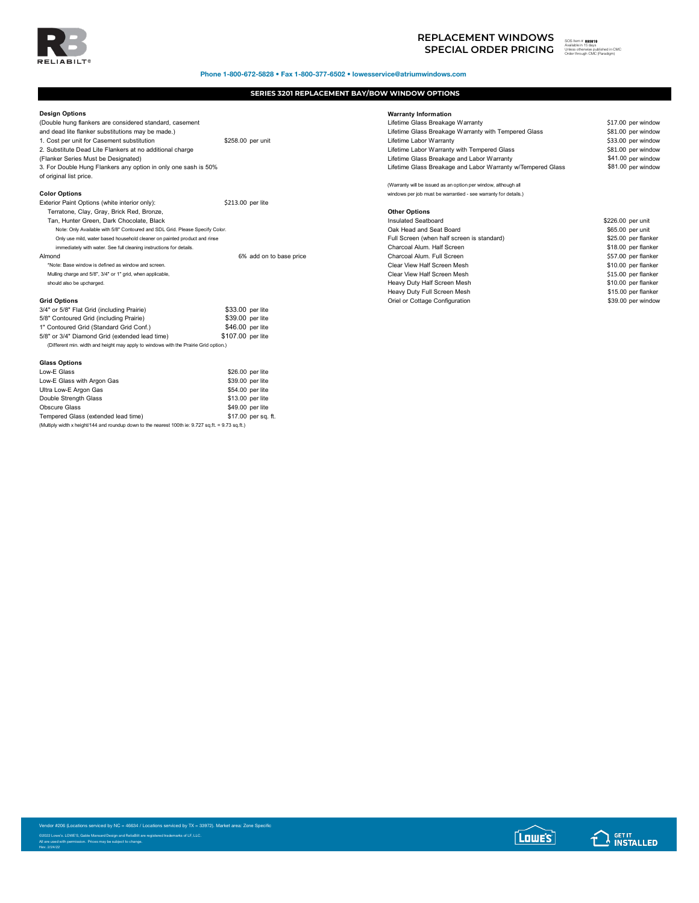

# **SPECIAL ORDER PRICING REPLACEMENT WINDOWS**<br>
SPECIAL ORDER PRICING **Wealth**ed in Engine

Phone 1-800-672-5828 • Fax 1-800-377-6502 • lowesservice@atriumwindows.com

## **SERIES 3201 REPLACEMENT BAY/BOW WINDOW OPTIONS**

## **Design Options**

| <b>EXIGHOL PAIL OPHONS (WHILE INTERIOR ONLY).</b>                                    | SZIS.UU DELIILE                            |                                |                     |
|--------------------------------------------------------------------------------------|--------------------------------------------|--------------------------------|---------------------|
| Terratone, Clay, Gray, Brick Red, Bronze,                                            |                                            | <b>Other Options</b>           |                     |
| Tan, Hunter Green, Dark Chocolate, Black                                             |                                            | Insulated Seatboard            | \$226.00 per unit   |
| Note: Only Available with 5/8" Contoured and SDL Grid. Please Specify Color.         |                                            | Oak Head and Seat Board        | \$65.00 per unit    |
| Only use mild, water based household cleaner on painted product and rinse            | Full Screen (when half screen is standard) |                                |                     |
| immediately with water. See full cleaning instructions for details.                  |                                            | Charcoal Alum, Half Screen     | \$18.00 per flanker |
| Almond                                                                               | 6% add on to base price                    | Charcoal Alum, Full Screen     | \$57.00 per flanker |
| *Note: Base window is defined as window and screen.                                  |                                            | Clear View Half Screen Mesh    | \$10.00 per flanker |
| Mulling charge and 5/8", 3/4" or 1" grid, when applicable,                           |                                            | Clear View Half Screen Mesh    | \$15.00 per flanker |
| should also be upcharged.                                                            |                                            | Heavy Duty Half Screen Mesh    | \$10.00 per flanker |
|                                                                                      |                                            | Heavy Duty Full Screen Mesh    | \$15.00 per flanker |
| <b>Grid Options</b>                                                                  |                                            | Oriel or Cottage Configuration | \$39.00 per windov  |
| 3/4" or 5/8" Flat Grid (including Prairie)                                           | \$33.00 per lite                           |                                |                     |
| 5/8" Contoured Grid (including Prairie)                                              | \$39.00 per lite                           |                                |                     |
| 1" Contoured Grid (Standard Grid Conf.)                                              | \$46.00 per lite                           |                                |                     |
| 5/8" or 3/4" Diamond Grid (extended lead time)                                       | \$107.00 per lite                          |                                |                     |
| (Different min. width and height may apply to windows with the Prairie Grid option.) |                                            |                                |                     |
| <b>Glass Options</b>                                                                 |                                            |                                |                     |
| $L$ and $\Gamma$ Close                                                               | $00000$ not lite                           |                                |                     |

| Low-E Glass                                                                                        | \$26,00 per lite |                     |
|----------------------------------------------------------------------------------------------------|------------------|---------------------|
| Low-E Glass with Argon Gas                                                                         | \$39.00 per lite |                     |
| Ultra Low-E Argon Gas                                                                              | \$54.00 per lite |                     |
| Double Strength Glass                                                                              | \$13.00 per lite |                     |
| <b>Obscure Glass</b>                                                                               | \$49.00 per lite |                     |
| Tempered Glass (extended lead time)                                                                |                  | \$17.00 per sq. ft. |
| (Multiply width x height/144 and roundup down to the nearest 100th ie: 9.727 sq.ft. = 9.73 sq.ft.) |                  |                     |

| Design Options                                                               |                         | <b>Warranty Information</b>                                     |                     |
|------------------------------------------------------------------------------|-------------------------|-----------------------------------------------------------------|---------------------|
| (Double hung flankers are considered standard, casement                      |                         | Lifetime Glass Breakage Warranty                                | \$17.00 per window  |
| and dead lite flanker substitutions may be made.)                            |                         | Lifetime Glass Breakage Warranty with Tempered Glass            | \$81.00 per window  |
| 1. Cost per unit for Casement substitution                                   | \$258.00 per unit       | Lifetime Labor Warranty                                         | \$33.00 per window  |
| 2. Substitute Dead Lite Flankers at no additional charge                     |                         | Lifetime Labor Warranty with Tempered Glass                     | \$81.00 per window  |
| (Flanker Series Must be Designated)                                          |                         | Lifetime Glass Breakage and Labor Warranty                      | \$41.00 per window  |
| 3. For Double Hung Flankers any option in only one sash is 50%               |                         | Lifetime Glass Breakage and Labor Warranty w/Tempered Glass     | \$81.00 per window  |
| of original list price.                                                      |                         |                                                                 |                     |
|                                                                              |                         | (Warranty will be issued as an option per window, although all  |                     |
| <b>Color Options</b>                                                         |                         | windows per job must be warrantied - see warranty for details.) |                     |
| Exterior Paint Options (white interior only):                                | \$213.00 per lite       |                                                                 |                     |
| Terratone, Clay, Gray, Brick Red, Bronze,                                    |                         | <b>Other Options</b>                                            |                     |
| Tan, Hunter Green, Dark Chocolate, Black                                     |                         | Insulated Seatboard                                             | \$226.00 per unit   |
| Note: Only Available with 5/8" Contoured and SDL Grid. Please Specify Color. |                         | Oak Head and Seat Board                                         | \$65.00 per unit    |
| Only use mild, water based household cleaner on painted product and rinse    |                         | Full Screen (when half screen is standard)                      | \$25.00 per flanker |
| immediately with water. See full cleaning instructions for details.          |                         | Charcoal Alum. Half Screen                                      | \$18.00 per flanker |
| Almond                                                                       | 6% add on to base price | Charcoal Alum, Full Screen                                      | \$57.00 per flanker |
| *Note: Base window is defined as window and screen.                          |                         | Clear View Half Screen Mesh                                     | \$10.00 per flanker |
| Mulling charge and 5/8", 3/4" or 1" grid, when applicable,                   |                         | Clear View Half Screen Mesh                                     | \$15.00 per flanker |
| should also be upcharged.                                                    |                         | Heavy Duty Half Screen Mesh                                     | \$10.00 per flanker |
|                                                                              |                         | Heavy Duty Full Screen Mesh                                     | \$15.00 per flanker |
|                                                                              |                         |                                                                 |                     |

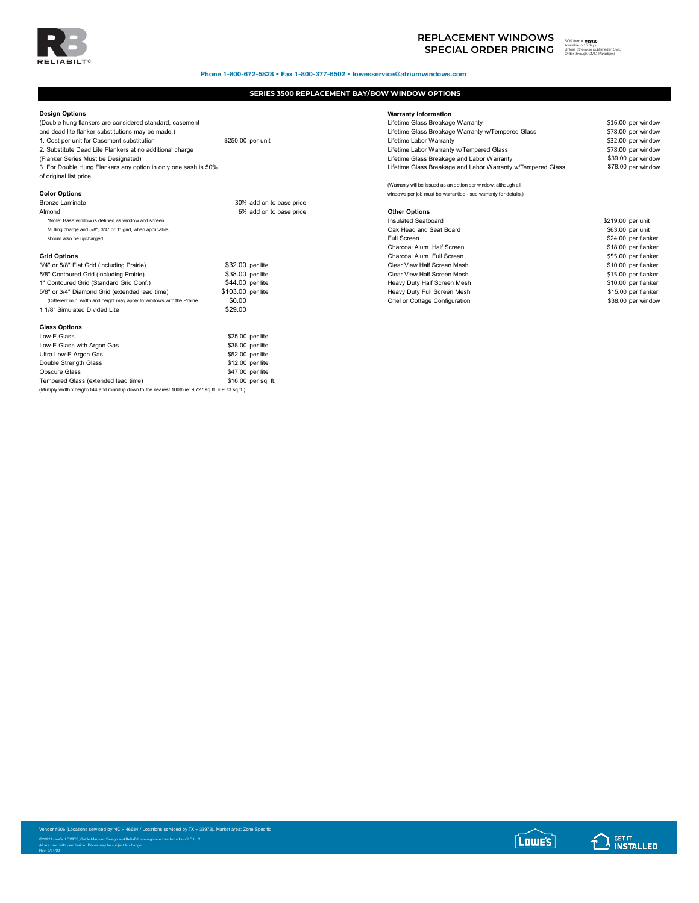

Phone 1-800-672-5828 • Fax 1-800-377-6502 • lowesservice@atriumwindows.com

## **SERIES 3500 REPLACEMENT BAY/BOW WINDOW OPTIONS**

## **Design Options**

(Double hung flankers are considered standard, casement and dead lite flanker substitutions may be made.)<br>1. Cost per unit for Casement substitution \$250.00 per unit 1. Cost per unit for Casement substitution 2. Substitute Dead Lite Flankers at no additional charge (Flanker Series Must be Designated) 3. For Double Hung Flankers any option in only one sash is 50% of original list price. **Color Options** windows per job must be warrantied - see warranty for details.)

| <b>Bronze Laminate</b>                                                 |                   | 30% add on to base price |                        |
|------------------------------------------------------------------------|-------------------|--------------------------|------------------------|
| Almond                                                                 |                   | 6% add on to base price  | <b>Other Options</b>   |
| *Note: Base window is defined as window and screen.                    |                   |                          | <b>Insulated Seatb</b> |
| Mulling charge and 5/8", 3/4" or 1" grid, when applicable,             |                   |                          | Oak Head and           |
| should also be upcharged.                                              |                   |                          | Full Screen            |
|                                                                        |                   |                          | Charcoal Alum.         |
| <b>Grid Options</b>                                                    |                   |                          | Charcoal Alum.         |
| 3/4" or 5/8" Flat Grid (including Prairie)                             |                   | \$32.00 per lite         | <b>Clear View Half</b> |
| 5/8" Contoured Grid (including Prairie)                                |                   | \$38.00 per lite         | <b>Clear View Half</b> |
| 1" Contoured Grid (Standard Grid Conf.)                                |                   | \$44.00 per lite         | Heavy Duty Ha          |
| 5/8" or 3/4" Diamond Grid (extended lead time)                         | \$103.00 per lite |                          | Heavy Duty Ful         |
| (Different min. width and height may apply to windows with the Prairie | \$0.00            |                          | Oriel or Cottage       |
| 1 1/8" Simulated Divided Lite                                          | \$29.00           |                          |                        |
| <b>Glass Options</b>                                                   |                   |                          |                        |
| Low-E Glass                                                            |                   | \$25.00 per lite         |                        |
| Low-E Glass with Argon Gas                                             |                   | \$38.00 per lite         |                        |
| Ultra Low-E Argon Gas                                                  |                   | \$52.00 per lite         |                        |
| Double Strength Glass                                                  |                   | \$12.00 per lite         |                        |
| Obscure Glass                                                          |                   | \$47.00 per lite         |                        |
| Tennessed Oleen (eden ded leed time).                                  |                   | 0.10.00 ----- A          |                        |

Tempered Glass (extended lead time)<br>(Multiply width x height/144 and roundup down to the nearest 100th ie: 9.727 sq.ft. = 9.73 sq.ft.)

**Warranty Information**

| Lifetime Glass Breakage Warranty                                | \$16.00 per window |
|-----------------------------------------------------------------|--------------------|
| Lifetime Glass Breakage Warranty w/Tempered Glass               | \$78.00 per window |
| Lifetime Labor Warranty                                         | \$32.00 per window |
| Lifetime Labor Warranty w/Tempered Glass                        | \$78.00 per window |
| Lifetime Glass Breakage and Labor Warranty                      | \$39.00 per window |
| Lifetime Glass Breakage and Labor Warranty w/Tempered Glass     | \$78.00 per window |
| (Warranty will be issued as an option per window, although all  |                    |
| windows per job must be warrantied - see warranty for details.) |                    |
| <b>Other Options</b>                                            |                    |

| *Note: Base window is defined as window and screen.                    |                   | Insulated Seatboard            | \$219.00 per unit   |
|------------------------------------------------------------------------|-------------------|--------------------------------|---------------------|
| Mulling charge and 5/8", 3/4" or 1" grid, when applicable,             |                   | Oak Head and Seat Board        | \$63.00 per unit    |
| should also be upcharged.                                              |                   | Full Screen                    | \$24.00 per flanker |
|                                                                        |                   | Charcoal Alum, Half Screen     | \$18.00 per flanker |
| <b>Grid Options</b>                                                    |                   | Charcoal Alum, Full Screen     | \$55.00 per flanker |
| 3/4" or 5/8" Flat Grid (including Prairie)                             | \$32.00 per lite  | Clear View Half Screen Mesh    | \$10.00 per flanker |
| 5/8" Contoured Grid (including Prairie)                                | \$38.00 per lite  | Clear View Half Screen Mesh    | \$15.00 per flanker |
| 1" Contoured Grid (Standard Grid Conf.)                                | \$44.00 per lite  | Heavy Duty Half Screen Mesh    | \$10.00 per flanker |
| 5/8" or 3/4" Diamond Grid (extended lead time)                         | \$103.00 per lite | Heavy Duty Full Screen Mesh    | \$15.00 per flanker |
| (Different min. width and height may apply to windows with the Prairie | \$0.00            | Oriel or Cottage Configuration | \$38.00 per window  |
|                                                                        |                   |                                |                     |

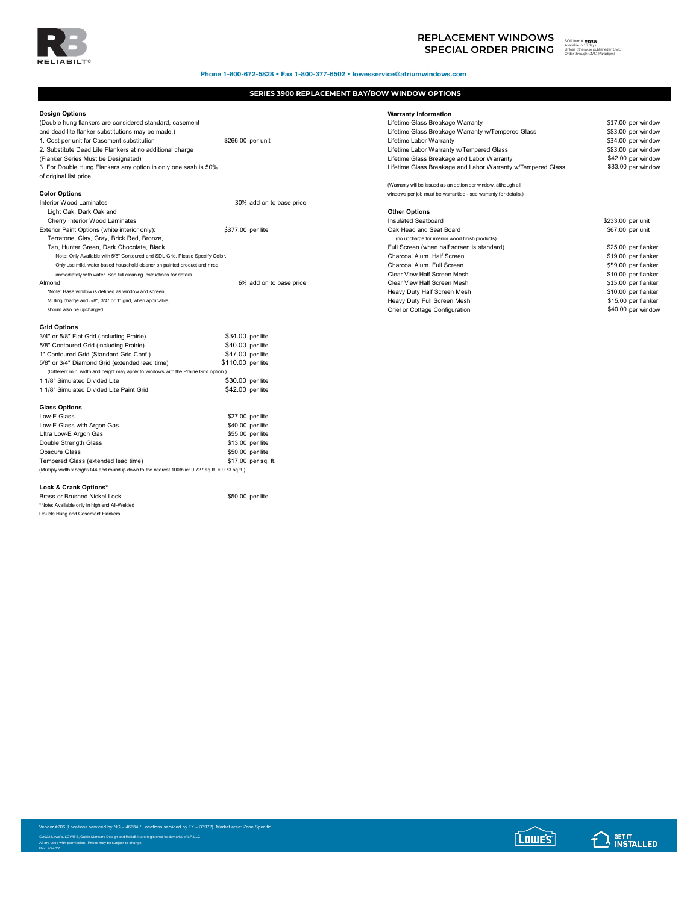

Phone 1-800-672-5828 • Fax 1-800-377-6502 • lowesservice@atriumwindows.com

## **SERIES 3900 REPLACEMENT BAY/BOW WINDOW OPTIONS**

## **Design Options**

| neangu obtiona                                                                                     |                          | wananty mommation                                               |                     |
|----------------------------------------------------------------------------------------------------|--------------------------|-----------------------------------------------------------------|---------------------|
| (Double hung flankers are considered standard, casement                                            |                          | Lifetime Glass Breakage Warranty                                | \$17.00 per windov  |
| and dead lite flanker substitutions may be made.)                                                  |                          | Lifetime Glass Breakage Warranty w/Tempered Glass               | \$83.00 per window  |
| 1. Cost per unit for Casement substitution                                                         | \$266.00 per unit        | Lifetime Labor Warranty                                         | \$34.00 per window  |
| 2. Substitute Dead Lite Flankers at no additional charge                                           |                          | Lifetime Labor Warranty w/Tempered Glass                        | \$83.00 per windov  |
| (Flanker Series Must be Designated)                                                                |                          | Lifetime Glass Breakage and Labor Warranty                      | \$42.00 per windov  |
| 3. For Double Hung Flankers any option in only one sash is 50%                                     |                          | Lifetime Glass Breakage and Labor Warranty w/Tempered Glass     | \$83.00 per window  |
| of original list price.                                                                            |                          |                                                                 |                     |
|                                                                                                    |                          | (Warranty will be issued as an option per window, although all  |                     |
| <b>Color Options</b>                                                                               |                          | windows per job must be warrantied - see warranty for details.) |                     |
| <b>Interior Wood Laminates</b>                                                                     | 30% add on to base price |                                                                 |                     |
| Light Oak, Dark Oak and                                                                            |                          | <b>Other Options</b>                                            |                     |
| Cherry Interior Wood Laminates                                                                     |                          | <b>Insulated Seatboard</b>                                      | \$233.00 per unit   |
| Exterior Paint Options (white interior only):                                                      | \$377.00 per lite        | Oak Head and Seat Board                                         | \$67.00 per unit    |
| Terratone, Clay, Gray, Brick Red, Bronze,                                                          |                          | (no upcharge for interior wood finish products)                 |                     |
| Tan, Hunter Green, Dark Chocolate, Black                                                           |                          | Full Screen (when half screen is standard)                      | \$25.00 per flanker |
| Note: Only Available with 5/8" Contoured and SDL Grid. Please Specify Color.                       |                          | Charcoal Alum, Half Screen                                      | \$19.00 per flanker |
| Only use mild, water based household cleaner on painted product and rinse                          |                          | Charcoal Alum, Full Screen                                      | \$59.00 per flanker |
| immediately with water. See full cleaning instructions for details.                                |                          | Clear View Half Screen Mesh                                     | \$10.00 per flanker |
| Almond                                                                                             | 6% add on to base price  | Clear View Half Screen Mesh                                     | \$15.00 per flanker |
| *Note: Base window is defined as window and screen.                                                |                          | Heavy Duty Half Screen Mesh                                     | \$10.00 per flanker |
| Mulling charge and 5/8", 3/4" or 1" grid, when applicable,                                         |                          | Heavy Duty Full Screen Mesh                                     | \$15.00 per flanker |
| should also be upcharged.                                                                          |                          | Oriel or Cottage Configuration                                  | \$40.00 per window  |
| <b>Grid Options</b>                                                                                |                          |                                                                 |                     |
| 3/4" or 5/8" Flat Grid (including Prairie)                                                         | \$34.00 per lite         |                                                                 |                     |
| 5/8" Contoured Grid (including Prairie)                                                            | \$40.00 per lite         |                                                                 |                     |
| 1" Contoured Grid (Standard Grid Conf.)                                                            | \$47.00 per lite         |                                                                 |                     |
| 5/8" or 3/4" Diamond Grid (extended lead time)                                                     | \$110.00 per lite        |                                                                 |                     |
| (Different min. width and height may apply to windows with the Prairie Grid option.)               |                          |                                                                 |                     |
| 1 1/8" Simulated Divided Lite                                                                      | \$30.00 per lite         |                                                                 |                     |
| 1 1/8" Simulated Divided Lite Paint Grid                                                           | \$42.00 per lite         |                                                                 |                     |
| <b>Glass Options</b>                                                                               |                          |                                                                 |                     |
| Low-E Glass                                                                                        | \$27.00 per lite         |                                                                 |                     |
| Low-E Glass with Argon Gas                                                                         | \$40.00 per lite         |                                                                 |                     |
| Ultra Low-E Argon Gas                                                                              | \$55.00 per lite         |                                                                 |                     |
| Double Strength Glass                                                                              | \$13.00 per lite         |                                                                 |                     |
| <b>Obscure Glass</b>                                                                               | \$50.00 per lite         |                                                                 |                     |
| Tempered Glass (extended lead time)                                                                | \$17.00 per sq. ft.      |                                                                 |                     |
| (Multiply width x height/144 and roundup down to the nearest 100th ie: 9.727 sq.ft. = 9.73 sq.ft.) |                          |                                                                 |                     |
|                                                                                                    |                          |                                                                 |                     |

| Design Options                                                               |                          | <b>Warranty Information</b>                                     |                     |
|------------------------------------------------------------------------------|--------------------------|-----------------------------------------------------------------|---------------------|
| (Double hung flankers are considered standard, casement                      |                          | Lifetime Glass Breakage Warranty                                | \$17.00 per window  |
| and dead lite flanker substitutions may be made.)                            |                          | Lifetime Glass Breakage Warranty w/Tempered Glass               | \$83.00 per window  |
| 1. Cost per unit for Casement substitution                                   | \$266.00 per unit        | Lifetime Labor Warranty                                         | \$34.00 per window  |
| 2. Substitute Dead Lite Flankers at no additional charge                     |                          | Lifetime Labor Warranty w/Tempered Glass                        | \$83.00 per window  |
| (Flanker Series Must be Designated)                                          |                          | Lifetime Glass Breakage and Labor Warranty                      | \$42.00 per window  |
| 3. For Double Hung Flankers any option in only one sash is 50%               |                          | Lifetime Glass Breakage and Labor Warranty w/Tempered Glass     | \$83.00 per window  |
| of original list price.                                                      |                          |                                                                 |                     |
|                                                                              |                          | (Warranty will be issued as an option per window, although all  |                     |
| <b>Color Options</b>                                                         |                          | windows per job must be warrantied - see warranty for details.) |                     |
| Interior Wood Laminates                                                      | 30% add on to base price |                                                                 |                     |
| Light Oak, Dark Oak and                                                      |                          | <b>Other Options</b>                                            |                     |
| Cherry Interior Wood Laminates                                               |                          | Insulated Seatboard                                             | \$233.00 per unit   |
| Exterior Paint Options (white interior only):                                | \$377.00 per lite        | Oak Head and Seat Board                                         | \$67.00 per unit    |
| Terratone, Clay, Gray, Brick Red, Bronze,                                    |                          | (no upcharge for interior wood finish products)                 |                     |
| Tan, Hunter Green, Dark Chocolate, Black                                     |                          | Full Screen (when half screen is standard)                      | \$25.00 per flanker |
| Note: Only Available with 5/8" Contoured and SDL Grid. Please Specify Color. |                          | Charcoal Alum. Half Screen                                      | \$19.00 per flanker |
| Only use mild, water based household cleaner on painted product and rinse    |                          | Charcoal Alum. Full Screen                                      | \$59.00 per flanker |
| immediately with water. See full cleaning instructions for details.          |                          | Clear View Half Screen Mesh                                     | \$10.00 per flanker |
| Almond                                                                       | 6% add on to base price  | Clear View Half Screen Mesh                                     | \$15.00 per flanker |
| *Note: Base window is defined as window and screen.                          |                          | Heavy Duty Half Screen Mesh                                     | \$10.00 per flanker |
| Mulling charge and 5/8", 3/4" or 1" grid, when applicable,                   |                          | Heavy Duty Full Screen Mesh                                     | \$15.00 per flanker |
| should also be upcharged.                                                    |                          | Oriel or Cottage Configuration                                  | \$40.00 per window  |
|                                                                              |                          |                                                                 |                     |

Brass or Brushed Nickel Lock \$50.00 per lite \*Note: Available only in high end All-Welded Double Hung and Casement Flankers





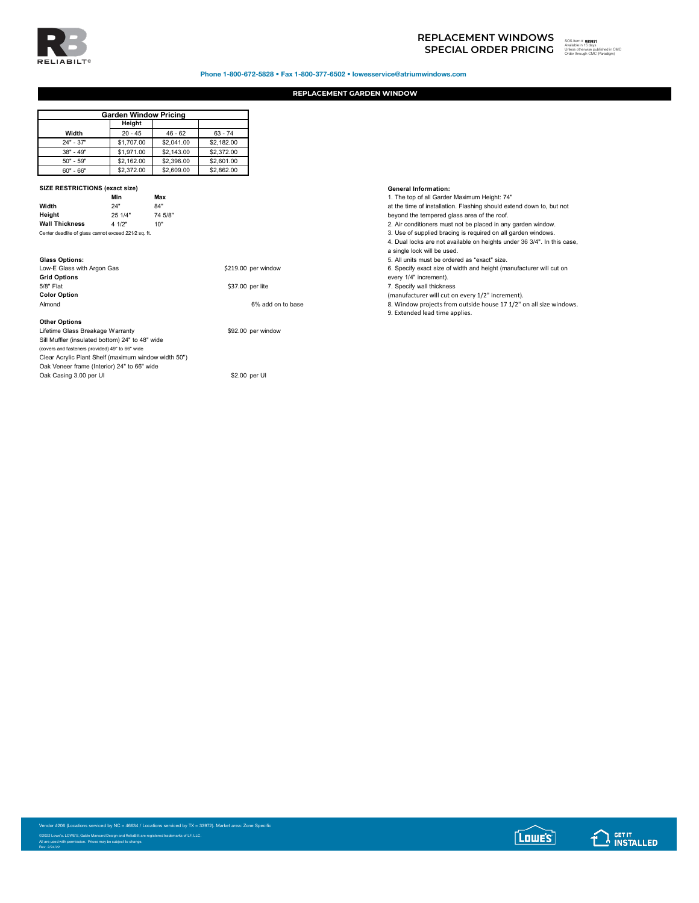

# **SPECIAL ORDER PRICING** SOS ITEM TO THE SUBSTITUTION OF THE SUBSTITUTION OF THE SUBSTITUTION OF THE SUBSTITUTION OF THE SUBSTITUTION OF THE SUBSTITUTION OF THE SUBSTITUTION OF THE SUBSTITUTION OF THE SUBSTITUTION OF THE SU **REPLACEMENT WINDOWS**

### 893831 Unless otherwise published in CMC Order through CMC (Paradigm)

Phone 1-800-672-5828 • Fax 1-800-377-6502 • lowesservice@atriumwindows.com

## **REPLACEMENT GARDEN WINDOW**

|             | <b>Garden Window Pricing</b> |            |            |  |
|-------------|------------------------------|------------|------------|--|
|             | Height                       |            |            |  |
| Width       | $20 - 45$                    | $46 - 62$  | $63 - 74$  |  |
| $24" - 37"$ | \$1,707.00                   | \$2.041.00 | \$2,182.00 |  |
| $38" - 49"$ | \$1,971.00                   | \$2,143.00 | \$2,372.00 |  |
| $50" - 59"$ | \$2,162.00                   | \$2,396.00 | \$2,601.00 |  |
| $60" - 66"$ | \$2,372.00                   | \$2,609.00 | \$2,862.00 |  |

## **SIZE RESTRICTIONS (exact size) General Information:**

|                                                    | Min     | Max    |
|----------------------------------------------------|---------|--------|
| Width                                              | 24"     | 84"    |
| Height                                             | 25 1/4" | 74 5/8 |
| <b>Wall Thickness</b>                              | 4 1/2"  | 10"    |
| Contae dendlite of place connet current 0010 on ft |         |        |

| Low-E Glass with Argon Gas | \$219.00 per window |
|----------------------------|---------------------|
| <b>Grid Options</b>        |                     |
| 5/8" Flat                  | \$37.00 per lite    |
| <b>Color Option</b>        |                     |
| Almond                     | 6% add on to bas    |
|                            |                     |

**Other Options**

Lifetime Glass Breakage Warranty **\$92.00 per window** Sill Muffler (insulated bottom) 24" to 48" wide (covers and fasteners provided) 49" to 66" wide Clear Acrylic Plant Shelf (maximum window width 50") Oak Veneer frame (Interior) 24" to 66" wide Oak Casing 3.00 per UI \$2.00 per UI

**Min Max** 1. The top of all Garden Maximum Height: 74"

at the time of installation. Flashing should extend down to, but not<br>heyond the tempered class area of the roof

beyond the tempered glass area of the roof.

2. Air conditioners must not be placed in any garden window. Center dealers of the center dealers cannot exceed 221⁄2 sq. ft. 3. Use of supplied bracing is required on all garden windows.

- 4. Dual locks are not available on heights under 36 3/4". In this case,
- 
- a single lock will be used.

**Glass Options:** 5. All units must be ordered as "exact" size.

e...<br>6. Specify exact size of width and height (manufacturer will cut on

every 1/4" increment).

7. Specify wall thickness

**Color Option** (manufacturer will cut on every 1/2" increment).

Almond 6 and on to base 8. Window projects from outside house 17 1/2" on all size windows.

9. Extended lead time applies.

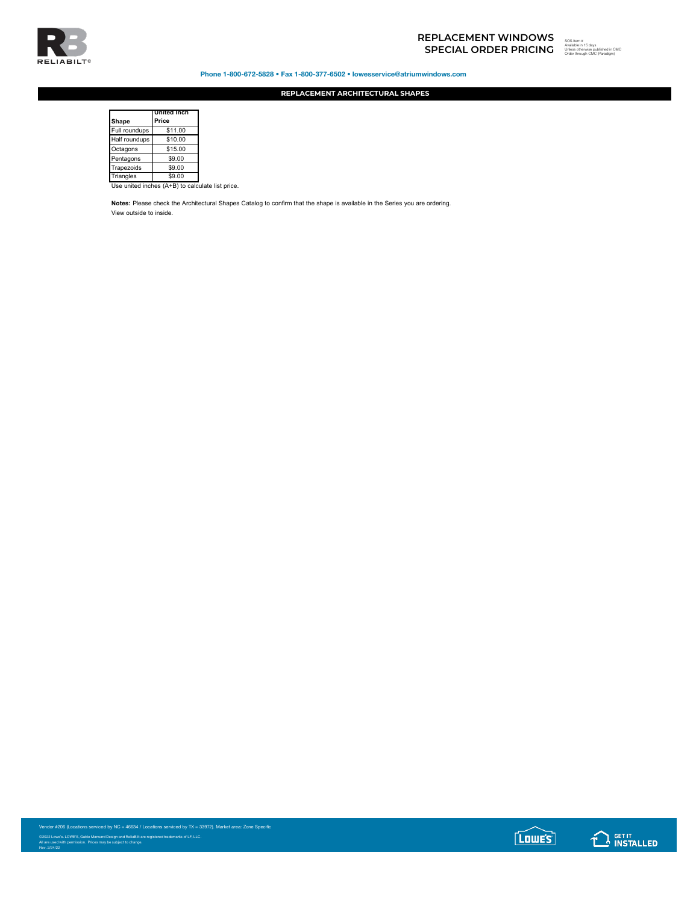

Phone 1-800-672-5828 • Fax 1-800-377-6502 • lowesservice@atriumwindows.com

**REPLACEMENT ARCHITECTURAL SHAPES**

| Shape         | <b>United Inch</b><br>Price                      |  |
|---------------|--------------------------------------------------|--|
| Full roundups | \$11.00                                          |  |
| Half roundups | \$10.00                                          |  |
| Octagons      | \$15.00                                          |  |
| Pentagons     | \$9.00                                           |  |
| Trapezoids    | \$9.00                                           |  |
| Triangles     | \$9.00                                           |  |
|               | Use united inches (A+B) to calculate list price. |  |

**Notes:** Please check the Architectural Shapes Catalog to confirm that the shape is available in the Series you are ordering. View outside to inside.

Vendor #206 (Locations serviced by NC = 46634 / Locations serviced by TX = 33972). Market area: Zone Specific ©2022 Lowe's. LOWE'S, Gable Mansard Design and ReliaBilt are registered trademarks of LF, LLC.<br>All are used with permission. Prices may be subject to change.<br>Rev. 2/24/22

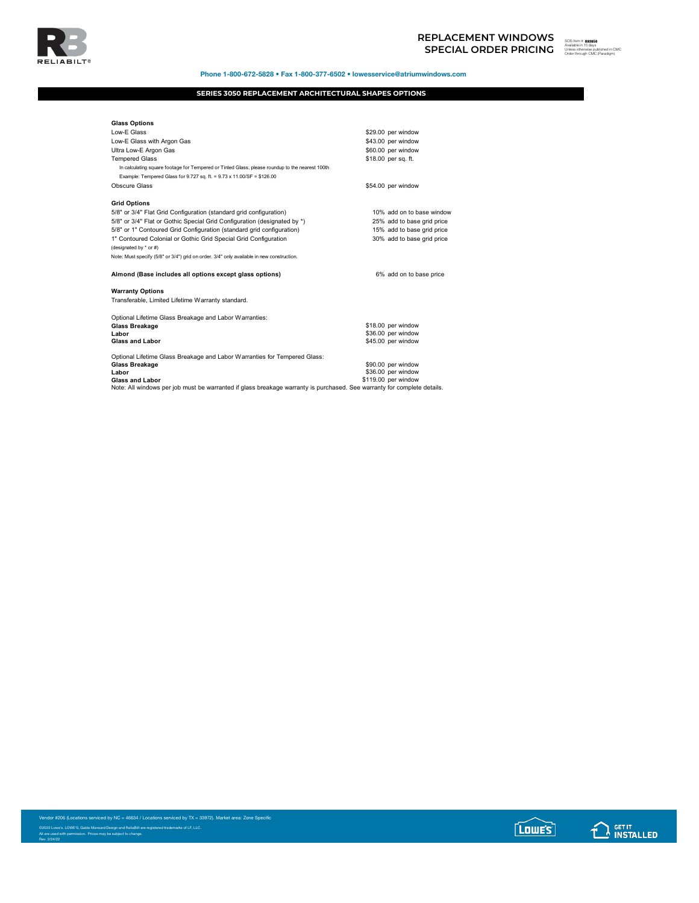

## **SPECIAL ORDER PRICING REPLACEMENT WINDOWS**<br>
SPECIAL ORDER PRICING **Wealth**ed in 15 days<br>
Source through CMC Preadigm)



Phone 1-800-672-5828 • Fax 1-800-377-6502 • lowesservice@atriumwindows.com

## **SERIES 3050 REPLACEMENT ARCHITECTURAL SHAPES OPTIONS**

| <b>Glass Options</b>                                                                                                    |                            |
|-------------------------------------------------------------------------------------------------------------------------|----------------------------|
| Low-E Glass                                                                                                             | \$29.00 per window         |
| Low-E Glass with Argon Gas                                                                                              | \$43.00 per window         |
| Ultra Low-E Argon Gas                                                                                                   | \$60.00 per window         |
| <b>Tempered Glass</b>                                                                                                   | \$18.00 per sq. ft.        |
| In calculating square footage for Tempered or Tinted Glass, please roundup to the nearest 100th                         |                            |
| Example: Tempered Glass for 9.727 sq. ft. = 9.73 x 11.00/SF = \$126.00                                                  |                            |
| Obscure Glass                                                                                                           | \$54.00 per window         |
|                                                                                                                         |                            |
| <b>Grid Options</b>                                                                                                     |                            |
| 5/8" or 3/4" Flat Grid Configuration (standard grid configuration)                                                      | 10% add on to base window  |
| 5/8" or 3/4" Flat or Gothic Special Grid Configuration (designated by *)                                                | 25% add to base grid price |
| 5/8" or 1" Contoured Grid Configuration (standard grid configuration)                                                   | 15% add to base grid price |
| 1" Contoured Colonial or Gothic Grid Special Grid Configuration                                                         | 30% add to base grid price |
| (designated by * or #)                                                                                                  |                            |
| Note: Must specify (5/8" or 3/4") grid on order. 3/4" only available in new construction.                               |                            |
|                                                                                                                         |                            |
| Almond (Base includes all options except glass options)                                                                 | 6% add on to base price    |
| <b>Warranty Options</b>                                                                                                 |                            |
| Transferable, Limited Lifetime Warranty standard.                                                                       |                            |
| Optional Lifetime Glass Breakage and Labor Warranties:                                                                  |                            |
| Glass Breakage                                                                                                          | \$18.00 per window         |
| Labor                                                                                                                   | \$36.00 per window         |
| <b>Glass and Labor</b>                                                                                                  | \$45.00 per window         |
|                                                                                                                         |                            |
| Optional Lifetime Glass Breakage and Labor Warranties for Tempered Glass:                                               |                            |
| Glass Breakage                                                                                                          | \$90.00 per window         |
| Labor                                                                                                                   | \$36.00 per window         |
| <b>Glass and Labor</b>                                                                                                  | \$119.00 per window        |
| Note: All windows per job must be warranted if glass breakage warranty is purchased. See warranty for complete details. |                            |

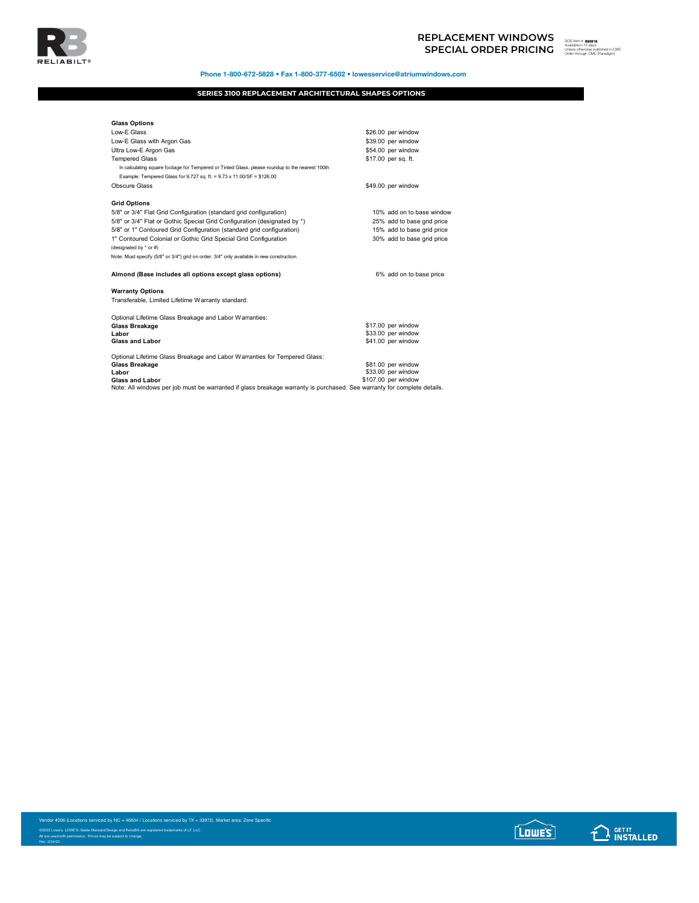

Phone 1-800-672-5828 • Fax 1-800-377-6502 • lowesservice@atriumwindows.com

## **SERIES 3100 REPLACEMENT ARCHITECTURAL SHAPES OPTIONS**

| <b>Glass Options</b>                                                                                                    |                            |
|-------------------------------------------------------------------------------------------------------------------------|----------------------------|
| Low-E Glass                                                                                                             | \$26.00 per window         |
| Low-E Glass with Argon Gas                                                                                              | \$39.00 per window         |
| Ultra Low-E Argon Gas                                                                                                   | \$54.00 per window         |
| <b>Tempered Glass</b>                                                                                                   | \$17.00 per sq. ft.        |
| In calculating square footage for Tempered or Tinted Glass, please roundup to the nearest 100th                         |                            |
| Example: Tempered Glass for 9.727 sq. ft. = 9.73 x 11.00/SF = \$126.00                                                  |                            |
| Obscure Glass                                                                                                           | \$49.00 per window         |
|                                                                                                                         |                            |
| <b>Grid Options</b>                                                                                                     |                            |
| 5/8" or 3/4" Flat Grid Configuration (standard grid configuration)                                                      | 10% add on to base window  |
| 5/8" or 3/4" Flat or Gothic Special Grid Configuration (designated by *)                                                | 25% add to base grid price |
| 5/8" or 1" Contoured Grid Configuration (standard grid configuration)                                                   | 15% add to base grid price |
| 1" Contoured Colonial or Gothic Grid Special Grid Configuration                                                         | 30% add to base grid price |
| (designated by * or #)                                                                                                  |                            |
| Note: Must specify (5/8" or 3/4") grid on order. 3/4" only available in new construction.                               |                            |
|                                                                                                                         |                            |
| Almond (Base includes all options except glass options)                                                                 | 6% add on to base price    |
| <b>Warranty Options</b>                                                                                                 |                            |
| Transferable, Limited Lifetime Warranty standard.                                                                       |                            |
| Optional Lifetime Glass Breakage and Labor Warranties:                                                                  |                            |
| <b>Glass Breakage</b>                                                                                                   | \$17.00 per window         |
| Labor                                                                                                                   | \$33.00 per window         |
| <b>Glass and Labor</b>                                                                                                  | \$41.00 per window         |
| Optional Lifetime Glass Breakage and Labor Warranties for Tempered Glass:                                               |                            |
| Glass Breakage                                                                                                          | \$81.00 per window         |
| Labor                                                                                                                   | \$33.00 per window         |
| <b>Glass and Labor</b>                                                                                                  | \$107.00 per window        |
| Note: All windows per job must be warranted if glass breakage warranty is purchased. See warranty for complete details. |                            |

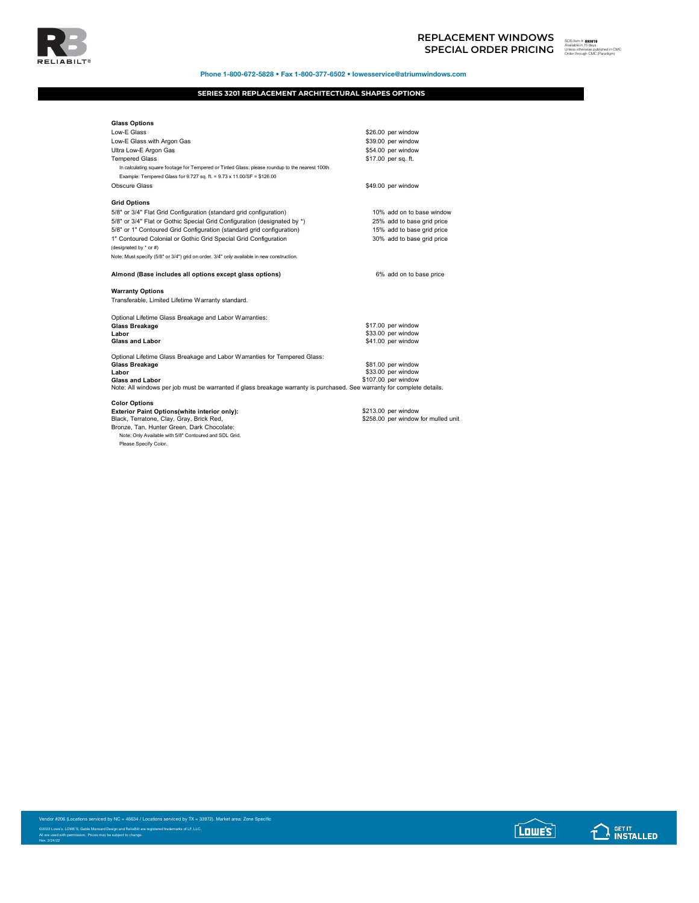

## **SPECIAL ORDER PRICING REPLACEMENT WINDOWS**<br>
SPECIAL ORDER PRICING **Wealth**ed in Engine



Phone 1-800-672-5828 • Fax 1-800-377-6502 • lowesservice@atriumwindows.com

## **SERIES 3201 REPLACEMENT ARCHITECTURAL SHAPES OPTIONS**

| <b>Glass Options</b>                                                                                                                              |                                           |
|---------------------------------------------------------------------------------------------------------------------------------------------------|-------------------------------------------|
| Low-E Glass                                                                                                                                       | \$26.00 per window                        |
| Low-E Glass with Argon Gas                                                                                                                        | \$39.00 per window                        |
| Ultra Low-E Argon Gas                                                                                                                             | \$54.00 per window                        |
| <b>Tempered Glass</b>                                                                                                                             | \$17.00 per sq. ft.                       |
| In calculating square footage for Tempered or Tinted Glass, please roundup to the nearest 100th                                                   |                                           |
| Example: Tempered Glass for 9.727 sq. ft. = 9.73 x 11.00/SF = \$126.00                                                                            |                                           |
| Obscure Glass                                                                                                                                     | \$49.00 per window                        |
| <b>Grid Options</b>                                                                                                                               |                                           |
| 5/8" or 3/4" Flat Grid Configuration (standard grid configuration)                                                                                | 10% add on to base window                 |
| 5/8" or 3/4" Flat or Gothic Special Grid Configuration (designated by *)                                                                          | 25% add to base grid price                |
| 5/8" or 1" Contoured Grid Configuration (standard grid configuration)                                                                             | 15% add to base grid price                |
| 1" Contoured Colonial or Gothic Grid Special Grid Configuration                                                                                   | 30% add to base grid price                |
| (designated by * or #)                                                                                                                            |                                           |
| Note: Must specify (5/8" or 3/4") grid on order. 3/4" only available in new construction.                                                         |                                           |
| Almond (Base includes all options except glass options)                                                                                           | 6% add on to base price                   |
| <b>Warranty Options</b>                                                                                                                           |                                           |
| Transferable, Limited Lifetime Warranty standard.                                                                                                 |                                           |
| Optional Lifetime Glass Breakage and Labor Warranties:                                                                                            |                                           |
| <b>Glass Breakage</b>                                                                                                                             | \$17.00 per window                        |
| Labor                                                                                                                                             | \$33.00 per window                        |
| <b>Glass and Labor</b>                                                                                                                            | \$41.00 per window                        |
| Optional Lifetime Glass Breakage and Labor Warranties for Tempered Glass:                                                                         |                                           |
| <b>Glass Breakage</b>                                                                                                                             | \$81.00 per window                        |
| I abor                                                                                                                                            | \$33.00 per window<br>\$107.00 per window |
| <b>Glass and Labor</b><br>Note: All windows per job must be warranted if glass breakage warranty is purchased. See warranty for complete details. |                                           |
|                                                                                                                                                   |                                           |
| <b>Color Options</b>                                                                                                                              |                                           |
| Exterior Paint Options(white interior only):                                                                                                      | \$213.00 per window                       |
| Black, Terratone, Clay, Gray, Brick Red,                                                                                                          | \$258.00 per window for mulled unit       |
| Bronze, Tan, Hunter Green, Dark Chocolate:                                                                                                        |                                           |

©2022 Lowe's. LOWE'S, Gable Mansard Design and ReliaBilt are registered trademarks of LF, LLC.<br>All are used with permission. Prices may be subject to change.<br>Rev. 2/24/22

Note: Only Available with 5/8" Contoured and SDL Grid.

Please Specify Color.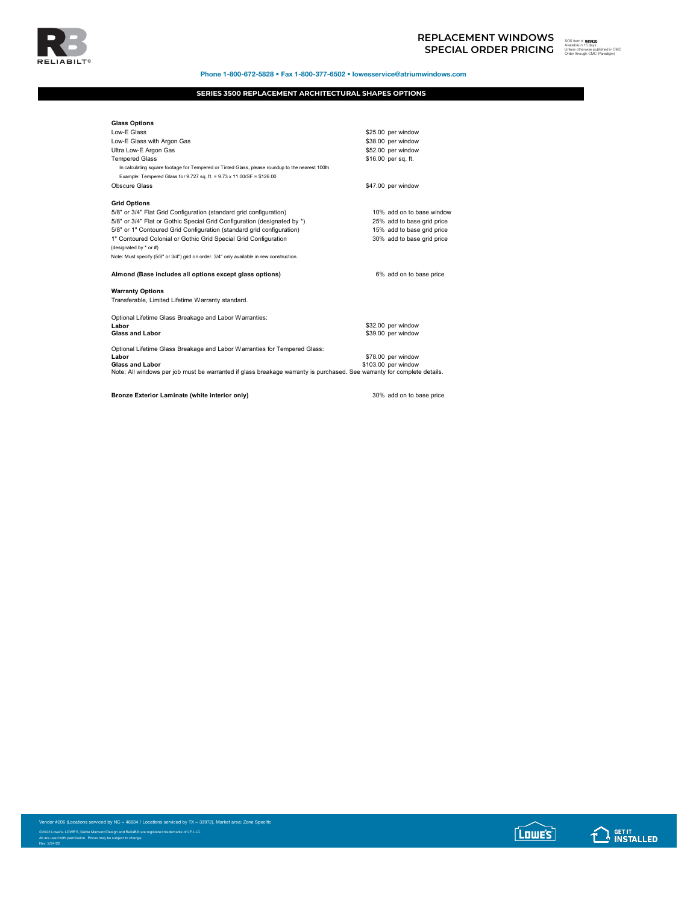



Phone 1-800-672-5828 • Fax 1-800-377-6502 • lowesservice@atriumwindows.com

## **SERIES 3500 REPLACEMENT ARCHITECTURAL SHAPES OPTIONS**

| <b>Glass Options</b>                                                                                                    |                            |
|-------------------------------------------------------------------------------------------------------------------------|----------------------------|
| Low-E Glass                                                                                                             | \$25.00 per window         |
| Low-E Glass with Argon Gas                                                                                              | \$38.00 per window         |
| Ultra Low-E Argon Gas                                                                                                   | \$52.00 per window         |
| <b>Tempered Glass</b>                                                                                                   | \$16.00 per sq. ft.        |
| In calculating square footage for Tempered or Tinted Glass, please roundup to the nearest 100th                         |                            |
| Example: Tempered Glass for 9.727 sq. ft. = 9.73 x 11.00/SF = \$126.00                                                  |                            |
| Obscure Glass                                                                                                           | \$47.00 per window         |
|                                                                                                                         |                            |
| <b>Grid Options</b>                                                                                                     |                            |
| 5/8" or 3/4" Flat Grid Configuration (standard grid configuration)                                                      | 10% add on to base window  |
| 5/8" or 3/4" Flat or Gothic Special Grid Configuration (designated by *)                                                | 25% add to base grid price |
| 5/8" or 1" Contoured Grid Configuration (standard grid configuration)                                                   | 15% add to base grid price |
| 1" Contoured Colonial or Gothic Grid Special Grid Configuration                                                         | 30% add to base grid price |
| (designated by * or #)                                                                                                  |                            |
| Note: Must specify (5/8" or 3/4") grid on order. 3/4" only available in new construction.                               |                            |
| Almond (Base includes all options except glass options)                                                                 | 6% add on to base price    |
| <b>Warranty Options</b>                                                                                                 |                            |
| Transferable, Limited Lifetime Warranty standard.                                                                       |                            |
| Optional Lifetime Glass Breakage and Labor Warranties:                                                                  |                            |
| Labor                                                                                                                   | \$32.00 per window         |
| <b>Glass and Labor</b>                                                                                                  | \$39.00 per window         |
| Optional Lifetime Glass Breakage and Labor Warranties for Tempered Glass:                                               |                            |
| Labor                                                                                                                   | \$78.00 per window         |
| <b>Glass and Labor</b>                                                                                                  | \$103.00 per window        |
| Note: All windows per job must be warranted if glass breakage warranty is purchased. See warranty for complete details. |                            |
|                                                                                                                         |                            |
| Bronze Exterior Laminate (white interior only)                                                                          | 30% add on to base price   |